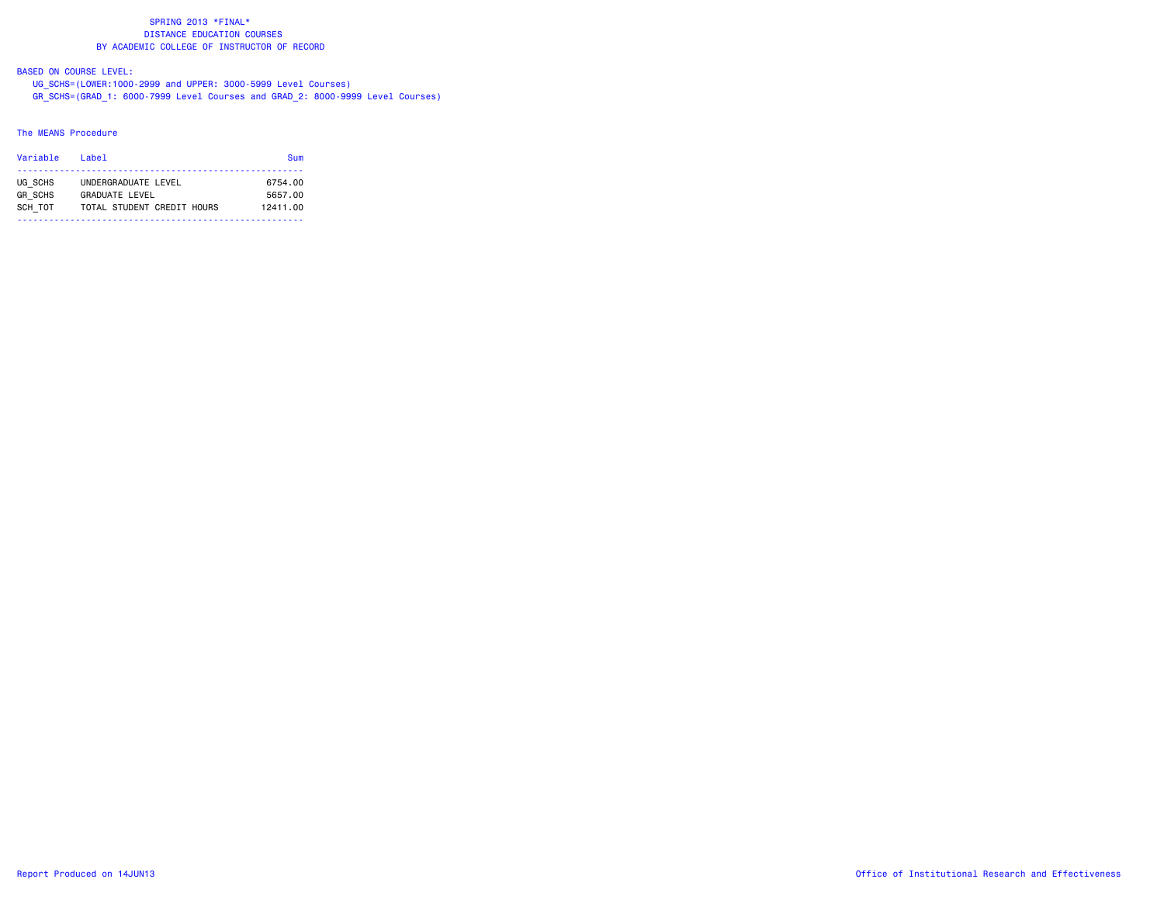## BASED ON COURSE LEVEL:

 UG\_SCHS=(LOWER:1000-2999 and UPPER: 3000-5999 Level Courses) GR\_SCHS=(GRAD\_1: 6000-7999 Level Courses and GRAD\_2: 8000-9999 Level Courses)

#### The MEANS Procedure

| Variable       | l ahel                     | Sum      |
|----------------|----------------------------|----------|
| UG SCHS        | UNDERGRADUATE LEVEL        | 6754.00  |
| <b>GR SCHS</b> | GRADUATE I FVEL            | 5657.00  |
| SCH TOT        | TOTAL STUDENT CREDIT HOURS | 12411.00 |
|                |                            |          |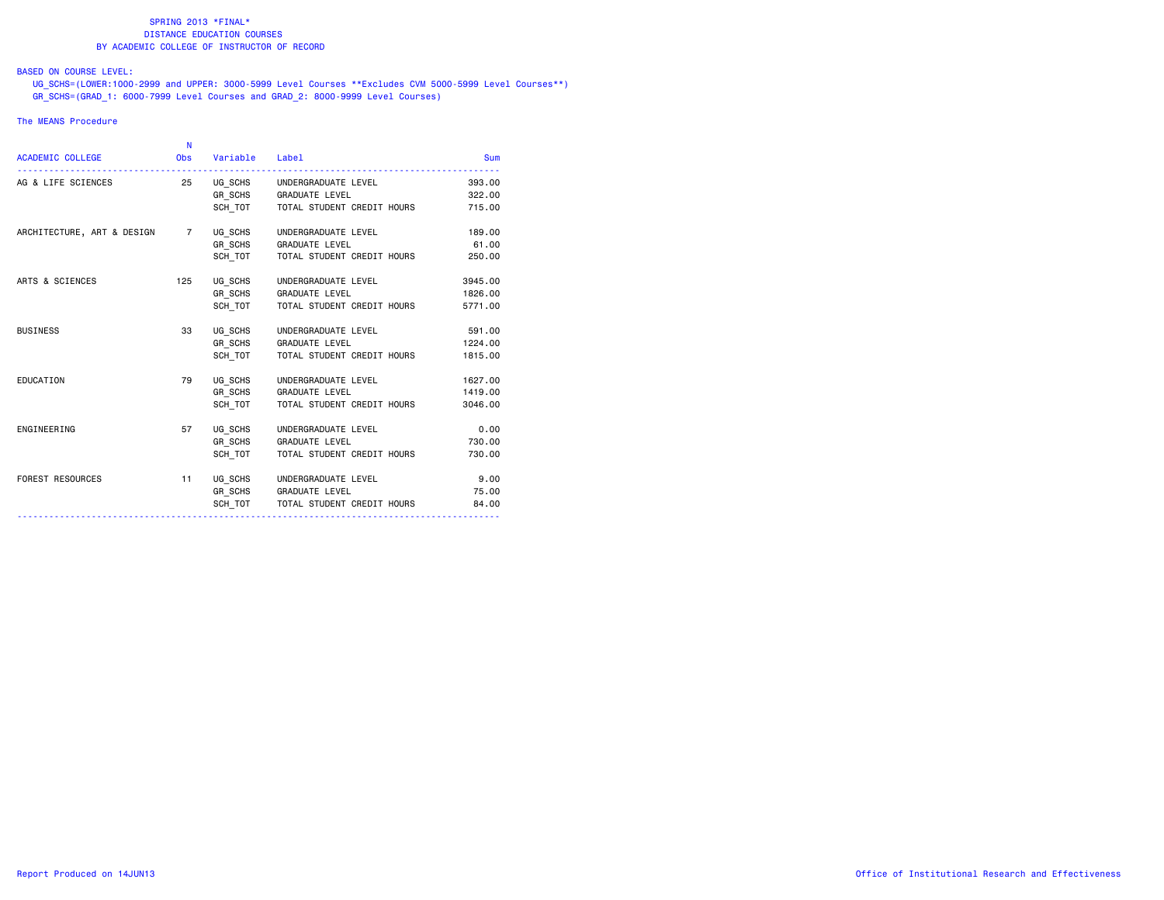## BASED ON COURSE LEVEL:

 UG\_SCHS=(LOWER:1000-2999 and UPPER: 3000-5999 Level Courses \*\*Excludes CVM 5000-5999 Level Courses\*\*) GR\_SCHS=(GRAD\_1: 6000-7999 Level Courses and GRAD\_2: 8000-9999 Level Courses)

#### The MEANS Procedure

| <b>ACADEMIC COLLEGE</b>                                  | - N | Obs Variable Label |                                      | <b>Sum</b> |
|----------------------------------------------------------|-----|--------------------|--------------------------------------|------------|
|                                                          |     |                    |                                      | 393,00     |
|                                                          |     |                    | GR_SCHS GRADUATE LEVEL               | 322.00     |
|                                                          |     |                    | SCH_TOT TOTAL STUDENT CREDIT HOURS   | 715.00     |
| ARCHITECTURE, ART & DESIGN 7 UG SCHS UNDERGRADUATE LEVEL |     |                    |                                      | 189.00     |
|                                                          |     |                    | GR SCHS GRADUATE LEVEL               | 61.00      |
|                                                          |     |                    | SCH TOT   TOTAL STUDENT CREDIT HOURS | 250.00     |
| ARTS & SCIENCES                                          |     |                    | 125 UG SCHS UNDERGRADUATE LEVEL      | 3945.00    |
|                                                          |     |                    | GR_SCHS GRADUATE LEVEL               | 1826.00    |
|                                                          |     | SCH TOT            | TOTAL STUDENT CREDIT HOURS           | 5771.00    |
| <b>BUSINESS</b>                                          | 33  |                    | UG SCHS UNDERGRADUATE LEVEL          | 591.00     |
|                                                          |     |                    | GR_SCHS GRADUATE LEVEL               | 1224.00    |
|                                                          |     |                    | SCH TOT   TOTAL STUDENT CREDIT HOURS | 1815,00    |
| EDUCATION                                                | 79  |                    | UG_SCHS UNDERGRADUATE LEVEL          | 1627.00    |
|                                                          |     |                    | GR_SCHS GRADUATE LEVEL               | 1419.00    |
|                                                          |     | SCH_TOT            | TOTAL STUDENT CREDIT HOURS           | 3046.00    |
| ENGINEERING                                              | 57  |                    | UG_SCHS UNDERGRADUATE LEVEL          | 0.00       |
|                                                          |     |                    | GR SCHS GRADUATE LEVEL               | 730.00     |
|                                                          |     | SCH TOT            | TOTAL STUDENT CREDIT HOURS           | 730.00     |
| <b>FOREST RESOURCES</b>                                  | 11  |                    | UG_SCHS UNDERGRADUATE LEVEL          | 9.00       |
|                                                          |     |                    | GR_SCHS GRADUATE LEVEL               | 75.00      |
|                                                          |     |                    | SCH TOT TOTAL STUDENT CREDIT HOURS   | 84,00      |
|                                                          |     |                    |                                      |            |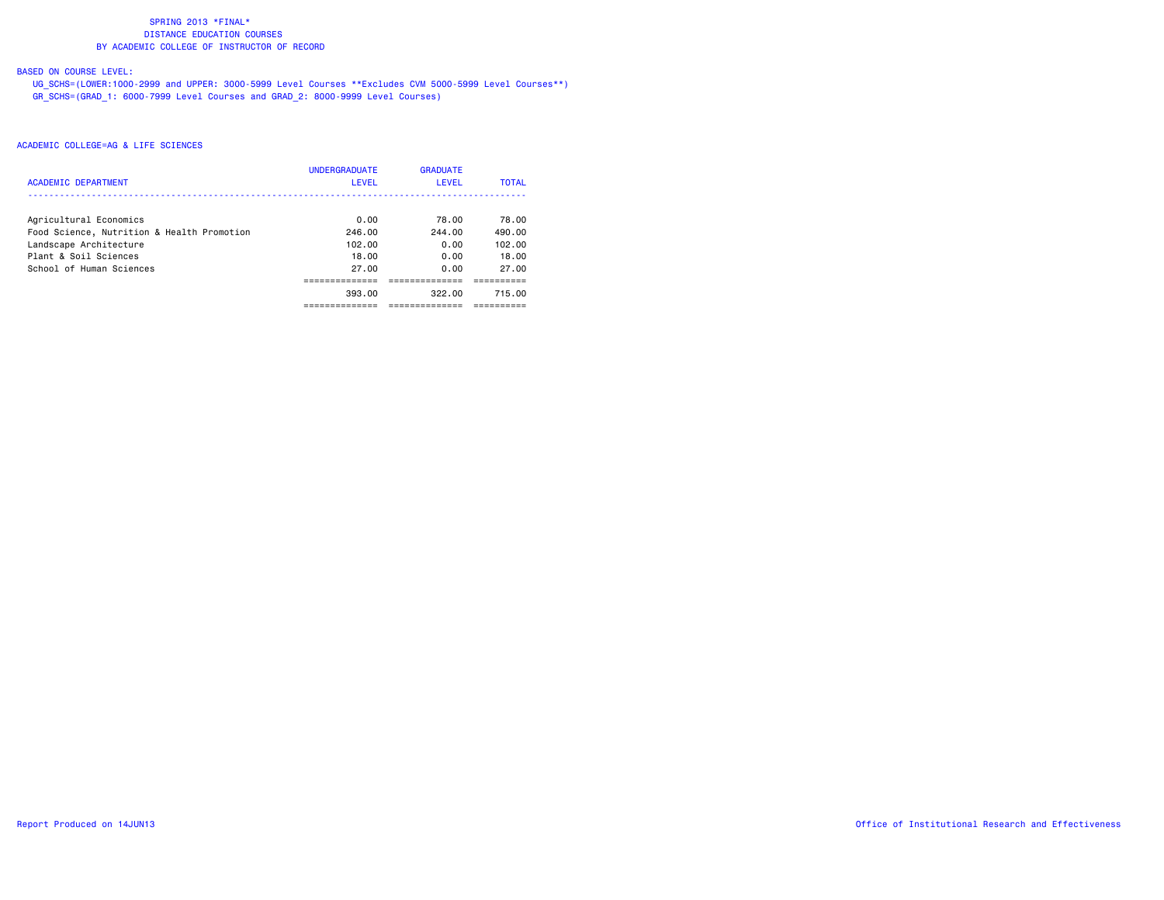# BASED ON COURSE LEVEL:

 UG\_SCHS=(LOWER:1000-2999 and UPPER: 3000-5999 Level Courses \*\*Excludes CVM 5000-5999 Level Courses\*\*) GR\_SCHS=(GRAD\_1: 6000-7999 Level Courses and GRAD\_2: 8000-9999 Level Courses)

| <b>ACADEMIC DEPARTMENT</b>                 | <b>UNDERGRADUATE</b><br>LEVEL | <b>GRADUATE</b><br>LEVEL | <b>TOTAL</b> |
|--------------------------------------------|-------------------------------|--------------------------|--------------|
| Agricultural Economics                     | 0.00                          | 78.00                    | 78.00        |
| Food Science, Nutrition & Health Promotion | 246.00                        | 244.00                   | 490.00       |
| Landscape Architecture                     | 102.00                        | 0.00                     | 102.00       |
| Plant & Soil Sciences                      | 18.00                         | 0.00                     | 18.00        |
| School of Human Sciences                   | 27.00                         | 0.00                     | 27.00        |
|                                            |                               |                          |              |
|                                            | 393.00                        | 322.00                   | 715.00       |
|                                            |                               |                          |              |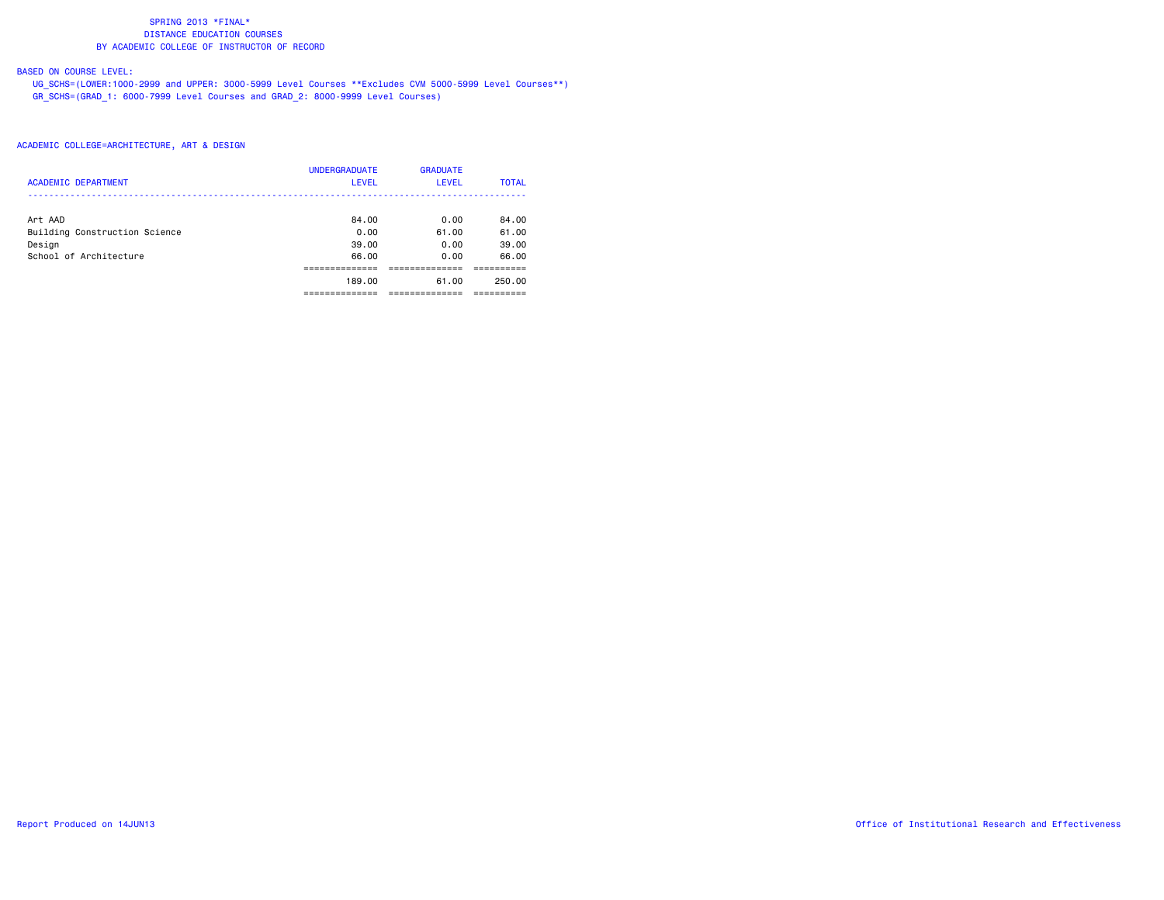# BASED ON COURSE LEVEL:

 UG\_SCHS=(LOWER:1000-2999 and UPPER: 3000-5999 Level Courses \*\*Excludes CVM 5000-5999 Level Courses\*\*) GR\_SCHS=(GRAD\_1: 6000-7999 Level Courses and GRAD\_2: 8000-9999 Level Courses)

## ACADEMIC COLLEGE=ARCHITECTURE, ART & DESIGN

| <b>ACADEMIC DEPARTMENT</b>    | <b>UNDERGRADUATE</b><br><b>LEVEL</b> | <b>GRADUATE</b><br>LEVEL | <b>TOTAL</b> |
|-------------------------------|--------------------------------------|--------------------------|--------------|
| Art AAD                       | 84.00                                | 0.00                     | 84.00        |
| Building Construction Science | 0.00                                 | 61.00                    | 61.00        |
| Design                        | 39.00                                | 0.00                     | 39.00        |
| School of Architecture        | 66.00                                | 0.00                     | 66.00        |
|                               |                                      |                          |              |
|                               | 189.00                               | 61.00                    | 250.00       |
|                               |                                      |                          |              |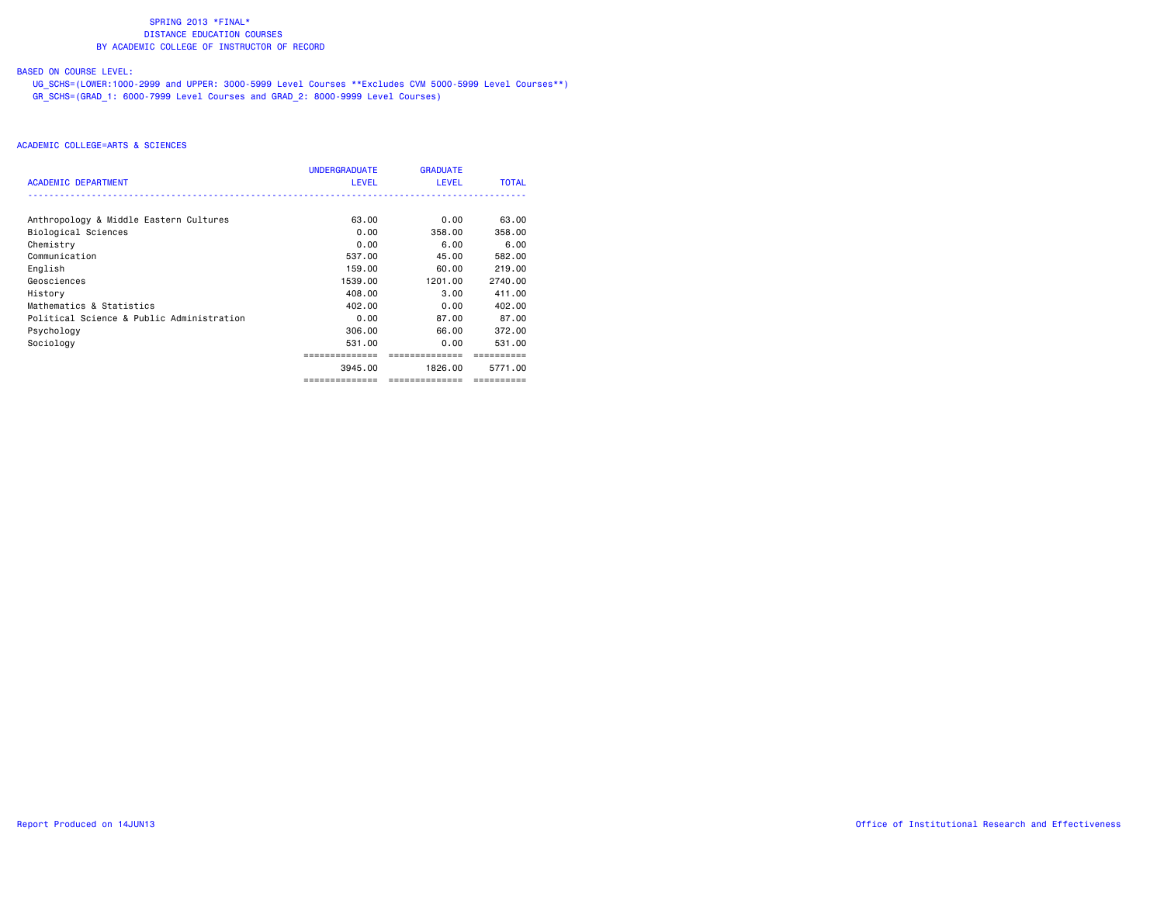# BASED ON COURSE LEVEL:

 UG\_SCHS=(LOWER:1000-2999 and UPPER: 3000-5999 Level Courses \*\*Excludes CVM 5000-5999 Level Courses\*\*) GR\_SCHS=(GRAD\_1: 6000-7999 Level Courses and GRAD\_2: 8000-9999 Level Courses)

| ACADEMIC DEPARTMENT                       | <b>UNDERGRADUATE</b><br><b>LEVEL</b> | <b>GRADUATE</b><br><b>LEVEL</b> | <b>TOTAL</b> |
|-------------------------------------------|--------------------------------------|---------------------------------|--------------|
|                                           |                                      |                                 |              |
| Anthropology & Middle Eastern Cultures    | 63.00                                | 0.00                            | 63.00        |
| Biological Sciences                       | 0.00                                 | 358.00                          | 358.00       |
| Chemistry                                 | 0.00                                 | 6.00                            | 6.00         |
| Communication                             | 537.00                               | 45.00                           | 582.00       |
| English                                   | 159.00                               | 60.00                           | 219.00       |
| Geosciences                               | 1539.00                              | 1201.00                         | 2740.00      |
| History                                   | 408.00                               | 3.00                            | 411.00       |
| Mathematics & Statistics                  | 402.00                               | 0.00                            | 402.00       |
| Political Science & Public Administration | 0.00                                 | 87.00                           | 87.00        |
| Psychology                                | 306.00                               | 66.00                           | 372.00       |
| Sociology                                 | 531.00                               | 0.00                            | 531.00       |
|                                           |                                      |                                 |              |
|                                           | 3945.00                              | 1826.00                         | 5771.00      |
|                                           | ==============                       | --------------                  | ==========   |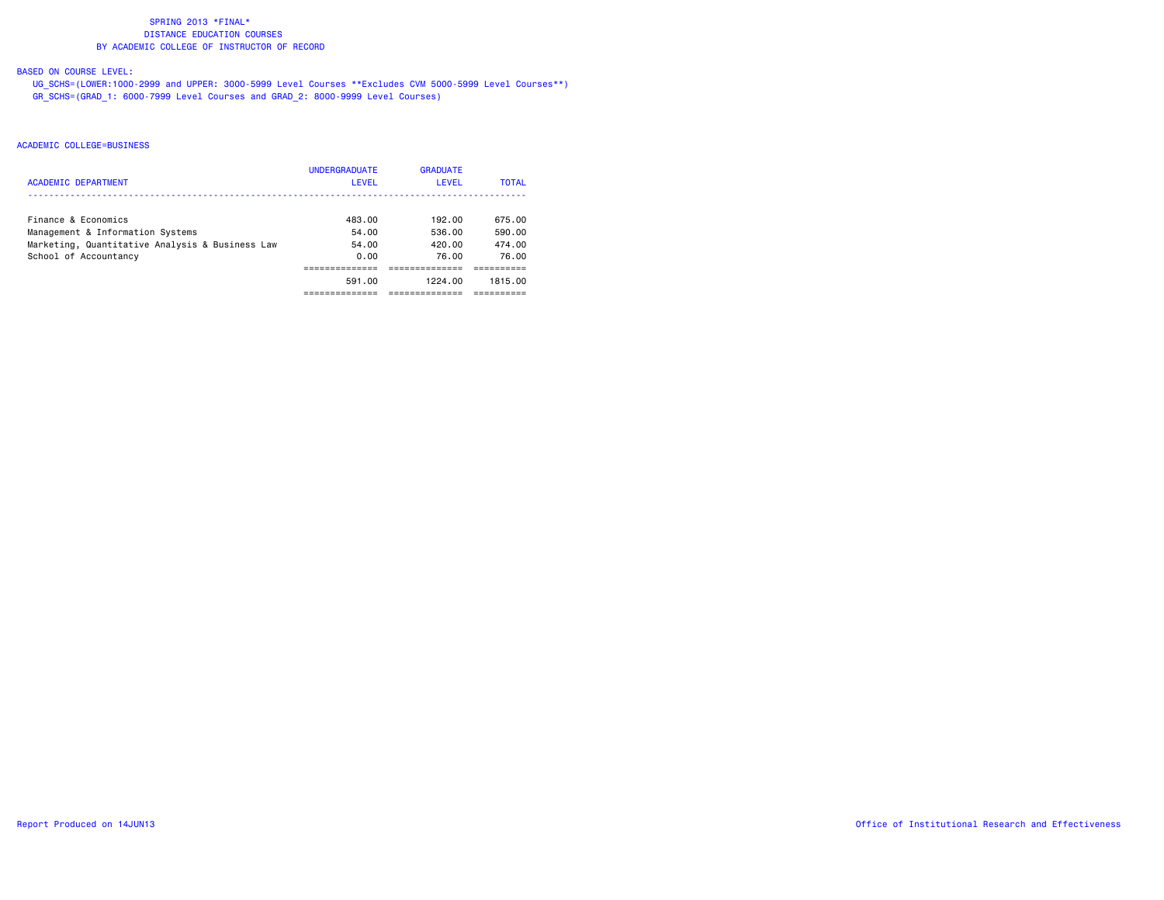# BASED ON COURSE LEVEL:

 UG\_SCHS=(LOWER:1000-2999 and UPPER: 3000-5999 Level Courses \*\*Excludes CVM 5000-5999 Level Courses\*\*) GR\_SCHS=(GRAD\_1: 6000-7999 Level Courses and GRAD\_2: 8000-9999 Level Courses)

| <b>ACADEMIC DEPARTMENT</b>                      | <b>UNDERGRADUATE</b><br>LEVEL | <b>GRADUATE</b><br>LEVEL | <b>TOTAL</b> |
|-------------------------------------------------|-------------------------------|--------------------------|--------------|
| Finance & Economics                             | 483.00                        | 192.00                   | 675.00       |
| Management & Information Systems                | 54.00                         | 536.00                   | 590.00       |
| Marketing, Quantitative Analysis & Business Law | 54.00                         | 420.00                   | 474.00       |
| School of Accountancy                           | 0.00                          | 76.00                    | 76.00        |
|                                                 |                               |                          |              |
|                                                 | 591.00                        | 1224.00                  | 1815.00      |
|                                                 |                               |                          |              |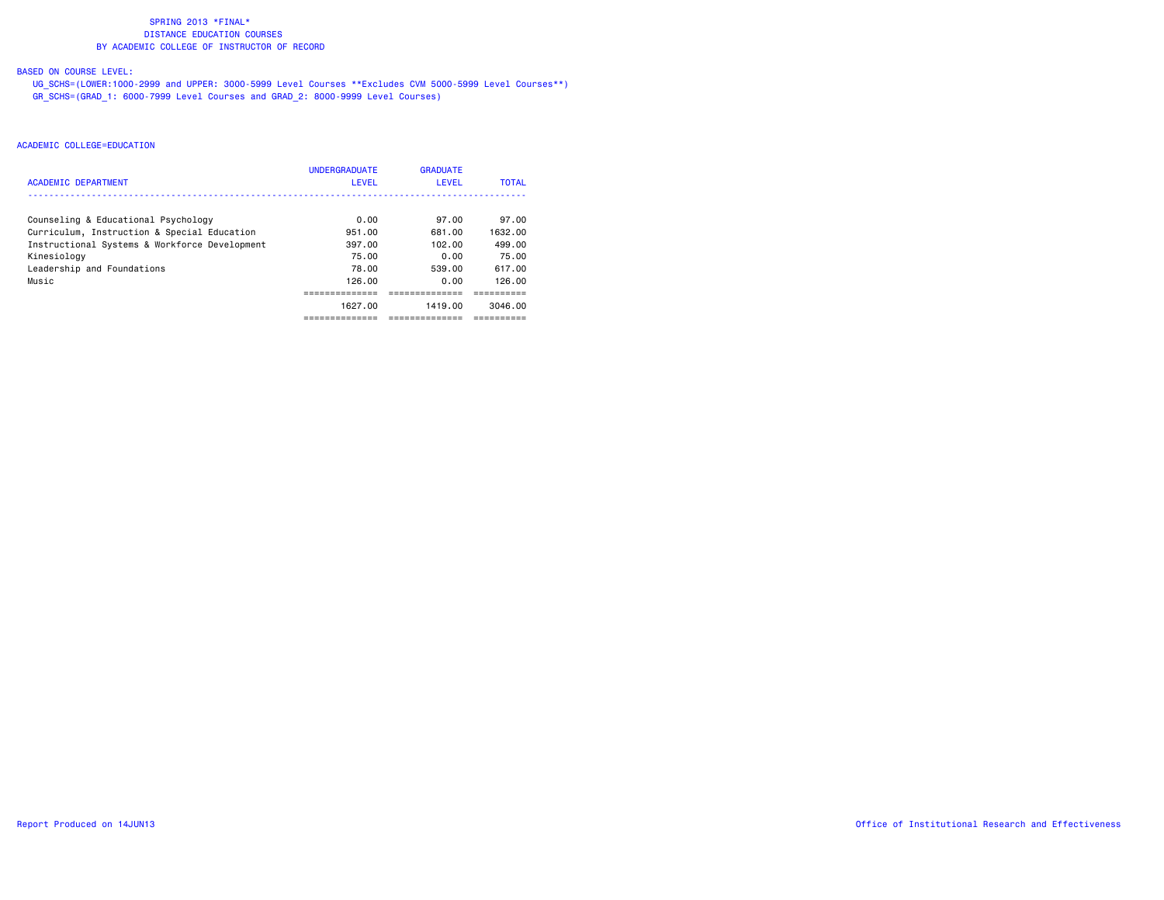# BASED ON COURSE LEVEL:

 UG\_SCHS=(LOWER:1000-2999 and UPPER: 3000-5999 Level Courses \*\*Excludes CVM 5000-5999 Level Courses\*\*) GR\_SCHS=(GRAD\_1: 6000-7999 Level Courses and GRAD\_2: 8000-9999 Level Courses)

| ACADEMIC DEPARTMENT                           | <b>UNDERGRADUATE</b><br>LEVEL | <b>GRADUATE</b><br>LEVEL | <b>TOTAL</b> |
|-----------------------------------------------|-------------------------------|--------------------------|--------------|
| Counseling & Educational Psychology           | 0.00                          | 97.00                    | 97.00        |
| Curriculum, Instruction & Special Education   | 951.00                        | 681.00                   | 1632.00      |
| Instructional Systems & Workforce Development | 397.00                        | 102.00                   | 499.00       |
| Kinesiology                                   | 75.00                         | 0.00                     | 75.00        |
| Leadership and Foundations                    | 78.00                         | 539.00                   | 617.00       |
| Music                                         | 126.00                        | 0.00                     | 126.00       |
|                                               |                               |                          |              |
|                                               | 1627.00                       | 1419.00                  | 3046.00      |
|                                               |                               |                          |              |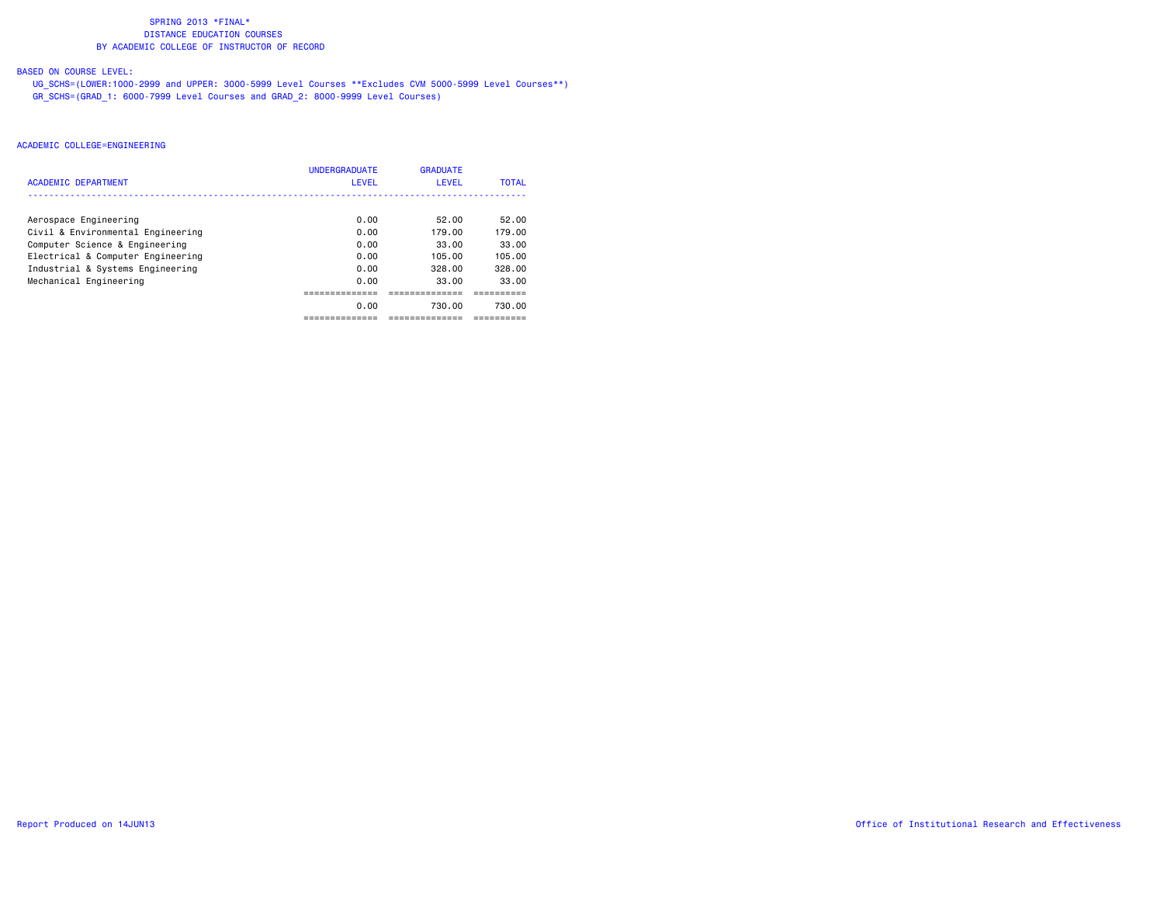# BASED ON COURSE LEVEL:

 UG\_SCHS=(LOWER:1000-2999 and UPPER: 3000-5999 Level Courses \*\*Excludes CVM 5000-5999 Level Courses\*\*) GR\_SCHS=(GRAD\_1: 6000-7999 Level Courses and GRAD\_2: 8000-9999 Level Courses)

| ACADEMIC DEPARTMENT               | <b>UNDERGRADUATE</b><br>LEVEL | <b>GRADUATE</b><br>LEVEL | <b>TOTAL</b> |
|-----------------------------------|-------------------------------|--------------------------|--------------|
| Aerospace Engineering             | 0.00                          | 52.00                    | 52.00        |
| Civil & Environmental Engineering | 0.00                          | 179.00                   | 179.00       |
| Computer Science & Engineering    | 0.00                          | 33.00                    | 33.00        |
| Electrical & Computer Engineering | 0.00                          | 105.00                   | 105.00       |
| Industrial & Systems Engineering  | 0.00                          | 328.00                   | 328.00       |
| Mechanical Engineering            | 0.00                          | 33.00                    | 33.00        |
|                                   |                               |                          |              |
|                                   | 0.00                          | 730.00                   | 730.00       |
|                                   |                               |                          |              |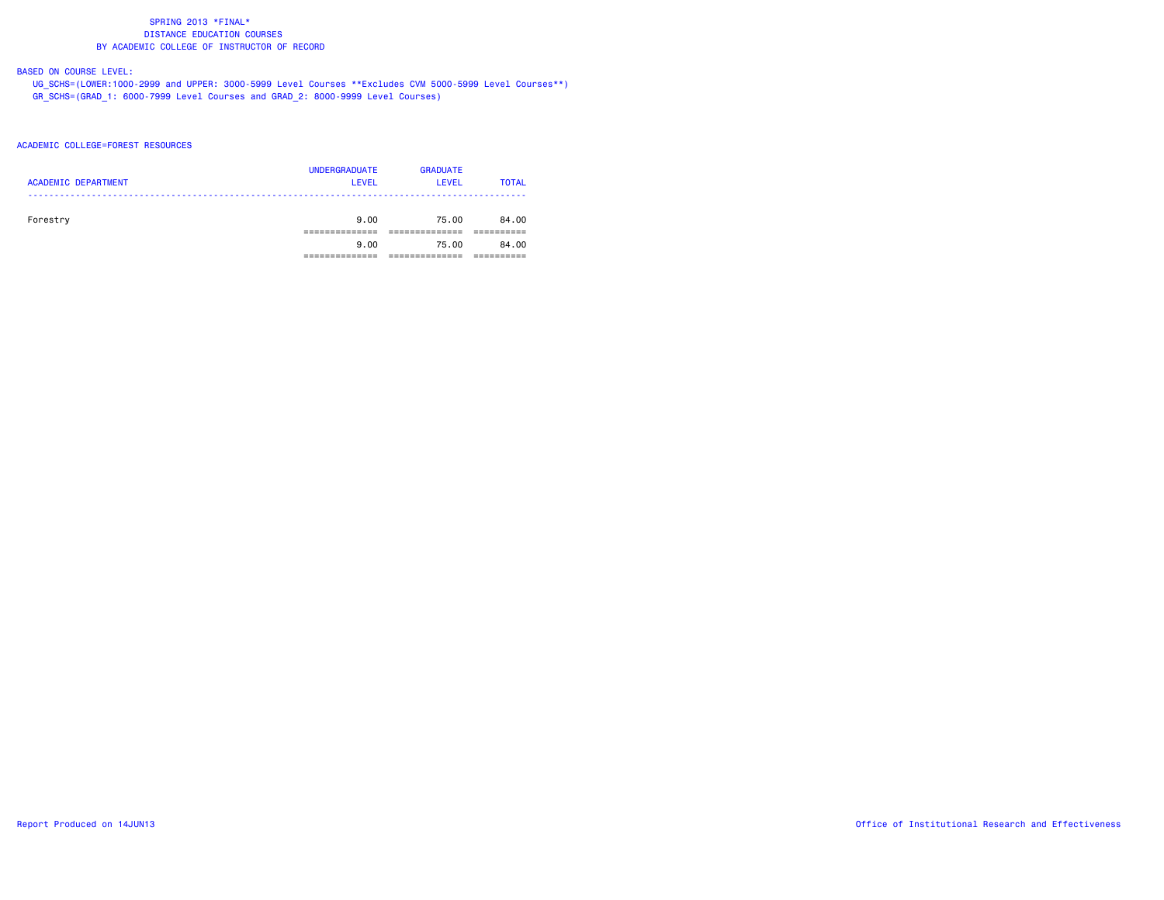# BASED ON COURSE LEVEL:

 UG\_SCHS=(LOWER:1000-2999 and UPPER: 3000-5999 Level Courses \*\*Excludes CVM 5000-5999 Level Courses\*\*) GR\_SCHS=(GRAD\_1: 6000-7999 Level Courses and GRAD\_2: 8000-9999 Level Courses)

### ACADEMIC COLLEGE=FOREST RESOURCES

| <b>ACADEMIC DEPARTMENT</b> | <b>UNDERGRADUATE</b><br><b>LEVEL</b> | <b>GRADUATE</b><br>LEVEL | <b>TOTAL</b> |
|----------------------------|--------------------------------------|--------------------------|--------------|
| Forestry                   | 9.00                                 | 75.00                    | 84.00        |
|                            | 9.00                                 | 75.00                    | 84.00        |
|                            |                                      |                          |              |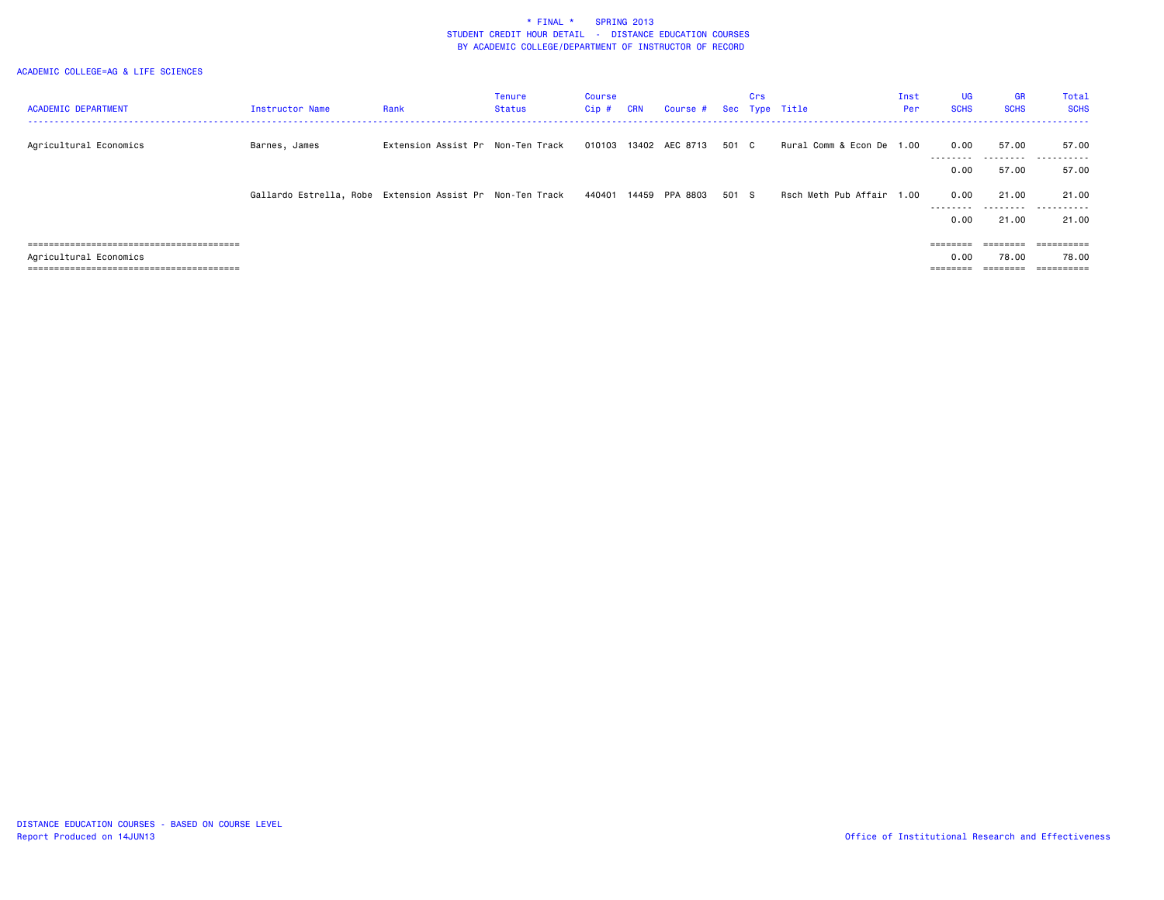| <b>ACADEMIC DEPARTMENT</b> | <b>Instructor Name</b>                                    | Rank                              | <b>Tenure</b><br>Status | Course<br>Cip # | <b>CRN</b> | Course # Sec Type Title |       | Crs |                           | Inst<br>Per | <b>UG</b><br><b>SCHS</b> | <b>GR</b><br><b>SCHS</b> | Total<br><b>SCHS</b>  |
|----------------------------|-----------------------------------------------------------|-----------------------------------|-------------------------|-----------------|------------|-------------------------|-------|-----|---------------------------|-------------|--------------------------|--------------------------|-----------------------|
|                            |                                                           |                                   |                         |                 |            |                         |       |     |                           |             |                          |                          |                       |
| Agricultural Economics     | Barnes, James                                             | Extension Assist Pr Non-Ten Track |                         |                 |            | 010103 13402 AEC 8713   | 501 C |     | Rural Comm & Econ De 1.00 |             | 0.00<br>---------        | 57.00                    | 57.00                 |
|                            |                                                           |                                   |                         |                 |            |                         |       |     |                           |             | 0.00                     | 57.00                    | 57.00                 |
|                            | Gallardo Estrella, Robe Extension Assist Pr Non-Ten Track |                                   |                         | 440401          | 14459      | PPA 8803                | 501 S |     | Rsch Meth Pub Affair 1.00 |             | 0.00<br>---------        | 21.00<br>.               | 21.00<br>.            |
|                            |                                                           |                                   |                         |                 |            |                         |       |     |                           |             | 0.00                     | 21.00                    | 21.00                 |
|                            |                                                           |                                   |                         |                 |            |                         |       |     |                           |             |                          | $=$ = = = = = = =        |                       |
| Agricultural Economics     |                                                           |                                   |                         |                 |            |                         |       |     |                           |             | 0.00                     | 78.00                    | 78.00                 |
| -------------------------- |                                                           |                                   |                         |                 |            |                         |       |     |                           |             |                          |                          | $=$ = = = = = = = = = |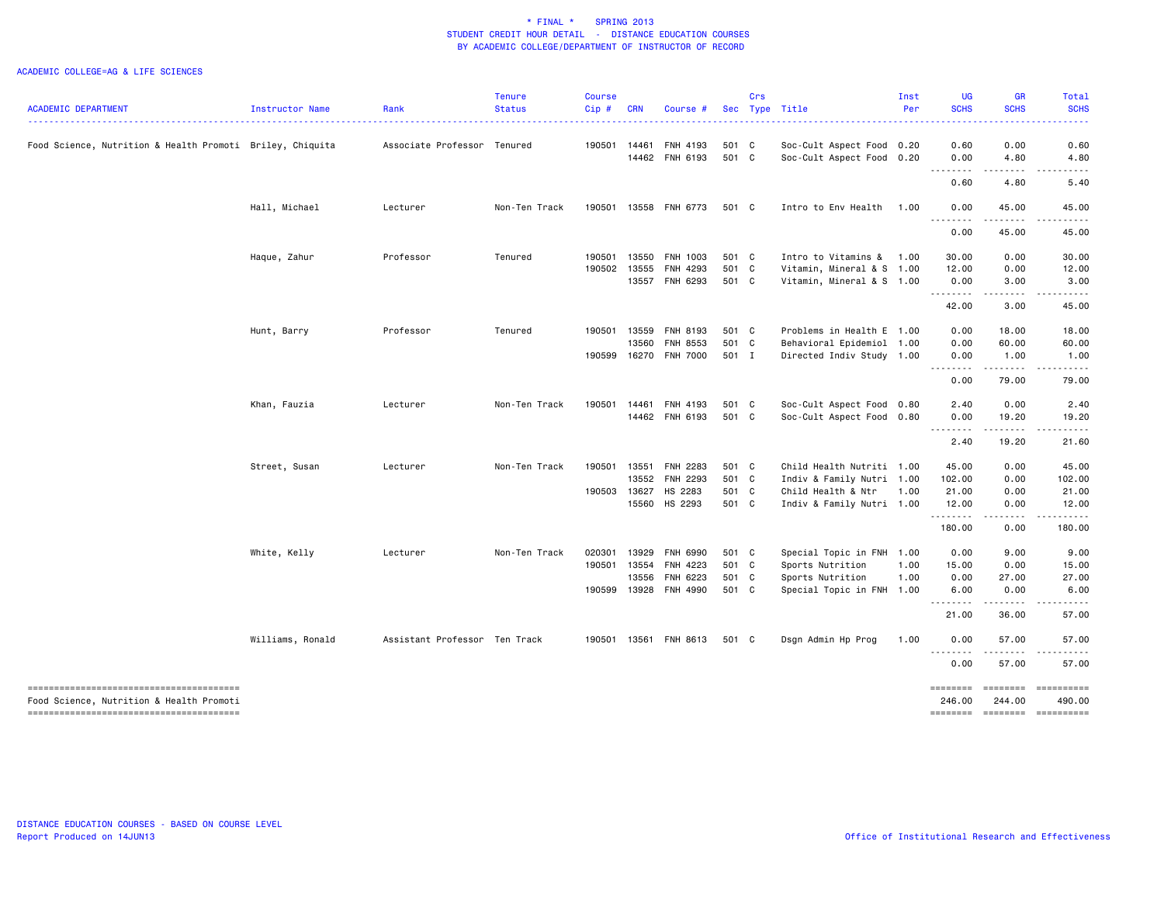| <b>ACADEMIC DEPARTMENT</b>                                | Instructor Name  | Rank                          | <b>Tenure</b><br><b>Status</b> | <b>Course</b><br>Cip# | <b>CRN</b> | Course #              |       | Crs | Sec Type Title            | Inst<br>Per | <b>UG</b><br><b>SCHS</b> | <b>GR</b><br><b>SCHS</b>                                                                                                           | Total<br><b>SCHS</b> |
|-----------------------------------------------------------|------------------|-------------------------------|--------------------------------|-----------------------|------------|-----------------------|-------|-----|---------------------------|-------------|--------------------------|------------------------------------------------------------------------------------------------------------------------------------|----------------------|
| Food Science, Nutrition & Health Promoti Briley, Chiquita |                  | Associate Professor Tenured   |                                | 190501                | 14461      | FNH 4193              | 501 C |     | Soc-Cult Aspect Food 0.20 |             | 0.60                     | 0.00                                                                                                                               | 0.60                 |
|                                                           |                  |                               |                                |                       |            | 14462 FNH 6193        | 501 C |     | Soc-Cult Aspect Food 0.20 |             | 0.00<br>- - -            | 4.80                                                                                                                               | 4.80                 |
|                                                           |                  |                               |                                |                       |            |                       |       |     |                           |             | 0.60                     | 4.80                                                                                                                               | 5.40                 |
|                                                           | Hall, Michael    | Lecturer                      | Non-Ten Track                  |                       |            | 190501 13558 FNH 6773 | 501 C |     | Intro to Env Health       | 1.00        | 0.00<br>.                | 45.00                                                                                                                              | 45.00                |
|                                                           |                  |                               |                                |                       |            |                       |       |     |                           |             | 0.00                     | 45.00                                                                                                                              | 45.00                |
|                                                           | Haque, Zahur     | Professor                     | Tenured                        | 190501                |            | 13550 FNH 1003        | 501 C |     | Intro to Vitamins &       | 1.00        | 30.00                    | 0.00                                                                                                                               | 30.00                |
|                                                           |                  |                               |                                |                       |            | 190502 13555 FNH 4293 | 501 C |     | Vitamin, Mineral & S 1.00 |             | 12.00                    | 0.00                                                                                                                               | 12.00                |
|                                                           |                  |                               |                                |                       |            | 13557 FNH 6293        | 501 C |     | Vitamin, Mineral & S 1.00 |             | 0.00<br>.                | 3.00<br>.                                                                                                                          | 3.00                 |
|                                                           |                  |                               |                                |                       |            |                       |       |     |                           |             | 42.00                    | 3.00                                                                                                                               | 45.00                |
|                                                           | Hunt, Barry      | Professor                     | Tenured                        | 190501                | 13559      | FNH 8193              | 501 C |     | Problems in Health E 1.00 |             | 0.00                     | 18.00                                                                                                                              | 18.00                |
|                                                           |                  |                               |                                |                       | 13560      | <b>FNH 8553</b>       | 501 C |     | Behavioral Epidemiol 1.00 |             | 0.00                     | 60.00                                                                                                                              | 60.00                |
|                                                           |                  |                               |                                | 190599                |            | 16270 FNH 7000        | 501 I |     | Directed Indiv Study 1.00 |             | 0.00                     | 1.00                                                                                                                               | 1.00                 |
|                                                           |                  |                               |                                |                       |            |                       |       |     |                           |             | 0.00                     | 79.00                                                                                                                              | 79.00                |
|                                                           | Khan, Fauzia     | Lecturer                      | Non-Ten Track                  | 190501                |            | 14461 FNH 4193        | 501 C |     | Soc-Cult Aspect Food 0.80 |             | 2.40                     | 0.00                                                                                                                               | 2.40                 |
|                                                           |                  |                               |                                |                       |            | 14462 FNH 6193        | 501 C |     | Soc-Cult Aspect Food 0.80 |             | 0.00                     | 19.20<br>$\frac{1}{2} \left( \frac{1}{2} \right) \left( \frac{1}{2} \right) \left( \frac{1}{2} \right) \left( \frac{1}{2} \right)$ | 19.20                |
|                                                           |                  |                               |                                |                       |            |                       |       |     |                           |             | 2.40                     | 19.20                                                                                                                              | 21.60                |
|                                                           | Street, Susan    | Lecturer                      | Non-Ten Track                  | 190501                |            | 13551 FNH 2283        | 501 C |     | Child Health Nutriti 1.00 |             | 45.00                    | 0.00                                                                                                                               | 45.00                |
|                                                           |                  |                               |                                |                       |            | 13552 FNH 2293        | 501 C |     | Indiv & Family Nutri 1.00 |             | 102.00                   | 0.00                                                                                                                               | 102.00               |
|                                                           |                  |                               |                                | 190503                | 13627      | HS 2283               | 501 C |     | Child Health & Ntr        | 1.00        | 21.00                    | 0.00                                                                                                                               | 21.00                |
|                                                           |                  |                               |                                |                       |            | 15560 HS 2293         | 501 C |     | Indiv & Family Nutri 1.00 |             | 12.00<br>.               | 0.00<br>.                                                                                                                          | 12.00<br>.           |
|                                                           |                  |                               |                                |                       |            |                       |       |     |                           |             | 180.00                   | 0.00                                                                                                                               | 180.00               |
|                                                           | White, Kelly     | Lecturer                      | Non-Ten Track                  | 020301                |            | 13929 FNH 6990        | 501 C |     | Special Topic in FNH 1.00 |             | 0.00                     | 9.00                                                                                                                               | 9.00                 |
|                                                           |                  |                               |                                | 190501                | 13554      | FNH 4223              | 501 C |     | Sports Nutrition          | 1.00        | 15.00                    | 0.00                                                                                                                               | 15.00                |
|                                                           |                  |                               |                                |                       | 13556      | FNH 6223              | 501 C |     | Sports Nutrition          | 1.00        | 0.00                     | 27.00                                                                                                                              | 27.00                |
|                                                           |                  |                               |                                | 190599                |            | 13928 FNH 4990        | 501 C |     | Special Topic in FNH 1.00 |             | 6.00                     | 0.00                                                                                                                               | 6.00                 |
|                                                           |                  |                               |                                |                       |            |                       |       |     |                           |             | 21.00                    | 36.00                                                                                                                              | 57.00                |
|                                                           | Williams, Ronald | Assistant Professor Ten Track |                                |                       |            | 190501 13561 FNH 8613 | 501 C |     | Dsgn Admin Hp Prog        | 1.00        | 0.00                     | 57.00                                                                                                                              | 57.00                |
|                                                           |                  |                               |                                |                       |            |                       |       |     |                           |             | 0.00                     | 57.00                                                                                                                              | 57.00                |
|                                                           |                  |                               |                                |                       |            |                       |       |     |                           |             | --------                 | ========                                                                                                                           | ==========           |
| Food Science, Nutrition & Health Promoti                  |                  |                               |                                |                       |            |                       |       |     |                           |             | 246.00                   | 244.00<br>-------- ------- ---------                                                                                               | 490.00               |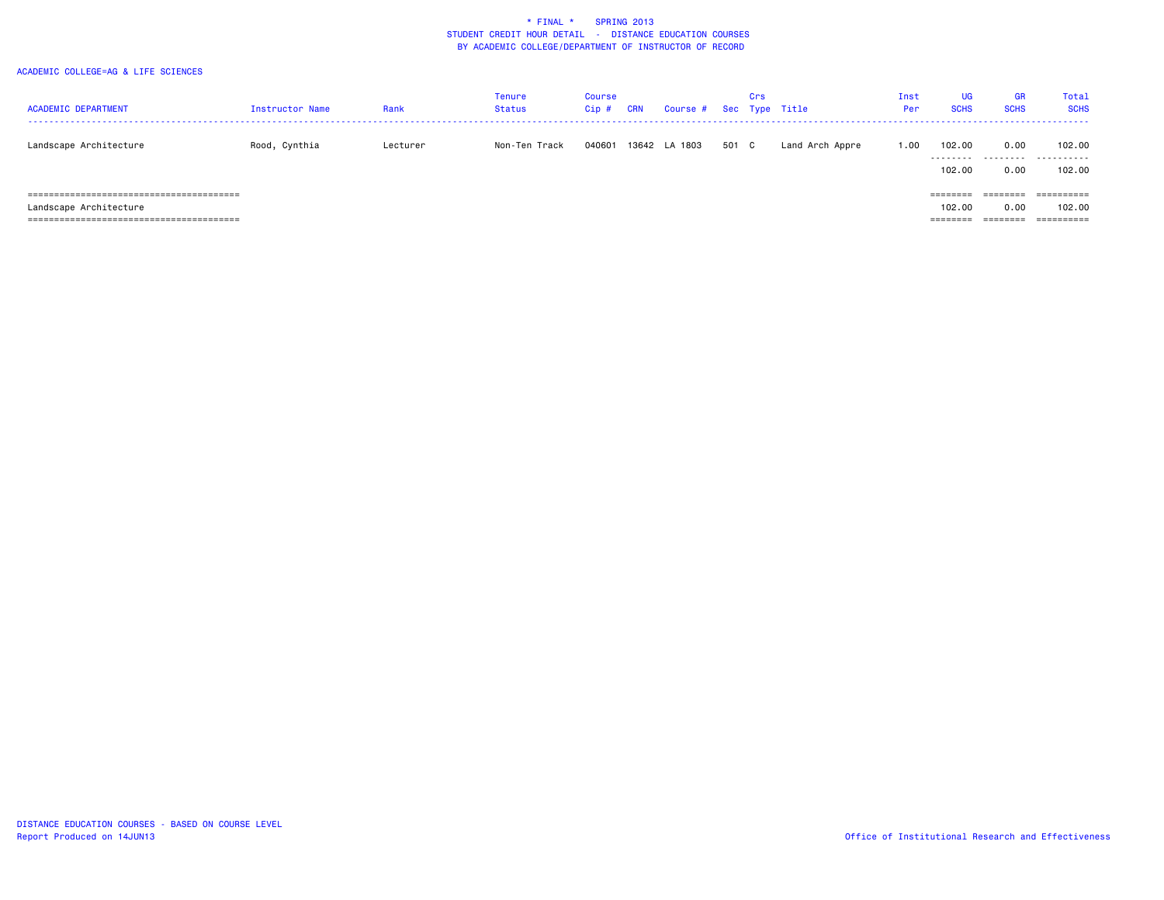| <b>ACADEMIC DEPARTMENT</b> | Instructor Name | Rank     | <b>Tenure</b><br><b>Status</b> | Course<br>$Cip$ # | CRN | Course # Sec Type Title |       | Crs |                 | Inst<br>Per | <b>UG</b><br><b>SCHS</b> | <b>GR</b><br><b>SCHS</b> | Total<br><b>SCHS</b> |
|----------------------------|-----------------|----------|--------------------------------|-------------------|-----|-------------------------|-------|-----|-----------------|-------------|--------------------------|--------------------------|----------------------|
| Landscape Architecture     | Rood, Cynthia   | Lecturer | Non-Ten Track                  | 040601            |     | 13642 LA 1803           | 501 C |     | Land Arch Appre | 1.00        | 102.00<br>.              | 0.00<br>.                | 102.00<br>.          |
|                            |                 |          |                                |                   |     |                         |       |     |                 |             | 102.00                   | 0.00                     | 102.00               |
|                            |                 |          |                                |                   |     |                         |       |     |                 |             | $=$ = = = = = = =        | ========                 |                      |
| Landscape Architecture     |                 |          |                                |                   |     |                         |       |     |                 |             | 102.00                   | 0.00                     | 102,00               |
|                            |                 |          |                                |                   |     |                         |       |     |                 |             |                          |                          | ==========           |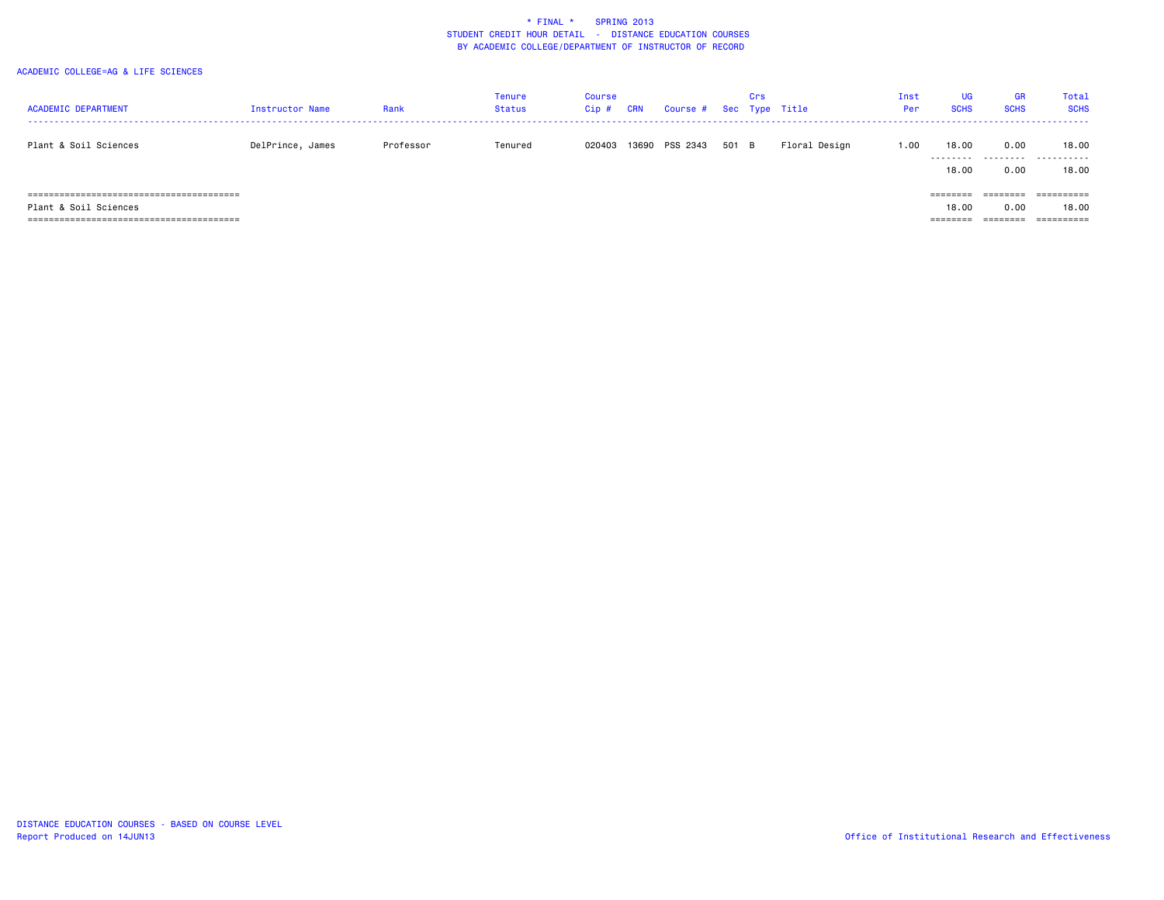| <b>ACADEMIC DEPARTMENT</b>                                           | Instructor Name  | Rank      | Tenure<br><b>Status</b> | Course<br>$Cip \#$ | <b>CRN</b> | Course # Sec Type Title |       | Crs |               | Inst<br>Per | <b>UG</b><br><b>SCHS</b> | <b>GR</b><br><b>SCHS</b> | Total<br><b>SCHS</b>                         |
|----------------------------------------------------------------------|------------------|-----------|-------------------------|--------------------|------------|-------------------------|-------|-----|---------------|-------------|--------------------------|--------------------------|----------------------------------------------|
| Plant & Soil Sciences                                                | DelPrince, James | Professor | Tenured                 | 020403             |            | 13690 PSS 2343          | 501 B |     | Floral Design | 1.00        | 18.00<br>.<br>18,00      | 0.00<br>0.00             | 18.00<br>-------<br>18.00                    |
| Plant & Soil Sciences<br>------------------------<br>======<br>===== |                  |           |                         |                    |            |                         |       |     |               |             | ========<br>18,00        | ---------<br>0.00        | $=$ = = = = = = = = =<br>18.00<br>========== |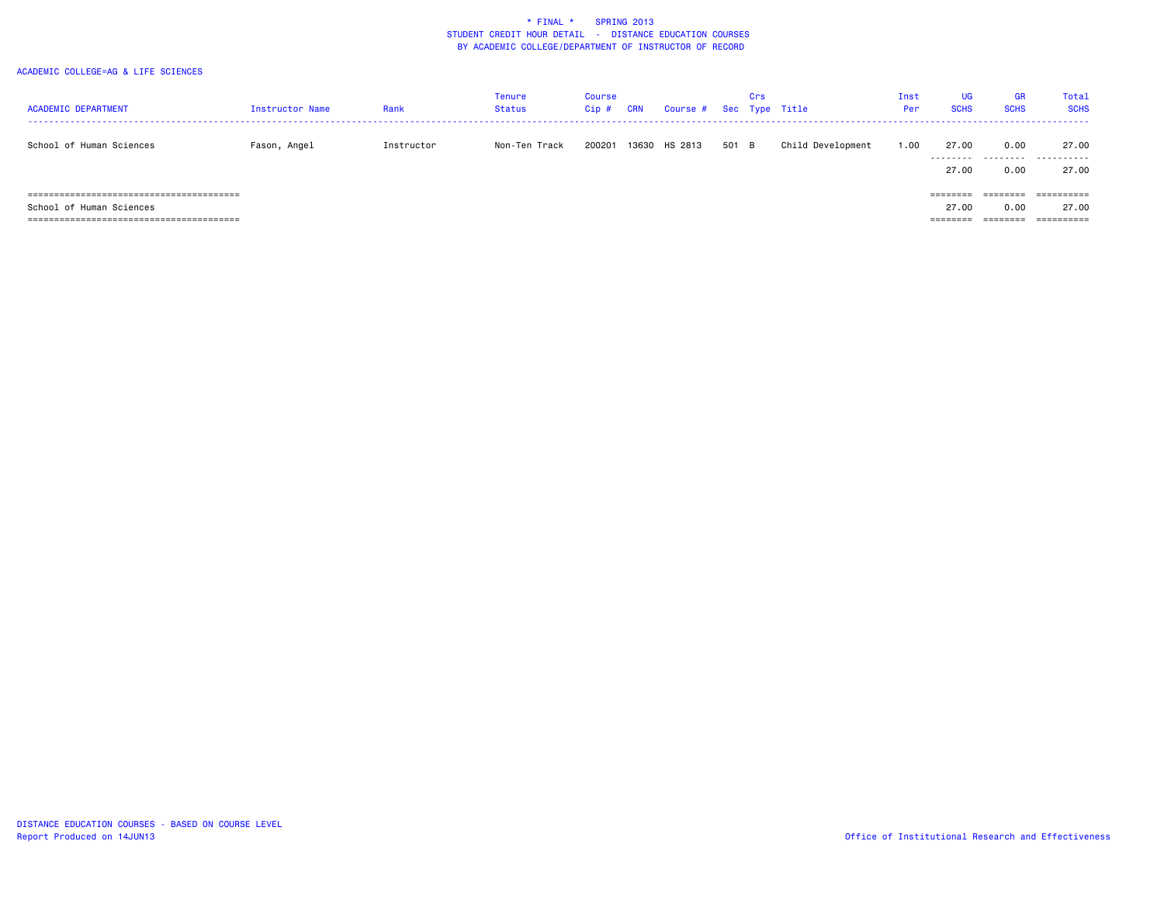| <b>ACADEMIC DEPARTMENT</b> | <b>Instructor Name</b> | Rank       | <b>Tenure</b><br><b>Status</b> | Course<br>Cip# | CRN | Course # Sec Type Title |       | Crs |                   | Inst<br>Per | <b>UG</b><br><b>SCHS</b>   | GR<br><b>SCHS</b>                                     | Total<br><b>SCHS</b>              |
|----------------------------|------------------------|------------|--------------------------------|----------------|-----|-------------------------|-------|-----|-------------------|-------------|----------------------------|-------------------------------------------------------|-----------------------------------|
| School of Human Sciences   | Fason, Angel           | Instructor | Non-Ten Track                  | 200201         |     | 13630 HS 2813           | 501 B |     | Child Development | 1.00        | 27.00<br>27.00             | 0.00<br>0.00                                          | 27.00<br><br>27.00                |
| School of Human Sciences   |                        |            |                                |                |     |                         |       |     |                   |             | 27.00<br>$=$ = = = = = = = | ________<br>--------<br>0.00<br>---------<br>-------- | -----------<br>---------<br>27.00 |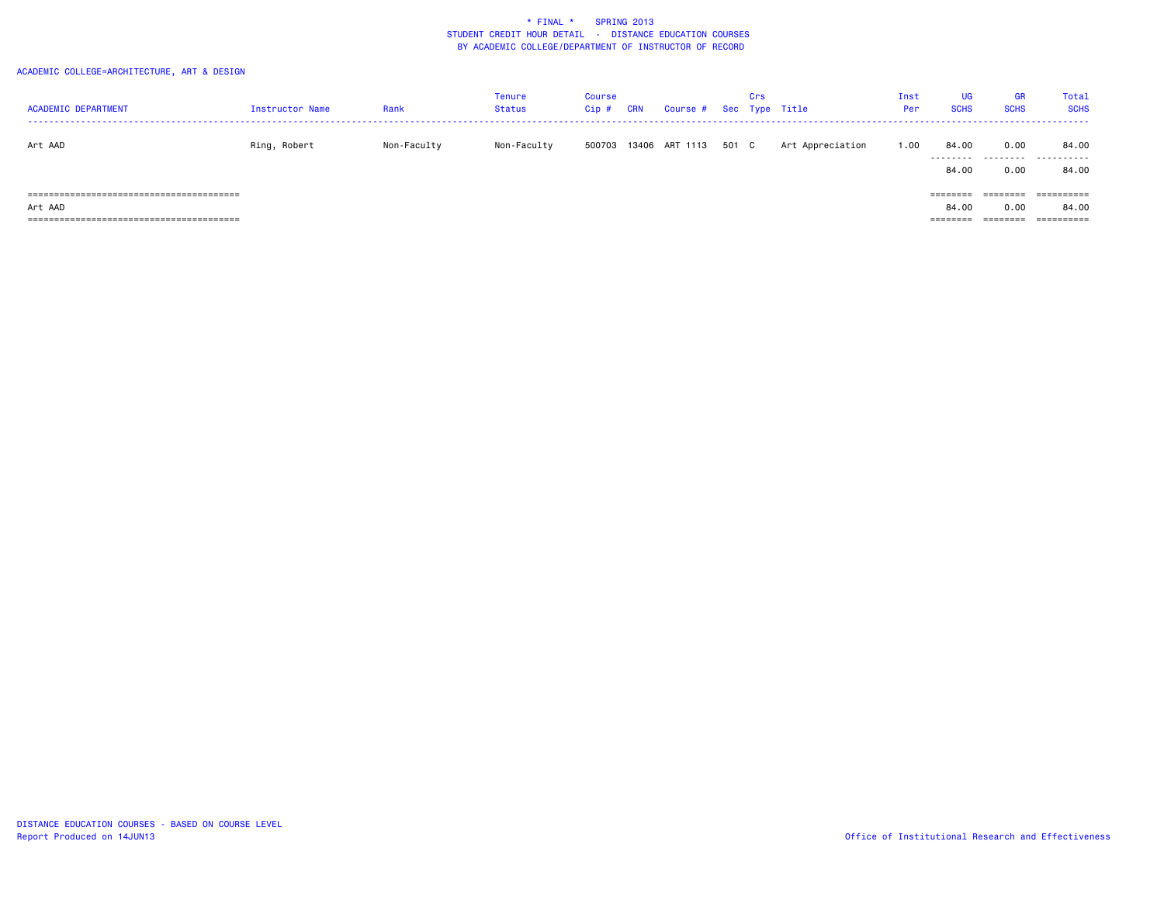## ACADEMIC COLLEGE=ARCHITECTURE, ART & DESIGN

| <b>ACADEMIC DEPARTMENT</b> | Instructor Name | Rank        | Tenure<br><b>Status</b> | Course<br>Cip# | <b>CRN</b> | Course # Sec Type Title |       | Crs |                  | Inst<br>Per | <b>UG</b><br><b>SCHS</b>                   | <b>GR</b><br><b>SCHS</b>     | Total<br><b>SCHS</b>              |
|----------------------------|-----------------|-------------|-------------------------|----------------|------------|-------------------------|-------|-----|------------------|-------------|--------------------------------------------|------------------------------|-----------------------------------|
| Art AAD                    | Ring, Robert    | Non-Faculty | Non-Faculty             | 500703         |            | 13406 ART 1113          | 501 C |     | Art Appreciation | 1.00        | 84.00<br>.<br>84.00                        | 0.00<br>0.00                 | 84.00<br>.<br>84.00               |
| Art AAD                    |                 |             |                         |                |            |                         |       |     |                  |             | --------<br>84.00<br>---------<br>-------- | ========<br>0.00<br>======== | ==========<br>84.00<br>========== |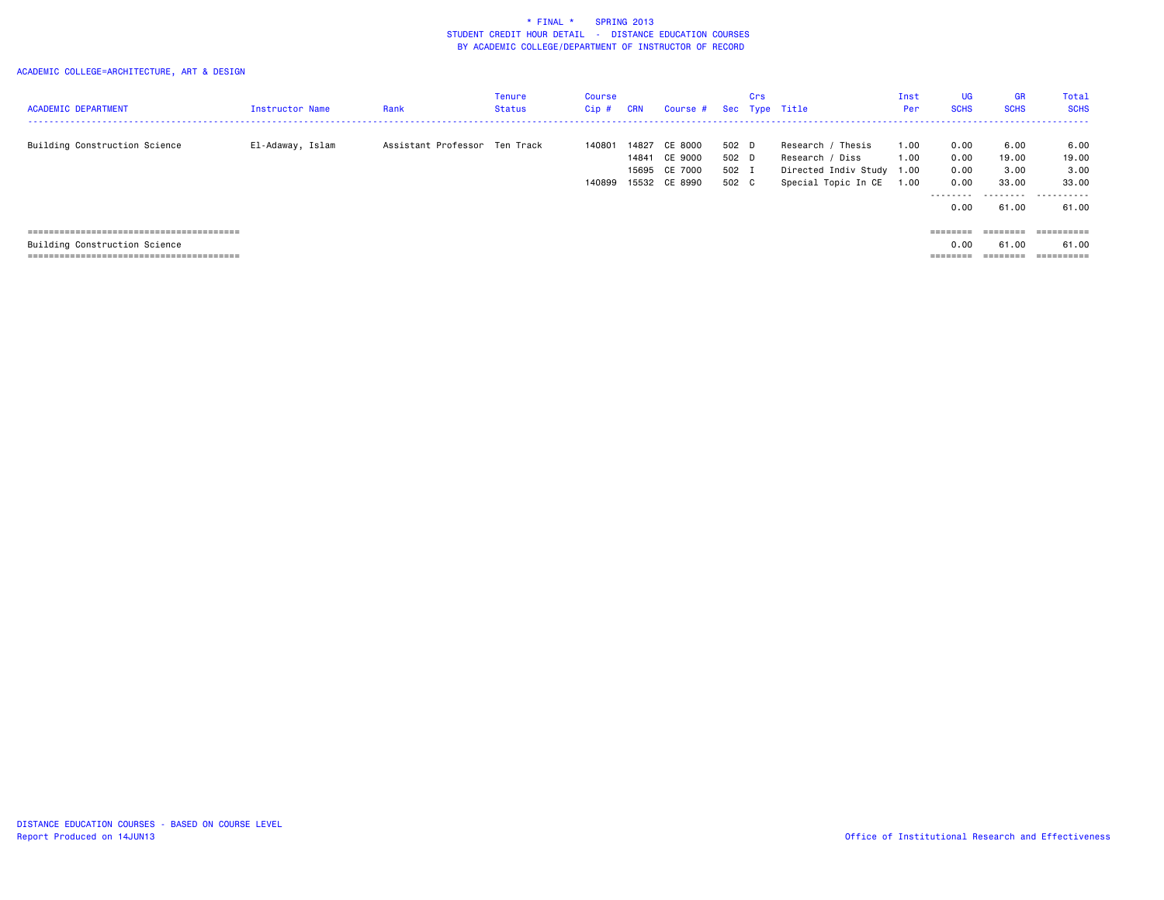## ACADEMIC COLLEGE=ARCHITECTURE, ART & DESIGN

|                               |                  |                               | Tenure | Course |            |                         |       | Crs |                           | Inst   | <b>UG</b>   | <b>GR</b>                                                               | Total       |
|-------------------------------|------------------|-------------------------------|--------|--------|------------|-------------------------|-------|-----|---------------------------|--------|-------------|-------------------------------------------------------------------------|-------------|
| <b>ACADEMIC DEPARTMENT</b>    | Instructor Name  | Rank                          | Status | Cip#   | <b>CRN</b> | Course # Sec Type Title |       |     |                           | Per    | <b>SCHS</b> | <b>SCHS</b>                                                             | <b>SCHS</b> |
|                               |                  |                               |        |        |            |                         |       |     |                           |        |             |                                                                         |             |
| Building Construction Science | El-Adaway, Islam | Assistant Professor Ten Track |        | 140801 | 14827      | CE 8000                 | 502 D |     | Research /<br>' Thesis    | 1.00   | 0.00        | 6.00                                                                    | 6.00        |
|                               |                  |                               |        |        | 14841      | CE 9000                 | 502 D |     | Research / Diss           | 1.00   | 0.00        | 19.00                                                                   | 19.00       |
|                               |                  |                               |        |        |            | 15695 CE 7000           | 502 I |     | Directed Indiv Study 1.00 |        | 0.00        | 3.00                                                                    | 3.00        |
|                               |                  |                               |        | 140899 |            | 15532 CE 8990           | 502 C |     | Special Topic In CE       | 00 ، ا | 0.00        | 33.00                                                                   | 33.00       |
|                               |                  |                               |        |        |            |                         |       |     |                           |        | ---------   |                                                                         |             |
|                               |                  |                               |        |        |            |                         |       |     |                           |        | 0.00        | 61.00                                                                   | 61.00       |
|                               |                  |                               |        |        |            |                         |       |     |                           |        |             |                                                                         |             |
|                               |                  |                               |        |        |            |                         |       |     |                           |        | ========    | $\qquad \qquad \equiv \equiv \equiv \equiv \equiv \equiv \equiv \equiv$ | ==========  |
| Building Construction Science |                  |                               |        |        |            |                         |       |     |                           |        | 0.00        | 61.00                                                                   | 61.00       |

======================================== ======== ======== ==========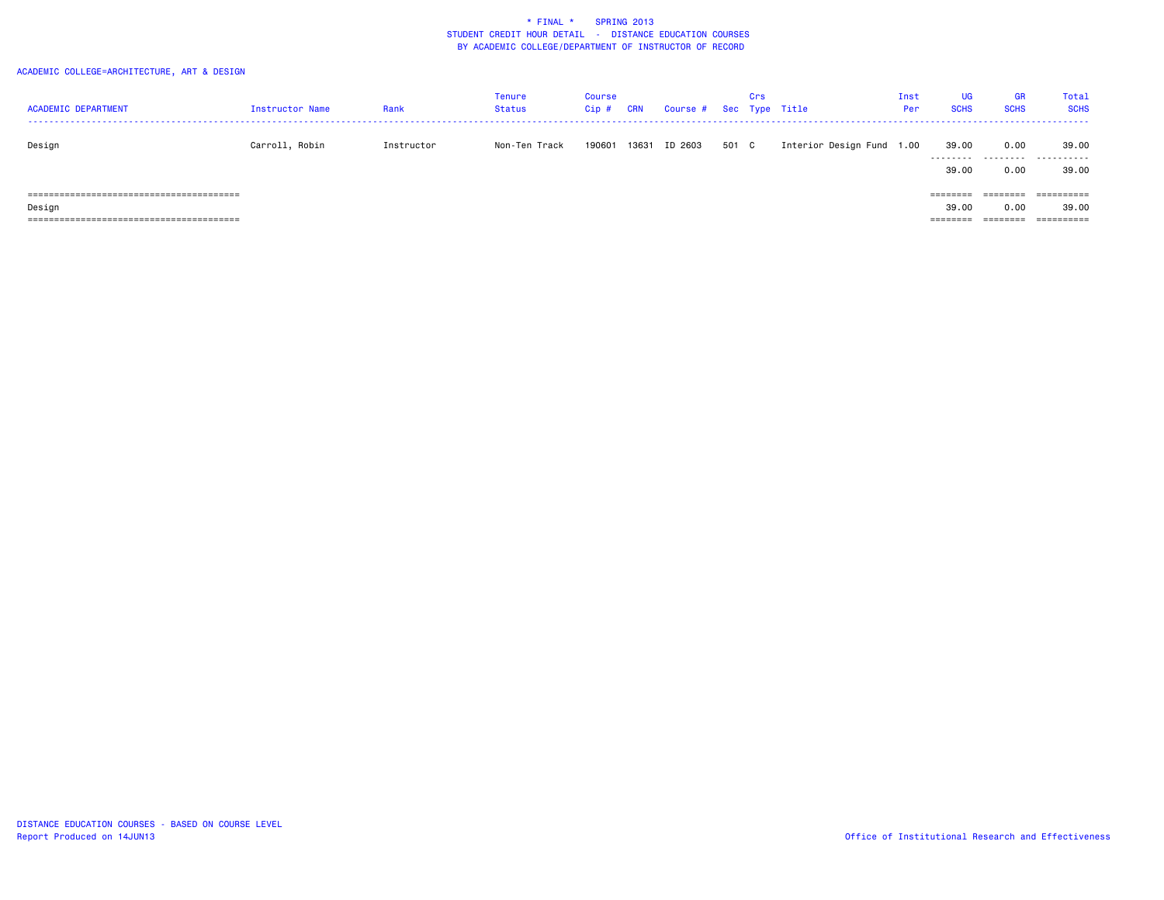## ACADEMIC COLLEGE=ARCHITECTURE, ART & DESIGN

| <b>ACADEMIC DEPARTMENT</b> | Instructor Name | Rank       | Tenure<br><b>Status</b> | Course<br>$Cip$ # | CRN | Course # Sec Type Title |       | Crs |                           | Inst<br>Per | <b>UG</b><br><b>SCHS</b>      | <b>GR</b><br><b>SCHS</b>     | Tota:<br><b>SCHS</b> |
|----------------------------|-----------------|------------|-------------------------|-------------------|-----|-------------------------|-------|-----|---------------------------|-------------|-------------------------------|------------------------------|----------------------|
| Design                     | Carroll, Robin  | Instructor | Non-Ten Track           | 190601            |     | 13631 ID 2603           | 501 C |     | Interior Design Fund 1.00 |             | 39.00                         | 0.00                         | 39,00<br>            |
|                            |                 |            |                         |                   |     |                         |       |     |                           |             | 39.00<br>========             | 0.00<br>--------<br>-------- | 39,00<br>==========  |
| Design                     |                 |            |                         |                   |     |                         |       |     |                           |             | 39.00<br>________<br>-------- | 0.00<br>________<br>-------- | 39,00                |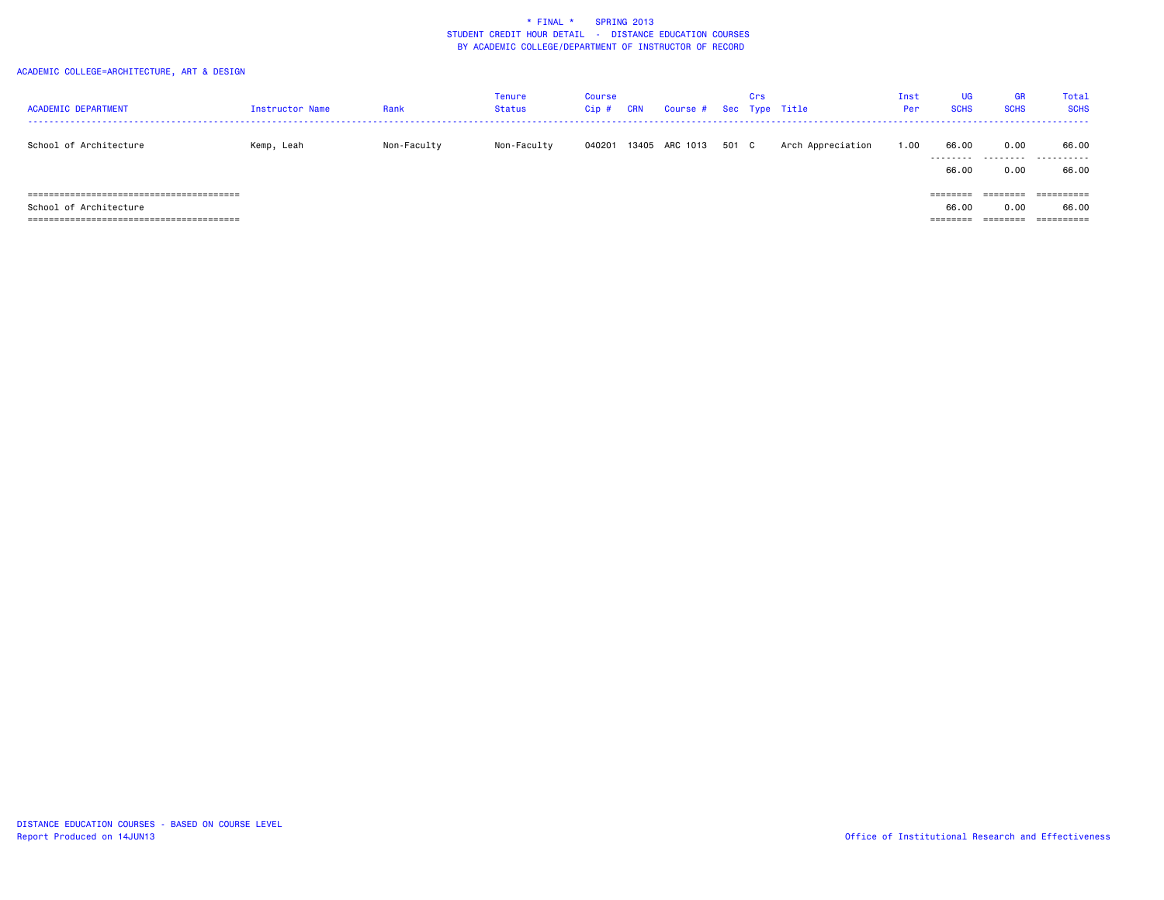## ACADEMIC COLLEGE=ARCHITECTURE, ART & DESIGN

| <b>ACADEMIC DEPARTMENT</b> | <b>Instructor Name</b> | Rank        | Tenure<br><b>Status</b> | Course<br>Cip# | <b>CRN</b> | Course #       |       | Crs | Sec Type Title    | Inst<br>Per | UG<br><b>SCHS</b>             | <b>GR</b><br><b>SCHS</b>     | Total<br><b>SCHS</b>              |
|----------------------------|------------------------|-------------|-------------------------|----------------|------------|----------------|-------|-----|-------------------|-------------|-------------------------------|------------------------------|-----------------------------------|
| School of Architecture     | Kemp, Leah             | Non-Faculty | Non-Faculty             | 040201         |            | 13405 ARC 1013 | 501 C |     | Arch Appreciation | 1.00        | 66.00<br>.<br>66.00           | 0.00<br>0.00                 | 66.00<br><br>66.00                |
| School of Architecture     |                        |             |                         |                |            |                |       |     |                   |             | --------<br>66.00<br>-------- | ========<br>0.00<br>======== | ==========<br>66.00<br>========== |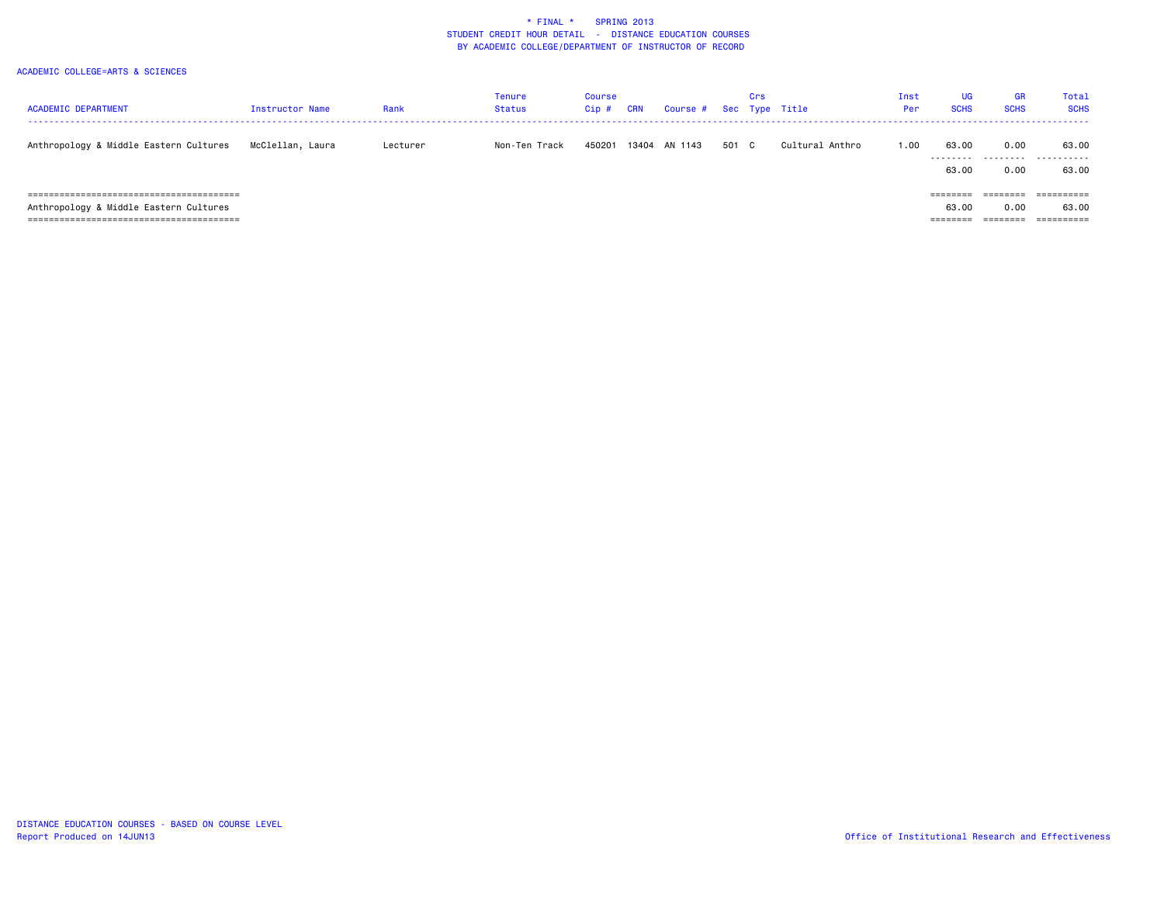| <b>ACADEMIC DEPARTMENT</b>             | <b>Instructor Name</b> | Rank     | <b>Tenure</b><br>Status | Course<br>Cip# | <b>CRN</b> | Course # Sec Type Title |       | Crs |                 | Inst<br>Per | UG<br><b>SCHS</b>                          | GR<br><b>SCHS</b>                                    | Total<br><b>SCHS</b>                             |
|----------------------------------------|------------------------|----------|-------------------------|----------------|------------|-------------------------|-------|-----|-----------------|-------------|--------------------------------------------|------------------------------------------------------|--------------------------------------------------|
| Anthropology & Middle Eastern Cultures | McClellan, Laura       | Lecturer | Non-Ten Track           | 450201         |            | 13404 AN 1143           | 501 C |     | Cultural Anthro | 1.00        | 63.00<br>63.00                             | 0.00<br>0.00                                         | 63.00<br><br>63.00                               |
| Anthropology & Middle Eastern Cultures |                        |          |                         |                |            |                         |       |     |                 |             | ========<br>63.00<br>---------<br>-------- | --------<br>--------<br>0.00<br>--------<br>-------- | ==========<br>63.00<br>-----------<br>---------- |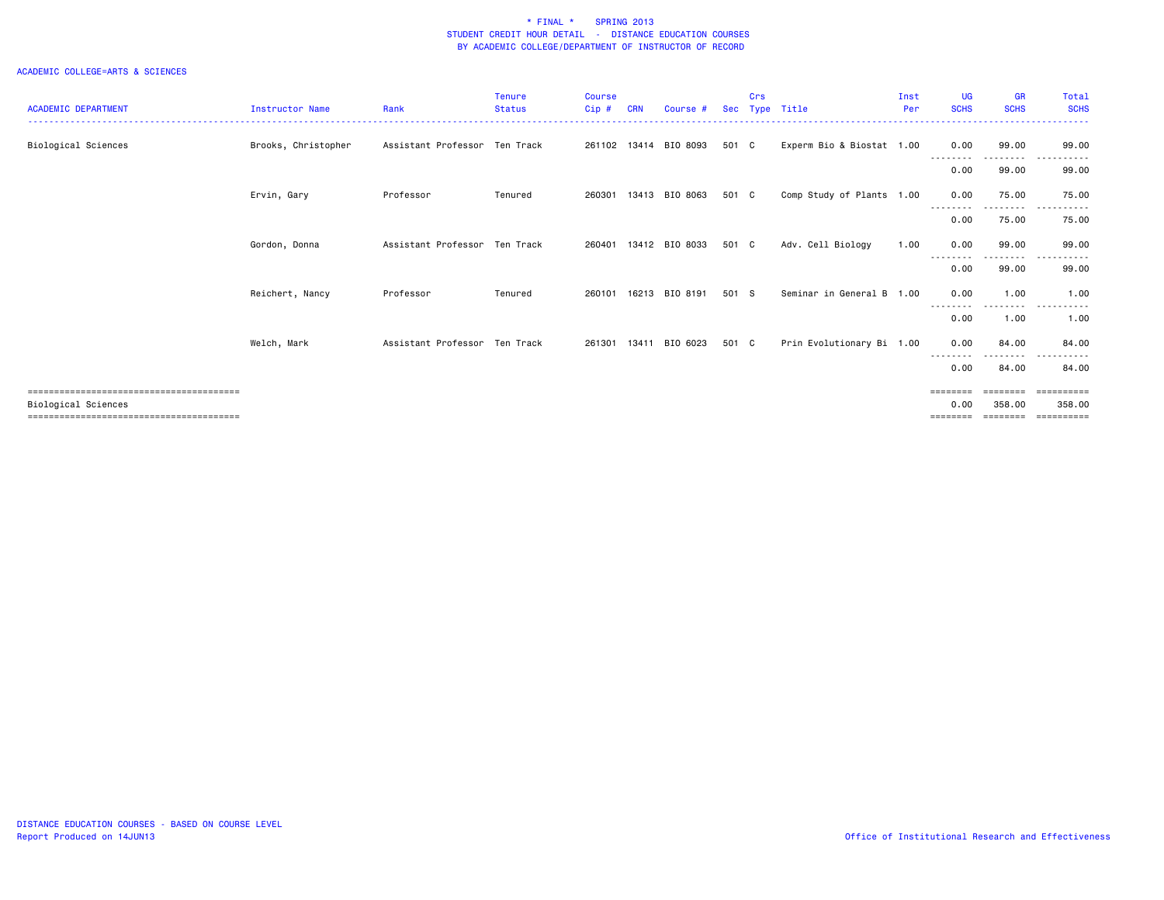|                            |                        |                               | <b>Tenure</b> | <b>Course</b> |       |                       |            | Crs |                           | Inst | UG          | <b>GR</b>                  | Total            |
|----------------------------|------------------------|-------------------------------|---------------|---------------|-------|-----------------------|------------|-----|---------------------------|------|-------------|----------------------------|------------------|
| <b>ACADEMIC DEPARTMENT</b> | <b>Instructor Name</b> | Rank                          | <b>Status</b> | $Cip$ #       | CRN   | Course #              | <b>Sec</b> |     | Type Title                | Per  | <b>SCHS</b> | <b>SCHS</b>                | <b>SCHS</b>      |
|                            |                        |                               |               |               |       |                       |            |     |                           |      |             |                            |                  |
| Biological Sciences        | Brooks, Christopher    | Assistant Professor Ten Track |               |               |       | 261102 13414 BIO 8093 | 501 C      |     | Experm Bio & Biostat 1.00 |      | 0.00        | 99.00<br>- - - - - - - - - | 99.00<br>------  |
|                            |                        |                               |               |               |       |                       |            |     |                           |      | 0.00        | 99.00                      | 99.00            |
|                            | Ervin, Gary            | Professor                     | Tenured       | 260301        |       | 13413 BIO 8063        | 501 C      |     | Comp Study of Plants 1.00 |      | 0.00        | 75.00                      | 75.00            |
|                            |                        |                               |               |               |       |                       |            |     |                           |      | 0.00        | 75.00                      | 75.00            |
|                            | Gordon, Donna          | Assistant Professor Ten Track |               | 260401        |       | 13412 BIO 8033        | 501 C      |     | Adv. Cell Biology         | 1.00 | 0.00        | 99.00                      | 99.00            |
|                            |                        |                               |               |               |       |                       |            |     |                           |      | 0.00        | 99.00                      | 99.00            |
|                            | Reichert, Nancy        | Professor                     | Tenured       | 260101        | 16213 | BIO 8191              | 501 S      |     | Seminar in General B 1.00 |      | 0.00        | 1.00<br>--------           | 1.00<br>$\cdots$ |
|                            |                        |                               |               |               |       |                       |            |     |                           |      | 0.00        | 1.00                       | 1.00             |
|                            | Welch, Mark            | Assistant Professor Ten Track |               | 261301        | 13411 | BIO 6023              | 501 C      |     | Prin Evolutionary Bi 1.00 |      | 0.00        | 84.00                      | 84,00            |
|                            |                        |                               |               |               |       |                       |            |     |                           |      | 0.00        | 84.00                      | 84.00            |
|                            |                        |                               |               |               |       |                       |            |     |                           |      |             | ========                   |                  |
| Biological Sciences        |                        |                               |               |               |       |                       |            |     |                           |      | 0.00        | 358,00                     | 358,00           |
|                            |                        |                               |               |               |       |                       |            |     |                           |      |             | ========                   | eeeeeeee         |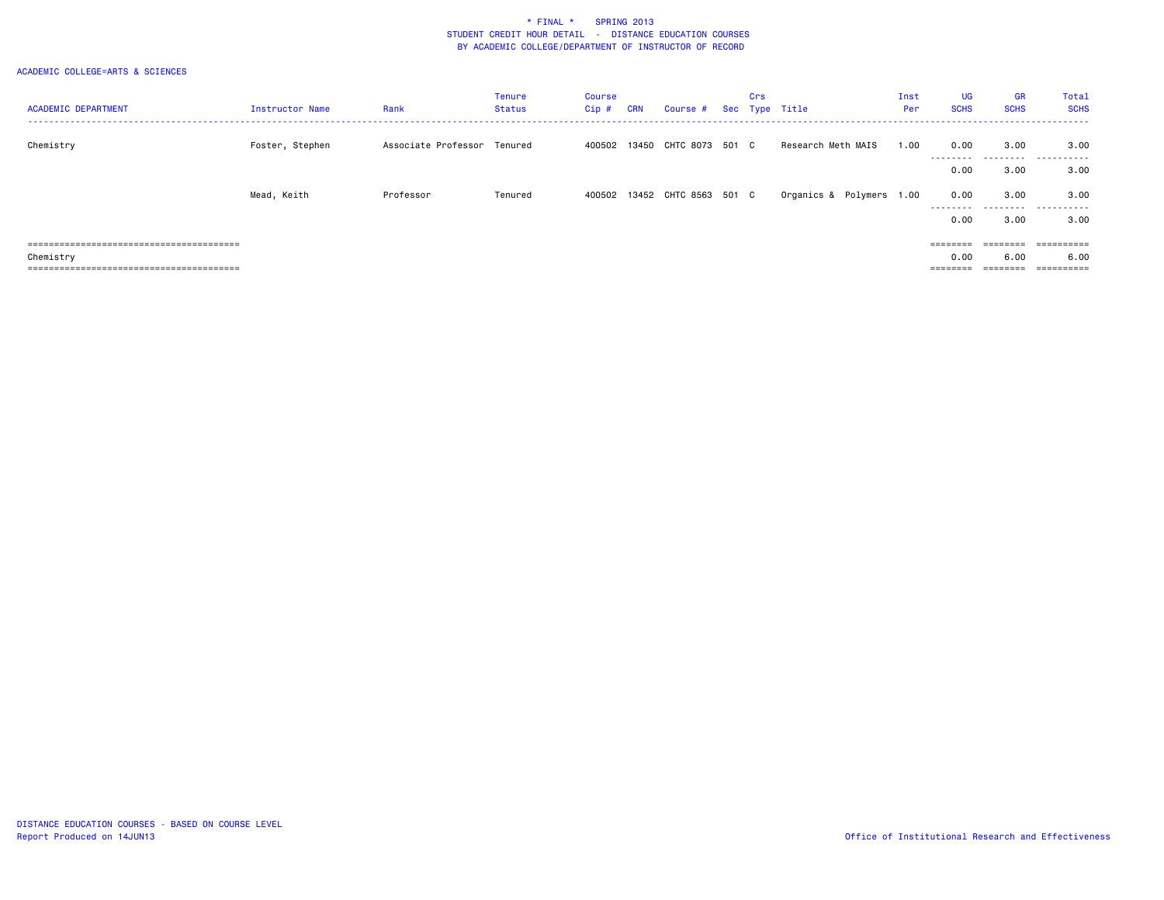| <b>ACADEMIC DEPARTMENT</b> | <b>Instructor Name</b> | Rank                        | <b>Tenure</b><br>Status | Course<br>Cip# | <b>CRN</b> | Course #                     | Crs | Sec Type Title           | Inst<br>Per | <b>UG</b><br><b>SCHS</b> | <b>GR</b><br><b>SCHS</b> | Total<br><b>SCHS</b> |
|----------------------------|------------------------|-----------------------------|-------------------------|----------------|------------|------------------------------|-----|--------------------------|-------------|--------------------------|--------------------------|----------------------|
| Chemistry                  | Foster, Stephen        | Associate Professor Tenured |                         | 400502         | 13450      | CHTC 8073 501 C              |     | Research Meth MAIS       | 1.00        | 0.00<br>---------        | 3.00<br>.                | 3.00<br>.            |
|                            |                        |                             |                         |                |            |                              |     |                          |             | 0.00                     | 3.00                     | 3.00                 |
|                            | Mead, Keith            | Professor                   | Tenured                 |                |            | 400502 13452 CHTC 8563 501 C |     | Organics & Polymers 1.00 |             | 0.00                     | 3.00                     | 3.00<br>.            |
|                            |                        |                             |                         |                |            |                              |     |                          |             | ---------<br>0.00        | .<br>3.00                | 3.00                 |
|                            |                        |                             |                         |                |            |                              |     |                          |             |                          | ========                 | ==========           |
| Chemistry                  |                        |                             |                         |                |            |                              |     |                          |             | 0.00                     | 6.00                     | 6.00                 |
|                            |                        |                             |                         |                |            |                              |     |                          |             | ========                 | ========                 | ==========           |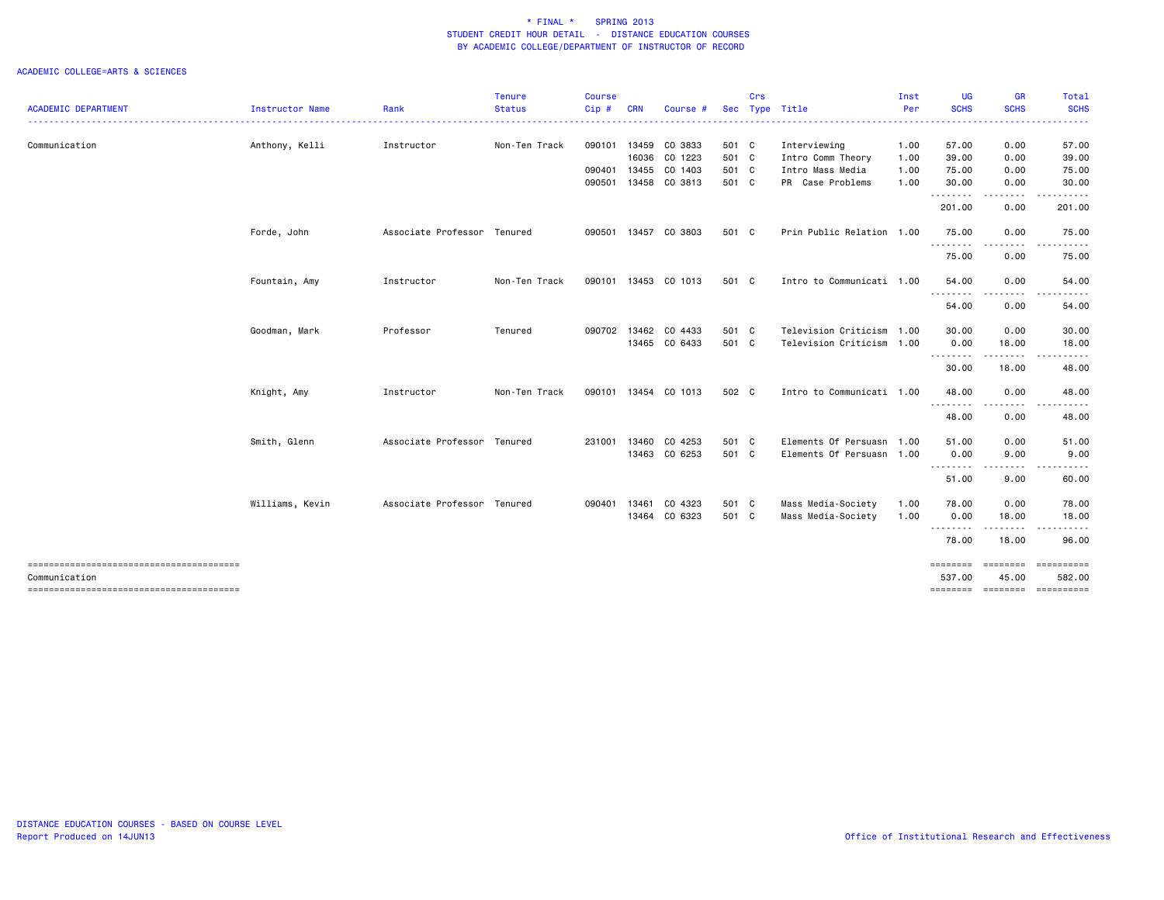|                            |                 |                             | <b>Tenure</b> | <b>Course</b> |            |                      |       | Crs |                           | Inst | <b>UG</b>          | <b>GR</b>               | Total                |
|----------------------------|-----------------|-----------------------------|---------------|---------------|------------|----------------------|-------|-----|---------------------------|------|--------------------|-------------------------|----------------------|
| <b>ACADEMIC DEPARTMENT</b> | Instructor Name | Rank                        | <b>Status</b> | Cip#          | <b>CRN</b> | Course #             |       |     | Sec Type Title            | Per  | <b>SCHS</b>        | <b>SCHS</b>             | <b>SCHS</b>          |
| Communication              | Anthony, Kelli  | Instructor                  | Non-Ten Track | 090101        |            | 13459 CO 3833        | 501 C |     | Interviewing              | 1.00 | 57.00              | 0.00                    | 57.00                |
|                            |                 |                             |               |               |            | 16036 CO 1223        | 501 C |     | Intro Comm Theory         | 1.00 | 39.00              | 0.00                    | 39.00                |
|                            |                 |                             |               | 090401        | 13455      | CO 1403              | 501 C |     | Intro Mass Media          | 1.00 | 75.00              | 0.00                    | 75.00                |
|                            |                 |                             |               | 090501        |            | 13458 CO 3813        | 501 C |     | PR Case Problems          | 1.00 | 30.00<br>--------  | 0.00                    | 30.00                |
|                            |                 |                             |               |               |            |                      |       |     |                           |      | 201.00             | 0.00                    | 201.00               |
|                            | Forde, John     | Associate Professor Tenured |               | 090501        |            | 13457 CO 3803        | 501 C |     | Prin Public Relation 1.00 |      | 75.00<br>.         | 0.00                    | 75.00                |
|                            |                 |                             |               |               |            |                      |       |     |                           |      | 75.00              | 0.00                    | 75.00                |
|                            | Fountain, Amy   | Instructor                  | Non-Ten Track |               |            | 090101 13453 CO 1013 | 501 C |     | Intro to Communicati 1.00 |      | 54.00              | 0.00                    | 54.00                |
|                            |                 |                             |               |               |            |                      |       |     |                           |      | .<br>54.00         | -----<br>0.00           | 54.00                |
|                            | Goodman, Mark   | Professor                   | Tenured       |               |            | 090702 13462 CO 4433 | 501 C |     | Television Criticism 1.00 |      | 30.00              | 0.00                    | 30.00                |
|                            |                 |                             |               |               |            | 13465 CO 6433        | 501 C |     | Television Criticism 1.00 |      | 0.00<br>.          | 18.00<br>.              | 18.00                |
|                            |                 |                             |               |               |            |                      |       |     |                           |      | 30.00              | 18.00                   | 48.00                |
|                            | Knight, Amy     | Instructor                  | Non-Ten Track |               |            | 090101 13454 CO 1013 | 502 C |     | Intro to Communicati 1.00 |      | 48.00              | 0.00<br>.               | 48.00                |
|                            |                 |                             |               |               |            |                      |       |     |                           |      | 48.00              | 0.00                    | 48.00                |
|                            | Smith, Glenn    | Associate Professor Tenured |               | 231001        |            | 13460 CO 4253        | 501 C |     | Elements Of Persuasn 1.00 |      | 51.00              | 0.00                    | 51.00                |
|                            |                 |                             |               |               |            | 13463 CO 6253        | 501 C |     | Elements Of Persuasn 1.00 |      | 0.00<br>--------   | 9.00<br>.               | 9.00                 |
|                            |                 |                             |               |               |            |                      |       |     |                           |      | 51.00              | 9.00                    | 60.00                |
|                            | Williams, Kevin | Associate Professor Tenured |               | 090401        | 13461      | CO 4323              | 501 C |     | Mass Media-Society        | 1.00 | 78.00              | 0.00                    | 78.00                |
|                            |                 |                             |               |               |            | 13464 CO 6323        | 501 C |     | Mass Media-Society        | 1.00 | 0.00               | 18.00                   | 18.00                |
|                            |                 |                             |               |               |            |                      |       |     |                           |      | 78.00              | 18.00                   | 96.00                |
| Communication              |                 |                             |               |               |            |                      |       |     |                           |      | ========<br>537.00 | <b>EEEEEEE</b><br>45.00 | ==========<br>582.00 |
|                            |                 |                             |               |               |            |                      |       |     |                           |      | ========           |                         | --------- ---------- |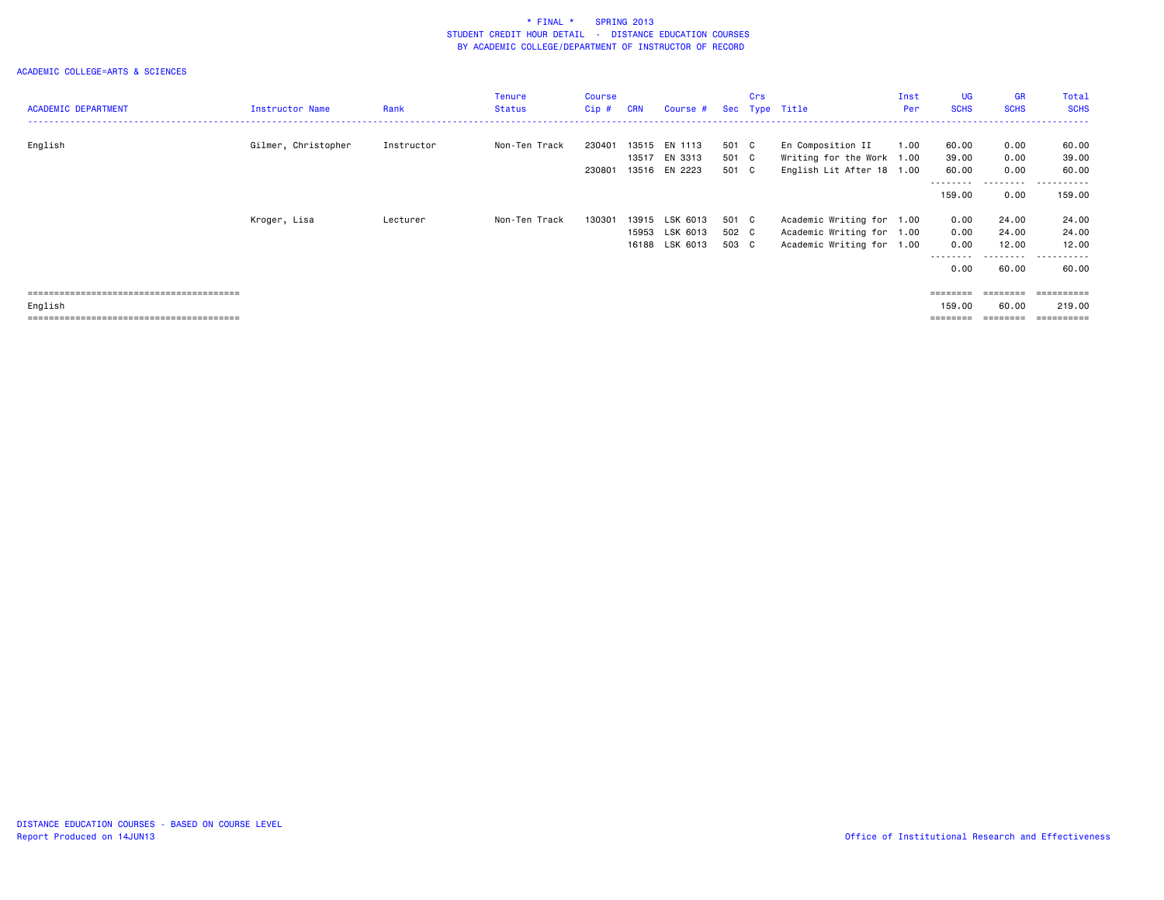|                            |                        |            | <b>Tenure</b> | Course  |            |                |       | Crs |                           | Inst | UG.               | <b>GR</b>                                                               | Total                            |
|----------------------------|------------------------|------------|---------------|---------|------------|----------------|-------|-----|---------------------------|------|-------------------|-------------------------------------------------------------------------|----------------------------------|
| <b>ACADEMIC DEPARTMENT</b> | <b>Instructor Name</b> | Rank       | <b>Status</b> | $Cip$ # | <b>CRN</b> | Course #       |       |     | Sec Type Title            | Per  | <b>SCHS</b>       | <b>SCHS</b>                                                             | <b>SCHS</b>                      |
|                            |                        |            |               |         |            |                |       |     |                           |      |                   |                                                                         |                                  |
| English                    | Gilmer, Christopher    | Instructor | Non-Ten Track | 230401  | 13515      | EN 1113        | 501 C |     | En Composition II         | 1.00 | 60.00             | 0.00                                                                    | 60.00                            |
|                            |                        |            |               |         | 13517      | EN 3313        | 501 C |     | Writing for the Work 1.00 |      | 39.00             | 0.00                                                                    | 39.00                            |
|                            |                        |            |               | 230801  |            | 13516 EN 2223  | 501 C |     | English Lit After 18 1.00 |      | 60.00<br>-------- | 0.00<br>. <b>.</b> .                                                    | 60.00<br>------                  |
|                            |                        |            |               |         |            |                |       |     |                           |      | 159.00            | 0.00                                                                    | 159.00                           |
|                            | Kroger, Lisa           | Lecturer   | Non-Ten Track | 130301  | 13915      | LSK 6013       | 501 C |     | Academic Writing for 1.00 |      | 0.00              | 24.00                                                                   | 24.00                            |
|                            |                        |            |               |         |            | 15953 LSK 6013 | 502 C |     | Academic Writing for 1.00 |      | 0.00              | 24.00                                                                   | 24.00                            |
|                            |                        |            |               |         |            | 16188 LSK 6013 | 503 C |     | Academic Writing for 1.00 |      | 0.00              | 12.00                                                                   | 12.00                            |
|                            |                        |            |               |         |            |                |       |     |                           |      | 0.00              | - - - - - - - -<br>60.00                                                | ------<br>$\sim$ $\sim$<br>60.00 |
|                            |                        |            |               |         |            |                |       |     |                           |      | $=$ = = = = = = = | $\qquad \qquad \equiv \equiv \equiv \equiv \equiv \equiv \equiv \equiv$ | ==========                       |
| English                    |                        |            |               |         |            |                |       |     |                           |      | 159.00            | 60.00                                                                   | 219.00                           |
|                            |                        |            |               |         |            |                |       |     |                           |      | ========          | ========                                                                | ==========                       |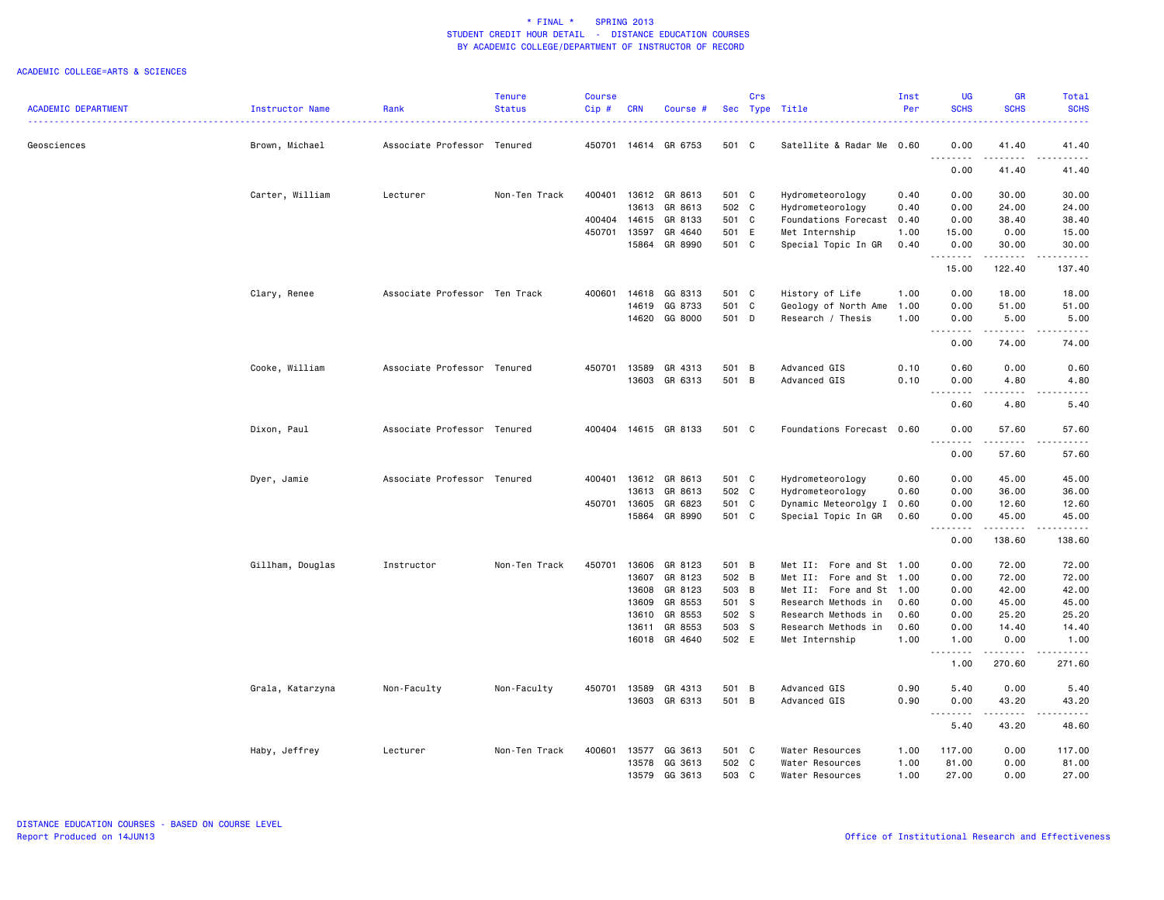|                            |                  |                               | <b>Tenure</b> | <b>Course</b> |              |                      |       | Crs |                           | Inst | <b>UG</b>                                                                                                                                                                      | <b>GR</b>              | Total                                                                                                                                                         |
|----------------------------|------------------|-------------------------------|---------------|---------------|--------------|----------------------|-------|-----|---------------------------|------|--------------------------------------------------------------------------------------------------------------------------------------------------------------------------------|------------------------|---------------------------------------------------------------------------------------------------------------------------------------------------------------|
| <b>ACADEMIC DEPARTMENT</b> | Instructor Name  | Rank                          | <b>Status</b> | Cip#          | <b>CRN</b>   | Course               |       |     | Sec Type Title            | Per  | <b>SCHS</b>                                                                                                                                                                    | <b>SCHS</b>            | <b>SCHS</b>                                                                                                                                                   |
| Geosciences                | Brown, Michael   | Associate Professor Tenured   |               | 450701        |              | 14614 GR 6753        | 501 C |     | Satellite & Radar Me 0.60 |      | 0.00                                                                                                                                                                           | 41.40                  | 41.40                                                                                                                                                         |
|                            |                  |                               |               |               |              |                      |       |     |                           |      | $\sim$ $\sim$<br>.<br>0.00                                                                                                                                                     | $\frac{1}{2}$<br>41.40 | .<br>41.40                                                                                                                                                    |
|                            | Carter, William  | Lecturer                      | Non-Ten Track |               |              | 400401 13612 GR 8613 | 501 C |     | Hydrometeorology          | 0.40 | 0.00                                                                                                                                                                           | 30.00                  | 30.00                                                                                                                                                         |
|                            |                  |                               |               |               | 13613        | GR 8613              | 502 C |     | Hydrometeorology          | 0.40 | 0.00                                                                                                                                                                           | 24.00                  | 24.00                                                                                                                                                         |
|                            |                  |                               |               | 400404        | 14615        | GR 8133              | 501 C |     | Foundations Forecast 0.40 |      | 0.00                                                                                                                                                                           | 38.40                  | 38.40                                                                                                                                                         |
|                            |                  |                               |               |               | 450701 13597 | GR 4640              | 501 E |     | Met Internship            | 1.00 | 15.00                                                                                                                                                                          | 0.00                   | 15.00                                                                                                                                                         |
|                            |                  |                               |               |               | 15864        | GR 8990              | 501 C |     | Special Topic In GR       | 0.40 | 0.00                                                                                                                                                                           | 30.00                  | 30.00                                                                                                                                                         |
|                            |                  |                               |               |               |              |                      |       |     |                           |      | $\sim$ $\sim$<br>$\frac{1}{2} \left( \frac{1}{2} \right) \left( \frac{1}{2} \right) \left( \frac{1}{2} \right) \left( \frac{1}{2} \right) \left( \frac{1}{2} \right)$<br>15.00 | 122.40                 | $\sim$ $\sim$ $\sim$ $\sim$ $\sim$<br>137.40                                                                                                                  |
|                            | Clary, Renee     | Associate Professor Ten Track |               | 400601        | 14618        | GG 8313              | 501 C |     | History of Life           | 1.00 | 0.00                                                                                                                                                                           | 18.00                  | 18.00                                                                                                                                                         |
|                            |                  |                               |               |               | 14619        | GG 8733              | 501 C |     | Geology of North Ame 1.00 |      | 0.00                                                                                                                                                                           | 51.00                  | 51.00                                                                                                                                                         |
|                            |                  |                               |               |               | 14620        | GG 8000              | 501 D |     | Research / Thesis         | 1.00 | 0.00<br>$\sim$ $\sim$<br>.                                                                                                                                                     | 5.00<br>.              | 5.00<br>.                                                                                                                                                     |
|                            |                  |                               |               |               |              |                      |       |     |                           |      | 0.00                                                                                                                                                                           | 74.00                  | 74.00                                                                                                                                                         |
|                            | Cooke, William   | Associate Professor Tenured   |               | 450701        | 13589        | GR 4313              | 501 B |     | Advanced GIS              | 0.10 | 0.60                                                                                                                                                                           | 0.00                   | 0.60                                                                                                                                                          |
|                            |                  |                               |               |               | 13603        | GR 6313              | 501 B |     | Advanced GIS              | 0.10 | 0.00<br>.                                                                                                                                                                      | 4.80<br>.              | 4.80<br>.                                                                                                                                                     |
|                            |                  |                               |               |               |              |                      |       |     |                           |      | 0.60                                                                                                                                                                           | 4.80                   | 5.40                                                                                                                                                          |
|                            | Dixon, Paul      | Associate Professor Tenured   |               | 400404        |              | 14615 GR 8133        | 501 C |     | Foundations Forecast 0.60 |      | 0.00                                                                                                                                                                           | 57.60                  | 57.60<br>$\frac{1}{2} \left( \frac{1}{2} \right) \left( \frac{1}{2} \right) \left( \frac{1}{2} \right) \left( \frac{1}{2} \right) \left( \frac{1}{2} \right)$ |
|                            |                  |                               |               |               |              |                      |       |     |                           |      | $\sim$ $\sim$<br>0.00                                                                                                                                                          | 57.60                  | 57.60                                                                                                                                                         |
|                            | Dyer, Jamie      | Associate Professor Tenured   |               | 400401        | 13612        | GR 8613              | 501 C |     | Hydrometeorology          | 0.60 | 0.00                                                                                                                                                                           | 45.00                  | 45.00                                                                                                                                                         |
|                            |                  |                               |               |               | 13613        | GR 8613              | 502 C |     | Hydrometeorology          | 0.60 | 0.00                                                                                                                                                                           | 36.00                  | 36.00                                                                                                                                                         |
|                            |                  |                               |               | 450701        | 13605        | GR 6823              | 501   | C   | Dynamic Meteorolgy I 0.60 |      | 0.00                                                                                                                                                                           | 12.60                  | 12.60                                                                                                                                                         |
|                            |                  |                               |               |               | 15864        | GR 8990              | 501 C |     | Special Topic In GR       | 0.60 | 0.00<br>a al<br>.                                                                                                                                                              | 45.00<br>.             | 45.00<br>.                                                                                                                                                    |
|                            |                  |                               |               |               |              |                      |       |     |                           |      | 0.00                                                                                                                                                                           | 138.60                 | 138.60                                                                                                                                                        |
|                            | Gillham, Douglas | Instructor                    | Non-Ten Track | 450701        | 13606        | GR 8123              | 501 B |     | Met II: Fore and St 1.00  |      | 0.00                                                                                                                                                                           | 72.00                  | 72.00                                                                                                                                                         |
|                            |                  |                               |               |               | 13607        | GR 8123              | 502 B |     | Met II: Fore and St 1.00  |      | 0.00                                                                                                                                                                           | 72.00                  | 72.00                                                                                                                                                         |
|                            |                  |                               |               |               | 13608        | GR 8123              | 503 B |     | Met II: Fore and St 1.00  |      | 0.00                                                                                                                                                                           | 42.00                  | 42.00                                                                                                                                                         |
|                            |                  |                               |               |               | 13609        | GR 8553              | 501 S |     | Research Methods in       | 0.60 | 0.00                                                                                                                                                                           | 45.00                  | 45.00                                                                                                                                                         |
|                            |                  |                               |               |               | 13610        | GR 8553              | 502 S |     | Research Methods in       | 0.60 | 0.00                                                                                                                                                                           | 25.20                  | 25.20                                                                                                                                                         |
|                            |                  |                               |               |               | 13611        | GR 8553              | 503 S |     | Research Methods in       | 0.60 | 0.00                                                                                                                                                                           | 14.40                  | 14.40                                                                                                                                                         |
|                            |                  |                               |               |               |              | 16018 GR 4640        | 502 E |     | Met Internship            | 1.00 | 1.00<br>.                                                                                                                                                                      | 0.00<br>$    -$        | 1.00<br>.                                                                                                                                                     |
|                            |                  |                               |               |               |              |                      |       |     |                           |      | 1.00                                                                                                                                                                           | 270.60                 | 271.60                                                                                                                                                        |
|                            | Grala, Katarzyna | Non-Faculty                   | Non-Faculty   | 450701        | 13589        | GR 4313              | 501 B |     | Advanced GIS              | 0.90 | 5.40                                                                                                                                                                           | 0.00                   | 5.40                                                                                                                                                          |
|                            |                  |                               |               |               |              | 13603 GR 6313        | 501 B |     | Advanced GIS              | 0.90 | 0.00<br>.                                                                                                                                                                      | 43.20<br>$- - - - -$   | 43.20<br>.                                                                                                                                                    |
|                            |                  |                               |               |               |              |                      |       |     |                           |      | 5.40                                                                                                                                                                           | 43.20                  | 48.60                                                                                                                                                         |
|                            | Haby, Jeffrey    | Lecturer                      | Non-Ten Track | 400601        | 13577        | GG 3613              | 501 C |     | Water Resources           | 1.00 | 117.00                                                                                                                                                                         | 0.00                   | 117.00                                                                                                                                                        |
|                            |                  |                               |               |               | 13578        | GG 3613              | 502 C |     | Water Resources           | 1.00 | 81.00                                                                                                                                                                          | 0.00                   | 81.00                                                                                                                                                         |
|                            |                  |                               |               |               | 13579        | GG 3613              | 503 C |     | Water Resources           | 1.00 | 27.00                                                                                                                                                                          | 0.00                   | 27.00                                                                                                                                                         |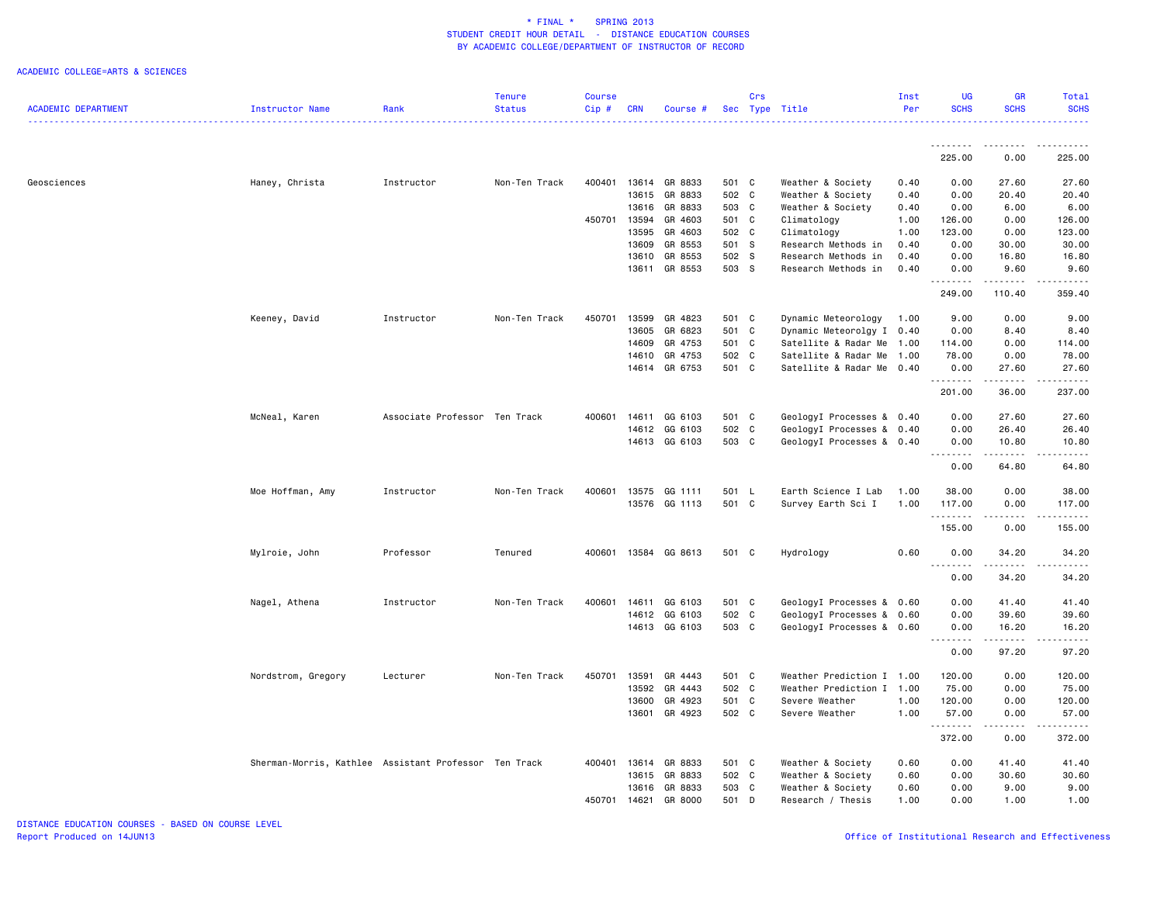| <b>SCHS</b><br><b>ACADEMIC DEPARTMENT</b><br><b>Status</b><br>Cip#<br>Sec Type Title<br>Per<br><b>SCHS</b><br><b>SCHS</b><br>Instructor Name<br>Rank<br><b>CRN</b><br>Course #<br>د د د د د<br>.<br><b></b><br>. <u>.</u> .<br>225.00<br>0.00<br>225.00<br>Haney, Christa<br>13614<br>GR 8833<br>Weather & Society<br>27.60<br>Geosciences<br>Instructor<br>Non-Ten Track<br>400401<br>501 C<br>0.40<br>0.00<br>27.60<br>13615<br>GR 8833<br>502 C<br>Weather & Society<br>0.40<br>0.00<br>20,40<br>20.40<br>13616<br>GR 8833<br>503 C<br>Weather & Society<br>6.00<br>0.40<br>0.00<br>6.00<br>450701 13594<br>GR 4603<br>501 C<br>126.00<br>Climatology<br>1.00<br>126.00<br>0.00<br>13595<br>GR 4603<br>502 C<br>0.00<br>123.00<br>Climatology<br>1.00<br>123.00<br>GR 8553<br>501 S<br>30.00<br>13609<br>0.40<br>0.00<br>30.00<br>Research Methods in<br>502 S<br>13610<br>GR 8553<br>16.80<br>Research Methods in<br>0.40<br>0.00<br>16.80<br>503 S<br>GR 8553<br>13611<br>Research Methods in<br>0.40<br>0.00<br>9.60<br>9.60<br>.<br>.<br>.<br>249.00<br>110.40<br>359.40<br>13599<br>GR 4823<br>0.00<br>9.00<br>Keeney, David<br>Instructor<br>Non-Ten Track<br>450701<br>501 C<br>Dynamic Meteorology<br>9.00<br>1.00<br>13605<br>GR 6823<br>501 C<br>Dynamic Meteorolgy I 0.40<br>0.00<br>8.40<br>8.40<br>14609<br>GR 4753<br>501 C<br>Satellite & Radar Me 1.00<br>0.00<br>114.00<br>114.00<br>14610<br>GR 4753<br>502 C<br>Satellite & Radar Me<br>78.00<br>0.00<br>78.00<br>1.00<br>14614 GR 6753<br>501 C<br>Satellite & Radar Me 0.40<br>27.60<br>0.00<br>27.60<br>.<br>.<br>.<br>36.00<br>237.00<br>201.00<br>GG 6103<br>GeologyI Processes & 0.40<br>McNeal, Karen<br>Associate Professor Ten Track<br>400601<br>14611<br>501 C<br>0.00<br>27.60<br>27.60<br>GG 6103<br>502 C<br>14612<br>GeologyI Processes & 0.40<br>0.00<br>26.40<br>26.40<br>GG 6103<br>503 C<br>14613<br>GeologyI Processes & 0.40<br>0.00<br>10.80<br>10.80<br>.<br>. <b>.</b><br>$- - - - -$<br>64.80<br>0.00<br>64.80<br>Moe Hoffman, Amy<br>Non-Ten Track<br>400601<br>13575<br>GG 1111<br>501 L<br>Earth Science I Lab<br>1.00<br>38.00<br>0.00<br>38.00<br>Instructor<br>13576 GG 1113<br>501 C<br>Survey Earth Sci I<br>1.00<br>117.00<br>0.00<br>117.00<br>.<br>$- - - - -$<br>1.1.1.1.1<br>155.00<br>0.00<br>155.00<br>0.60<br>Tenured<br>400601 13584 GG 8613<br>501 C<br>34.20<br>34.20<br>Mylroie, John<br>Professor<br>Hydrology<br>0.00<br>.<br>$\frac{1}{2}$<br>0.00<br>34.20<br>34.20<br>Nagel, Athena<br>Instructor<br>Non-Ten Track<br>400601 14611<br>GG 6103<br>501 C<br>GeologyI Processes & 0.60<br>0.00<br>41.40<br>41.40<br>GG 6103<br>502 C<br>14612<br>GeologyI Processes & 0.60<br>0.00<br>39.60<br>39.60<br>GG 6103<br>503 C<br>14613<br>GeologyI Processes & 0.60<br>0.00<br>16.20<br>16.20<br>.<br><b>.</b><br>.<br>97.20<br>97.20<br>0.00<br>Nordstrom, Gregory<br>Lecturer<br>Non-Ten Track<br>450701<br>13591<br>GR 4443<br>501 C<br>Weather Prediction I 1.00<br>120.00<br>0.00<br>120.00<br>13592<br>GR 4443<br>502 C<br>Weather Prediction I 1.00<br>75.00<br>0.00<br>75.00<br>13600<br>GR 4923<br>501 C<br>1.00<br>120.00<br>0.00<br>120.00<br>Severe Weather<br>13601<br>GR 4923<br>502 C<br>57.00<br>Severe Weather<br>1.00<br>0.00<br>57.00<br>.<br>$- - - - -$<br>------<br>372.00<br>0.00<br>372.00<br>Sherman-Morris, Kathlee Assistant Professor Ten Track<br>400401 13614<br>GR 8833<br>501 C<br>Weather & Society<br>0.60<br>0.00<br>41.40<br>41.40<br>13615<br>GR 8833<br>502 C<br>Weather & Society<br>0.60<br>0.00<br>30.60<br>30.60<br>GR 8833<br>503 C<br>13616<br>Weather & Society<br>0.60<br>0.00<br>9.00<br>9.00<br>501 D<br>450701<br>14621<br>GR 8000<br>1.00<br>0.00<br>1.00<br>1.00<br>Research / Thesis |  | <b>Tenure</b> | <b>Course</b> |  | Crs | Inst | <b>UG</b> | <b>GR</b> | Total |
|----------------------------------------------------------------------------------------------------------------------------------------------------------------------------------------------------------------------------------------------------------------------------------------------------------------------------------------------------------------------------------------------------------------------------------------------------------------------------------------------------------------------------------------------------------------------------------------------------------------------------------------------------------------------------------------------------------------------------------------------------------------------------------------------------------------------------------------------------------------------------------------------------------------------------------------------------------------------------------------------------------------------------------------------------------------------------------------------------------------------------------------------------------------------------------------------------------------------------------------------------------------------------------------------------------------------------------------------------------------------------------------------------------------------------------------------------------------------------------------------------------------------------------------------------------------------------------------------------------------------------------------------------------------------------------------------------------------------------------------------------------------------------------------------------------------------------------------------------------------------------------------------------------------------------------------------------------------------------------------------------------------------------------------------------------------------------------------------------------------------------------------------------------------------------------------------------------------------------------------------------------------------------------------------------------------------------------------------------------------------------------------------------------------------------------------------------------------------------------------------------------------------------------------------------------------------------------------------------------------------------------------------------------------------------------------------------------------------------------------------------------------------------------------------------------------------------------------------------------------------------------------------------------------------------------------------------------------------------------------------------------------------------------------------------------------------------------------------------------------------------------------------------------------------------------------------------------------------------------------------------------------------------------------------------------------------------------------------------------------------------------------------------------------------------------------------------------------------------------------------------------------------------------------------------------------------------------------------------------------------------------------------------------------------------------------------------------------------------------------------------------|--|---------------|---------------|--|-----|------|-----------|-----------|-------|
|                                                                                                                                                                                                                                                                                                                                                                                                                                                                                                                                                                                                                                                                                                                                                                                                                                                                                                                                                                                                                                                                                                                                                                                                                                                                                                                                                                                                                                                                                                                                                                                                                                                                                                                                                                                                                                                                                                                                                                                                                                                                                                                                                                                                                                                                                                                                                                                                                                                                                                                                                                                                                                                                                                                                                                                                                                                                                                                                                                                                                                                                                                                                                                                                                                                                                                                                                                                                                                                                                                                                                                                                                                                                                                                                                          |  |               |               |  |     |      |           |           |       |
|                                                                                                                                                                                                                                                                                                                                                                                                                                                                                                                                                                                                                                                                                                                                                                                                                                                                                                                                                                                                                                                                                                                                                                                                                                                                                                                                                                                                                                                                                                                                                                                                                                                                                                                                                                                                                                                                                                                                                                                                                                                                                                                                                                                                                                                                                                                                                                                                                                                                                                                                                                                                                                                                                                                                                                                                                                                                                                                                                                                                                                                                                                                                                                                                                                                                                                                                                                                                                                                                                                                                                                                                                                                                                                                                                          |  |               |               |  |     |      |           |           |       |
|                                                                                                                                                                                                                                                                                                                                                                                                                                                                                                                                                                                                                                                                                                                                                                                                                                                                                                                                                                                                                                                                                                                                                                                                                                                                                                                                                                                                                                                                                                                                                                                                                                                                                                                                                                                                                                                                                                                                                                                                                                                                                                                                                                                                                                                                                                                                                                                                                                                                                                                                                                                                                                                                                                                                                                                                                                                                                                                                                                                                                                                                                                                                                                                                                                                                                                                                                                                                                                                                                                                                                                                                                                                                                                                                                          |  |               |               |  |     |      |           |           |       |
|                                                                                                                                                                                                                                                                                                                                                                                                                                                                                                                                                                                                                                                                                                                                                                                                                                                                                                                                                                                                                                                                                                                                                                                                                                                                                                                                                                                                                                                                                                                                                                                                                                                                                                                                                                                                                                                                                                                                                                                                                                                                                                                                                                                                                                                                                                                                                                                                                                                                                                                                                                                                                                                                                                                                                                                                                                                                                                                                                                                                                                                                                                                                                                                                                                                                                                                                                                                                                                                                                                                                                                                                                                                                                                                                                          |  |               |               |  |     |      |           |           |       |
|                                                                                                                                                                                                                                                                                                                                                                                                                                                                                                                                                                                                                                                                                                                                                                                                                                                                                                                                                                                                                                                                                                                                                                                                                                                                                                                                                                                                                                                                                                                                                                                                                                                                                                                                                                                                                                                                                                                                                                                                                                                                                                                                                                                                                                                                                                                                                                                                                                                                                                                                                                                                                                                                                                                                                                                                                                                                                                                                                                                                                                                                                                                                                                                                                                                                                                                                                                                                                                                                                                                                                                                                                                                                                                                                                          |  |               |               |  |     |      |           |           |       |
|                                                                                                                                                                                                                                                                                                                                                                                                                                                                                                                                                                                                                                                                                                                                                                                                                                                                                                                                                                                                                                                                                                                                                                                                                                                                                                                                                                                                                                                                                                                                                                                                                                                                                                                                                                                                                                                                                                                                                                                                                                                                                                                                                                                                                                                                                                                                                                                                                                                                                                                                                                                                                                                                                                                                                                                                                                                                                                                                                                                                                                                                                                                                                                                                                                                                                                                                                                                                                                                                                                                                                                                                                                                                                                                                                          |  |               |               |  |     |      |           |           |       |
|                                                                                                                                                                                                                                                                                                                                                                                                                                                                                                                                                                                                                                                                                                                                                                                                                                                                                                                                                                                                                                                                                                                                                                                                                                                                                                                                                                                                                                                                                                                                                                                                                                                                                                                                                                                                                                                                                                                                                                                                                                                                                                                                                                                                                                                                                                                                                                                                                                                                                                                                                                                                                                                                                                                                                                                                                                                                                                                                                                                                                                                                                                                                                                                                                                                                                                                                                                                                                                                                                                                                                                                                                                                                                                                                                          |  |               |               |  |     |      |           |           |       |
|                                                                                                                                                                                                                                                                                                                                                                                                                                                                                                                                                                                                                                                                                                                                                                                                                                                                                                                                                                                                                                                                                                                                                                                                                                                                                                                                                                                                                                                                                                                                                                                                                                                                                                                                                                                                                                                                                                                                                                                                                                                                                                                                                                                                                                                                                                                                                                                                                                                                                                                                                                                                                                                                                                                                                                                                                                                                                                                                                                                                                                                                                                                                                                                                                                                                                                                                                                                                                                                                                                                                                                                                                                                                                                                                                          |  |               |               |  |     |      |           |           |       |
|                                                                                                                                                                                                                                                                                                                                                                                                                                                                                                                                                                                                                                                                                                                                                                                                                                                                                                                                                                                                                                                                                                                                                                                                                                                                                                                                                                                                                                                                                                                                                                                                                                                                                                                                                                                                                                                                                                                                                                                                                                                                                                                                                                                                                                                                                                                                                                                                                                                                                                                                                                                                                                                                                                                                                                                                                                                                                                                                                                                                                                                                                                                                                                                                                                                                                                                                                                                                                                                                                                                                                                                                                                                                                                                                                          |  |               |               |  |     |      |           |           |       |
|                                                                                                                                                                                                                                                                                                                                                                                                                                                                                                                                                                                                                                                                                                                                                                                                                                                                                                                                                                                                                                                                                                                                                                                                                                                                                                                                                                                                                                                                                                                                                                                                                                                                                                                                                                                                                                                                                                                                                                                                                                                                                                                                                                                                                                                                                                                                                                                                                                                                                                                                                                                                                                                                                                                                                                                                                                                                                                                                                                                                                                                                                                                                                                                                                                                                                                                                                                                                                                                                                                                                                                                                                                                                                                                                                          |  |               |               |  |     |      |           |           |       |
|                                                                                                                                                                                                                                                                                                                                                                                                                                                                                                                                                                                                                                                                                                                                                                                                                                                                                                                                                                                                                                                                                                                                                                                                                                                                                                                                                                                                                                                                                                                                                                                                                                                                                                                                                                                                                                                                                                                                                                                                                                                                                                                                                                                                                                                                                                                                                                                                                                                                                                                                                                                                                                                                                                                                                                                                                                                                                                                                                                                                                                                                                                                                                                                                                                                                                                                                                                                                                                                                                                                                                                                                                                                                                                                                                          |  |               |               |  |     |      |           |           |       |
|                                                                                                                                                                                                                                                                                                                                                                                                                                                                                                                                                                                                                                                                                                                                                                                                                                                                                                                                                                                                                                                                                                                                                                                                                                                                                                                                                                                                                                                                                                                                                                                                                                                                                                                                                                                                                                                                                                                                                                                                                                                                                                                                                                                                                                                                                                                                                                                                                                                                                                                                                                                                                                                                                                                                                                                                                                                                                                                                                                                                                                                                                                                                                                                                                                                                                                                                                                                                                                                                                                                                                                                                                                                                                                                                                          |  |               |               |  |     |      |           |           |       |
|                                                                                                                                                                                                                                                                                                                                                                                                                                                                                                                                                                                                                                                                                                                                                                                                                                                                                                                                                                                                                                                                                                                                                                                                                                                                                                                                                                                                                                                                                                                                                                                                                                                                                                                                                                                                                                                                                                                                                                                                                                                                                                                                                                                                                                                                                                                                                                                                                                                                                                                                                                                                                                                                                                                                                                                                                                                                                                                                                                                                                                                                                                                                                                                                                                                                                                                                                                                                                                                                                                                                                                                                                                                                                                                                                          |  |               |               |  |     |      |           |           |       |
|                                                                                                                                                                                                                                                                                                                                                                                                                                                                                                                                                                                                                                                                                                                                                                                                                                                                                                                                                                                                                                                                                                                                                                                                                                                                                                                                                                                                                                                                                                                                                                                                                                                                                                                                                                                                                                                                                                                                                                                                                                                                                                                                                                                                                                                                                                                                                                                                                                                                                                                                                                                                                                                                                                                                                                                                                                                                                                                                                                                                                                                                                                                                                                                                                                                                                                                                                                                                                                                                                                                                                                                                                                                                                                                                                          |  |               |               |  |     |      |           |           |       |
|                                                                                                                                                                                                                                                                                                                                                                                                                                                                                                                                                                                                                                                                                                                                                                                                                                                                                                                                                                                                                                                                                                                                                                                                                                                                                                                                                                                                                                                                                                                                                                                                                                                                                                                                                                                                                                                                                                                                                                                                                                                                                                                                                                                                                                                                                                                                                                                                                                                                                                                                                                                                                                                                                                                                                                                                                                                                                                                                                                                                                                                                                                                                                                                                                                                                                                                                                                                                                                                                                                                                                                                                                                                                                                                                                          |  |               |               |  |     |      |           |           |       |
|                                                                                                                                                                                                                                                                                                                                                                                                                                                                                                                                                                                                                                                                                                                                                                                                                                                                                                                                                                                                                                                                                                                                                                                                                                                                                                                                                                                                                                                                                                                                                                                                                                                                                                                                                                                                                                                                                                                                                                                                                                                                                                                                                                                                                                                                                                                                                                                                                                                                                                                                                                                                                                                                                                                                                                                                                                                                                                                                                                                                                                                                                                                                                                                                                                                                                                                                                                                                                                                                                                                                                                                                                                                                                                                                                          |  |               |               |  |     |      |           |           |       |
|                                                                                                                                                                                                                                                                                                                                                                                                                                                                                                                                                                                                                                                                                                                                                                                                                                                                                                                                                                                                                                                                                                                                                                                                                                                                                                                                                                                                                                                                                                                                                                                                                                                                                                                                                                                                                                                                                                                                                                                                                                                                                                                                                                                                                                                                                                                                                                                                                                                                                                                                                                                                                                                                                                                                                                                                                                                                                                                                                                                                                                                                                                                                                                                                                                                                                                                                                                                                                                                                                                                                                                                                                                                                                                                                                          |  |               |               |  |     |      |           |           |       |
|                                                                                                                                                                                                                                                                                                                                                                                                                                                                                                                                                                                                                                                                                                                                                                                                                                                                                                                                                                                                                                                                                                                                                                                                                                                                                                                                                                                                                                                                                                                                                                                                                                                                                                                                                                                                                                                                                                                                                                                                                                                                                                                                                                                                                                                                                                                                                                                                                                                                                                                                                                                                                                                                                                                                                                                                                                                                                                                                                                                                                                                                                                                                                                                                                                                                                                                                                                                                                                                                                                                                                                                                                                                                                                                                                          |  |               |               |  |     |      |           |           |       |
|                                                                                                                                                                                                                                                                                                                                                                                                                                                                                                                                                                                                                                                                                                                                                                                                                                                                                                                                                                                                                                                                                                                                                                                                                                                                                                                                                                                                                                                                                                                                                                                                                                                                                                                                                                                                                                                                                                                                                                                                                                                                                                                                                                                                                                                                                                                                                                                                                                                                                                                                                                                                                                                                                                                                                                                                                                                                                                                                                                                                                                                                                                                                                                                                                                                                                                                                                                                                                                                                                                                                                                                                                                                                                                                                                          |  |               |               |  |     |      |           |           |       |
|                                                                                                                                                                                                                                                                                                                                                                                                                                                                                                                                                                                                                                                                                                                                                                                                                                                                                                                                                                                                                                                                                                                                                                                                                                                                                                                                                                                                                                                                                                                                                                                                                                                                                                                                                                                                                                                                                                                                                                                                                                                                                                                                                                                                                                                                                                                                                                                                                                                                                                                                                                                                                                                                                                                                                                                                                                                                                                                                                                                                                                                                                                                                                                                                                                                                                                                                                                                                                                                                                                                                                                                                                                                                                                                                                          |  |               |               |  |     |      |           |           |       |
|                                                                                                                                                                                                                                                                                                                                                                                                                                                                                                                                                                                                                                                                                                                                                                                                                                                                                                                                                                                                                                                                                                                                                                                                                                                                                                                                                                                                                                                                                                                                                                                                                                                                                                                                                                                                                                                                                                                                                                                                                                                                                                                                                                                                                                                                                                                                                                                                                                                                                                                                                                                                                                                                                                                                                                                                                                                                                                                                                                                                                                                                                                                                                                                                                                                                                                                                                                                                                                                                                                                                                                                                                                                                                                                                                          |  |               |               |  |     |      |           |           |       |
|                                                                                                                                                                                                                                                                                                                                                                                                                                                                                                                                                                                                                                                                                                                                                                                                                                                                                                                                                                                                                                                                                                                                                                                                                                                                                                                                                                                                                                                                                                                                                                                                                                                                                                                                                                                                                                                                                                                                                                                                                                                                                                                                                                                                                                                                                                                                                                                                                                                                                                                                                                                                                                                                                                                                                                                                                                                                                                                                                                                                                                                                                                                                                                                                                                                                                                                                                                                                                                                                                                                                                                                                                                                                                                                                                          |  |               |               |  |     |      |           |           |       |
|                                                                                                                                                                                                                                                                                                                                                                                                                                                                                                                                                                                                                                                                                                                                                                                                                                                                                                                                                                                                                                                                                                                                                                                                                                                                                                                                                                                                                                                                                                                                                                                                                                                                                                                                                                                                                                                                                                                                                                                                                                                                                                                                                                                                                                                                                                                                                                                                                                                                                                                                                                                                                                                                                                                                                                                                                                                                                                                                                                                                                                                                                                                                                                                                                                                                                                                                                                                                                                                                                                                                                                                                                                                                                                                                                          |  |               |               |  |     |      |           |           |       |
|                                                                                                                                                                                                                                                                                                                                                                                                                                                                                                                                                                                                                                                                                                                                                                                                                                                                                                                                                                                                                                                                                                                                                                                                                                                                                                                                                                                                                                                                                                                                                                                                                                                                                                                                                                                                                                                                                                                                                                                                                                                                                                                                                                                                                                                                                                                                                                                                                                                                                                                                                                                                                                                                                                                                                                                                                                                                                                                                                                                                                                                                                                                                                                                                                                                                                                                                                                                                                                                                                                                                                                                                                                                                                                                                                          |  |               |               |  |     |      |           |           |       |
|                                                                                                                                                                                                                                                                                                                                                                                                                                                                                                                                                                                                                                                                                                                                                                                                                                                                                                                                                                                                                                                                                                                                                                                                                                                                                                                                                                                                                                                                                                                                                                                                                                                                                                                                                                                                                                                                                                                                                                                                                                                                                                                                                                                                                                                                                                                                                                                                                                                                                                                                                                                                                                                                                                                                                                                                                                                                                                                                                                                                                                                                                                                                                                                                                                                                                                                                                                                                                                                                                                                                                                                                                                                                                                                                                          |  |               |               |  |     |      |           |           |       |
|                                                                                                                                                                                                                                                                                                                                                                                                                                                                                                                                                                                                                                                                                                                                                                                                                                                                                                                                                                                                                                                                                                                                                                                                                                                                                                                                                                                                                                                                                                                                                                                                                                                                                                                                                                                                                                                                                                                                                                                                                                                                                                                                                                                                                                                                                                                                                                                                                                                                                                                                                                                                                                                                                                                                                                                                                                                                                                                                                                                                                                                                                                                                                                                                                                                                                                                                                                                                                                                                                                                                                                                                                                                                                                                                                          |  |               |               |  |     |      |           |           |       |
|                                                                                                                                                                                                                                                                                                                                                                                                                                                                                                                                                                                                                                                                                                                                                                                                                                                                                                                                                                                                                                                                                                                                                                                                                                                                                                                                                                                                                                                                                                                                                                                                                                                                                                                                                                                                                                                                                                                                                                                                                                                                                                                                                                                                                                                                                                                                                                                                                                                                                                                                                                                                                                                                                                                                                                                                                                                                                                                                                                                                                                                                                                                                                                                                                                                                                                                                                                                                                                                                                                                                                                                                                                                                                                                                                          |  |               |               |  |     |      |           |           |       |
|                                                                                                                                                                                                                                                                                                                                                                                                                                                                                                                                                                                                                                                                                                                                                                                                                                                                                                                                                                                                                                                                                                                                                                                                                                                                                                                                                                                                                                                                                                                                                                                                                                                                                                                                                                                                                                                                                                                                                                                                                                                                                                                                                                                                                                                                                                                                                                                                                                                                                                                                                                                                                                                                                                                                                                                                                                                                                                                                                                                                                                                                                                                                                                                                                                                                                                                                                                                                                                                                                                                                                                                                                                                                                                                                                          |  |               |               |  |     |      |           |           |       |
|                                                                                                                                                                                                                                                                                                                                                                                                                                                                                                                                                                                                                                                                                                                                                                                                                                                                                                                                                                                                                                                                                                                                                                                                                                                                                                                                                                                                                                                                                                                                                                                                                                                                                                                                                                                                                                                                                                                                                                                                                                                                                                                                                                                                                                                                                                                                                                                                                                                                                                                                                                                                                                                                                                                                                                                                                                                                                                                                                                                                                                                                                                                                                                                                                                                                                                                                                                                                                                                                                                                                                                                                                                                                                                                                                          |  |               |               |  |     |      |           |           |       |
|                                                                                                                                                                                                                                                                                                                                                                                                                                                                                                                                                                                                                                                                                                                                                                                                                                                                                                                                                                                                                                                                                                                                                                                                                                                                                                                                                                                                                                                                                                                                                                                                                                                                                                                                                                                                                                                                                                                                                                                                                                                                                                                                                                                                                                                                                                                                                                                                                                                                                                                                                                                                                                                                                                                                                                                                                                                                                                                                                                                                                                                                                                                                                                                                                                                                                                                                                                                                                                                                                                                                                                                                                                                                                                                                                          |  |               |               |  |     |      |           |           |       |
|                                                                                                                                                                                                                                                                                                                                                                                                                                                                                                                                                                                                                                                                                                                                                                                                                                                                                                                                                                                                                                                                                                                                                                                                                                                                                                                                                                                                                                                                                                                                                                                                                                                                                                                                                                                                                                                                                                                                                                                                                                                                                                                                                                                                                                                                                                                                                                                                                                                                                                                                                                                                                                                                                                                                                                                                                                                                                                                                                                                                                                                                                                                                                                                                                                                                                                                                                                                                                                                                                                                                                                                                                                                                                                                                                          |  |               |               |  |     |      |           |           |       |
|                                                                                                                                                                                                                                                                                                                                                                                                                                                                                                                                                                                                                                                                                                                                                                                                                                                                                                                                                                                                                                                                                                                                                                                                                                                                                                                                                                                                                                                                                                                                                                                                                                                                                                                                                                                                                                                                                                                                                                                                                                                                                                                                                                                                                                                                                                                                                                                                                                                                                                                                                                                                                                                                                                                                                                                                                                                                                                                                                                                                                                                                                                                                                                                                                                                                                                                                                                                                                                                                                                                                                                                                                                                                                                                                                          |  |               |               |  |     |      |           |           |       |
|                                                                                                                                                                                                                                                                                                                                                                                                                                                                                                                                                                                                                                                                                                                                                                                                                                                                                                                                                                                                                                                                                                                                                                                                                                                                                                                                                                                                                                                                                                                                                                                                                                                                                                                                                                                                                                                                                                                                                                                                                                                                                                                                                                                                                                                                                                                                                                                                                                                                                                                                                                                                                                                                                                                                                                                                                                                                                                                                                                                                                                                                                                                                                                                                                                                                                                                                                                                                                                                                                                                                                                                                                                                                                                                                                          |  |               |               |  |     |      |           |           |       |
|                                                                                                                                                                                                                                                                                                                                                                                                                                                                                                                                                                                                                                                                                                                                                                                                                                                                                                                                                                                                                                                                                                                                                                                                                                                                                                                                                                                                                                                                                                                                                                                                                                                                                                                                                                                                                                                                                                                                                                                                                                                                                                                                                                                                                                                                                                                                                                                                                                                                                                                                                                                                                                                                                                                                                                                                                                                                                                                                                                                                                                                                                                                                                                                                                                                                                                                                                                                                                                                                                                                                                                                                                                                                                                                                                          |  |               |               |  |     |      |           |           |       |
|                                                                                                                                                                                                                                                                                                                                                                                                                                                                                                                                                                                                                                                                                                                                                                                                                                                                                                                                                                                                                                                                                                                                                                                                                                                                                                                                                                                                                                                                                                                                                                                                                                                                                                                                                                                                                                                                                                                                                                                                                                                                                                                                                                                                                                                                                                                                                                                                                                                                                                                                                                                                                                                                                                                                                                                                                                                                                                                                                                                                                                                                                                                                                                                                                                                                                                                                                                                                                                                                                                                                                                                                                                                                                                                                                          |  |               |               |  |     |      |           |           |       |
|                                                                                                                                                                                                                                                                                                                                                                                                                                                                                                                                                                                                                                                                                                                                                                                                                                                                                                                                                                                                                                                                                                                                                                                                                                                                                                                                                                                                                                                                                                                                                                                                                                                                                                                                                                                                                                                                                                                                                                                                                                                                                                                                                                                                                                                                                                                                                                                                                                                                                                                                                                                                                                                                                                                                                                                                                                                                                                                                                                                                                                                                                                                                                                                                                                                                                                                                                                                                                                                                                                                                                                                                                                                                                                                                                          |  |               |               |  |     |      |           |           |       |
|                                                                                                                                                                                                                                                                                                                                                                                                                                                                                                                                                                                                                                                                                                                                                                                                                                                                                                                                                                                                                                                                                                                                                                                                                                                                                                                                                                                                                                                                                                                                                                                                                                                                                                                                                                                                                                                                                                                                                                                                                                                                                                                                                                                                                                                                                                                                                                                                                                                                                                                                                                                                                                                                                                                                                                                                                                                                                                                                                                                                                                                                                                                                                                                                                                                                                                                                                                                                                                                                                                                                                                                                                                                                                                                                                          |  |               |               |  |     |      |           |           |       |
|                                                                                                                                                                                                                                                                                                                                                                                                                                                                                                                                                                                                                                                                                                                                                                                                                                                                                                                                                                                                                                                                                                                                                                                                                                                                                                                                                                                                                                                                                                                                                                                                                                                                                                                                                                                                                                                                                                                                                                                                                                                                                                                                                                                                                                                                                                                                                                                                                                                                                                                                                                                                                                                                                                                                                                                                                                                                                                                                                                                                                                                                                                                                                                                                                                                                                                                                                                                                                                                                                                                                                                                                                                                                                                                                                          |  |               |               |  |     |      |           |           |       |
|                                                                                                                                                                                                                                                                                                                                                                                                                                                                                                                                                                                                                                                                                                                                                                                                                                                                                                                                                                                                                                                                                                                                                                                                                                                                                                                                                                                                                                                                                                                                                                                                                                                                                                                                                                                                                                                                                                                                                                                                                                                                                                                                                                                                                                                                                                                                                                                                                                                                                                                                                                                                                                                                                                                                                                                                                                                                                                                                                                                                                                                                                                                                                                                                                                                                                                                                                                                                                                                                                                                                                                                                                                                                                                                                                          |  |               |               |  |     |      |           |           |       |
|                                                                                                                                                                                                                                                                                                                                                                                                                                                                                                                                                                                                                                                                                                                                                                                                                                                                                                                                                                                                                                                                                                                                                                                                                                                                                                                                                                                                                                                                                                                                                                                                                                                                                                                                                                                                                                                                                                                                                                                                                                                                                                                                                                                                                                                                                                                                                                                                                                                                                                                                                                                                                                                                                                                                                                                                                                                                                                                                                                                                                                                                                                                                                                                                                                                                                                                                                                                                                                                                                                                                                                                                                                                                                                                                                          |  |               |               |  |     |      |           |           |       |
|                                                                                                                                                                                                                                                                                                                                                                                                                                                                                                                                                                                                                                                                                                                                                                                                                                                                                                                                                                                                                                                                                                                                                                                                                                                                                                                                                                                                                                                                                                                                                                                                                                                                                                                                                                                                                                                                                                                                                                                                                                                                                                                                                                                                                                                                                                                                                                                                                                                                                                                                                                                                                                                                                                                                                                                                                                                                                                                                                                                                                                                                                                                                                                                                                                                                                                                                                                                                                                                                                                                                                                                                                                                                                                                                                          |  |               |               |  |     |      |           |           |       |
|                                                                                                                                                                                                                                                                                                                                                                                                                                                                                                                                                                                                                                                                                                                                                                                                                                                                                                                                                                                                                                                                                                                                                                                                                                                                                                                                                                                                                                                                                                                                                                                                                                                                                                                                                                                                                                                                                                                                                                                                                                                                                                                                                                                                                                                                                                                                                                                                                                                                                                                                                                                                                                                                                                                                                                                                                                                                                                                                                                                                                                                                                                                                                                                                                                                                                                                                                                                                                                                                                                                                                                                                                                                                                                                                                          |  |               |               |  |     |      |           |           |       |
|                                                                                                                                                                                                                                                                                                                                                                                                                                                                                                                                                                                                                                                                                                                                                                                                                                                                                                                                                                                                                                                                                                                                                                                                                                                                                                                                                                                                                                                                                                                                                                                                                                                                                                                                                                                                                                                                                                                                                                                                                                                                                                                                                                                                                                                                                                                                                                                                                                                                                                                                                                                                                                                                                                                                                                                                                                                                                                                                                                                                                                                                                                                                                                                                                                                                                                                                                                                                                                                                                                                                                                                                                                                                                                                                                          |  |               |               |  |     |      |           |           |       |
|                                                                                                                                                                                                                                                                                                                                                                                                                                                                                                                                                                                                                                                                                                                                                                                                                                                                                                                                                                                                                                                                                                                                                                                                                                                                                                                                                                                                                                                                                                                                                                                                                                                                                                                                                                                                                                                                                                                                                                                                                                                                                                                                                                                                                                                                                                                                                                                                                                                                                                                                                                                                                                                                                                                                                                                                                                                                                                                                                                                                                                                                                                                                                                                                                                                                                                                                                                                                                                                                                                                                                                                                                                                                                                                                                          |  |               |               |  |     |      |           |           |       |
|                                                                                                                                                                                                                                                                                                                                                                                                                                                                                                                                                                                                                                                                                                                                                                                                                                                                                                                                                                                                                                                                                                                                                                                                                                                                                                                                                                                                                                                                                                                                                                                                                                                                                                                                                                                                                                                                                                                                                                                                                                                                                                                                                                                                                                                                                                                                                                                                                                                                                                                                                                                                                                                                                                                                                                                                                                                                                                                                                                                                                                                                                                                                                                                                                                                                                                                                                                                                                                                                                                                                                                                                                                                                                                                                                          |  |               |               |  |     |      |           |           |       |
|                                                                                                                                                                                                                                                                                                                                                                                                                                                                                                                                                                                                                                                                                                                                                                                                                                                                                                                                                                                                                                                                                                                                                                                                                                                                                                                                                                                                                                                                                                                                                                                                                                                                                                                                                                                                                                                                                                                                                                                                                                                                                                                                                                                                                                                                                                                                                                                                                                                                                                                                                                                                                                                                                                                                                                                                                                                                                                                                                                                                                                                                                                                                                                                                                                                                                                                                                                                                                                                                                                                                                                                                                                                                                                                                                          |  |               |               |  |     |      |           |           |       |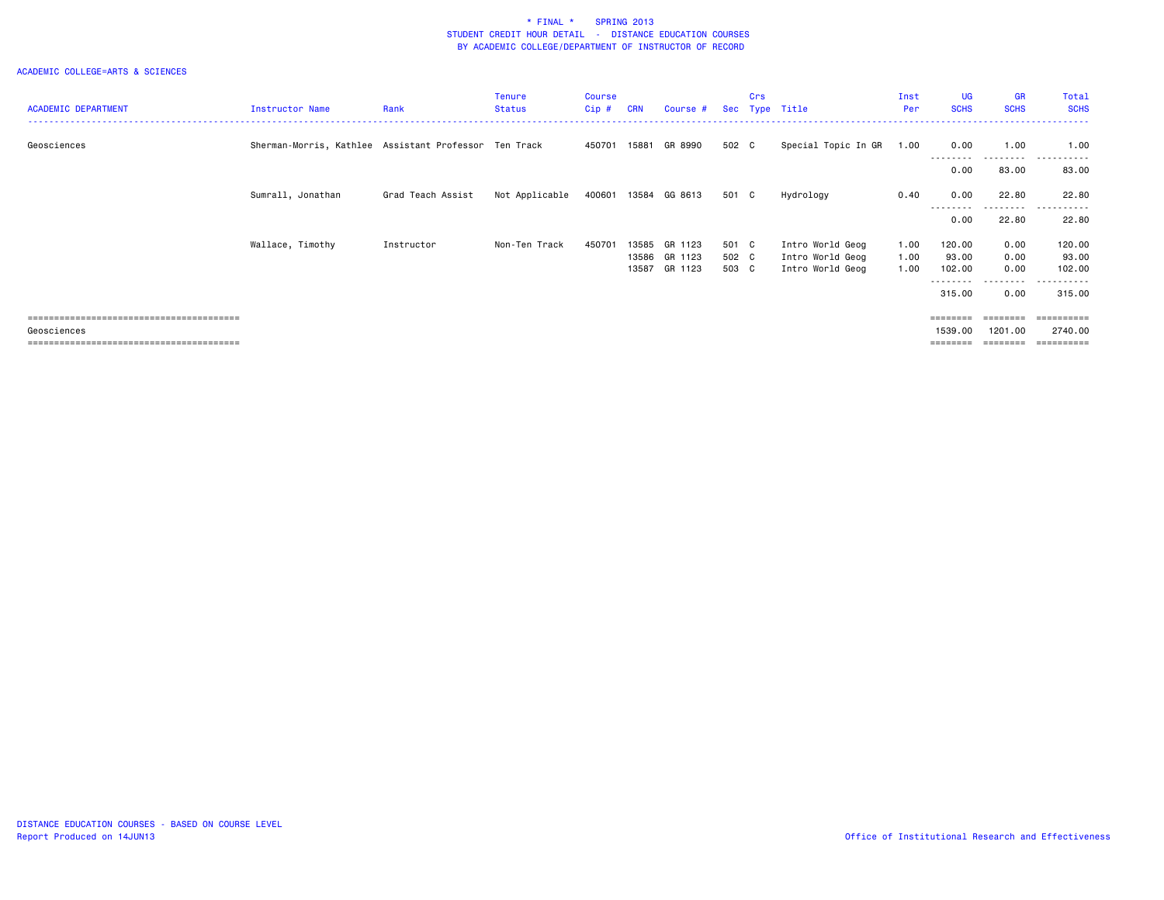| <b>ACADEMIC DEPARTMENT</b> | Instructor Name                                       | Rank              | <b>Tenure</b><br><b>Status</b> | Course<br>$Cip$ # | <b>CRN</b>     | Course #             | Sec            | Crs | Type Title                           | Inst<br>Per  | <b>UG</b><br><b>SCHS</b> | <b>GR</b><br><b>SCHS</b> | Total<br><b>SCHS</b>  |
|----------------------------|-------------------------------------------------------|-------------------|--------------------------------|-------------------|----------------|----------------------|----------------|-----|--------------------------------------|--------------|--------------------------|--------------------------|-----------------------|
| Geosciences                | Sherman-Morris, Kathlee Assistant Professor Ten Track |                   |                                | 450701            | 15881          | GR 8990              | 502 C          |     | Special Topic In GR                  | 1.00         | 0.00                     | 1.00<br>------           | 1.00                  |
|                            |                                                       |                   |                                |                   |                |                      |                |     |                                      |              | 0.00                     | 83.00                    | 83.00                 |
|                            | Sumrall, Jonathan                                     | Grad Teach Assist | Not Applicable                 |                   |                | 400601 13584 GG 8613 | 501 C          |     | Hydrology                            | 0.40         | 0.00                     | 22.80                    | 22.80                 |
|                            |                                                       |                   |                                |                   |                |                      |                |     |                                      |              | 0.00                     | . <sub>.</sub><br>22.80  | .<br>22.80            |
|                            | Wallace, Timothy                                      | Instructor        | Non-Ten Track                  | 450701            | 13585          | GR 1123              | 501 C          |     | Intro World Geog                     | 1.00         | 120.00                   | 0.00                     | 120.00                |
|                            |                                                       |                   |                                |                   | 13586<br>13587 | GR 1123<br>GR 1123   | 502 C<br>503 C |     | Intro World Geog<br>Intro World Geog | 1.00<br>1.00 | 93.00<br>102.00          | 0.00<br>0.00             | 93.00<br>102.00       |
|                            |                                                       |                   |                                |                   |                |                      |                |     |                                      |              | ---------<br>315.00      | .<br>0.00                | .<br>315.00           |
|                            |                                                       |                   |                                |                   |                |                      |                |     |                                      |              | ========                 | $=$ = = = = = = =        | ==========            |
| Geosciences                |                                                       |                   |                                |                   |                |                      |                |     |                                      |              | 1539.00<br>========      | 1201.00                  | 2740.00<br>========== |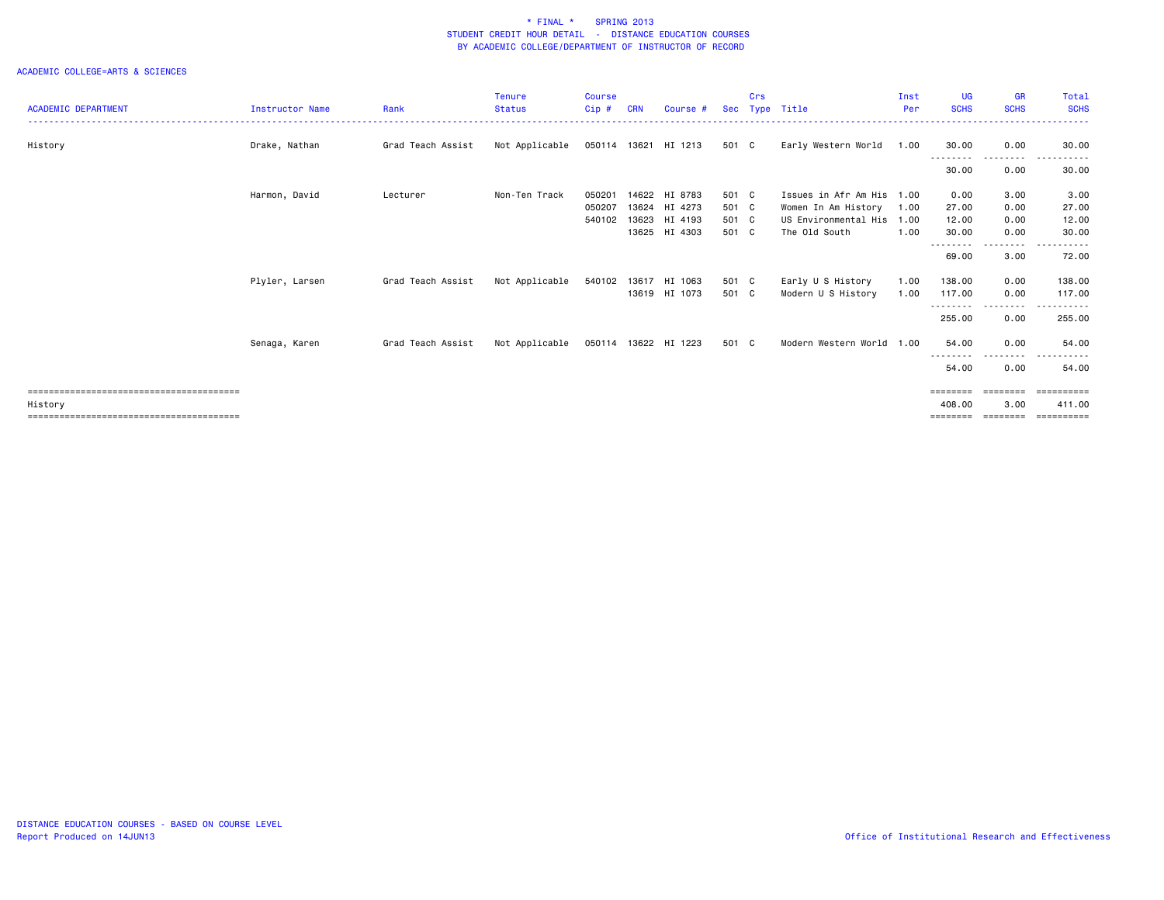|                            |                        |                   | <b>Tenure</b>  | <b>Course</b> |            |                      |       | Crs |                           | Inst | <b>UG</b>         | <b>GR</b>          | Total            |
|----------------------------|------------------------|-------------------|----------------|---------------|------------|----------------------|-------|-----|---------------------------|------|-------------------|--------------------|------------------|
| <b>ACADEMIC DEPARTMENT</b> | <b>Instructor Name</b> | Rank              | <b>Status</b>  | Cip#          | <b>CRN</b> | Course #             | Sec   |     | Type Title                | Per  | <b>SCHS</b>       | <b>SCHS</b>        | <b>SCHS</b>      |
| History                    | Drake, Nathan          | Grad Teach Assist | Not Applicable |               |            | 050114 13621 HI 1213 | 501 C |     | Early Western World       | 1.00 | 30.00             | 0.00<br>-----      | 30.00            |
|                            |                        |                   |                |               |            |                      |       |     |                           |      | 30.00             | 0.00               | 30.00            |
|                            | Harmon, David          | Lecturer          | Non-Ten Track  | 050201        |            | 14622 HI 8783        | 501 C |     | Issues in Afr Am His 1.00 |      | 0.00              | 3.00               | 3.00             |
|                            |                        |                   |                | 050207        |            | 13624 HI 4273        | 501 C |     | Women In Am History       | 1.00 | 27.00             | 0.00               | 27.00            |
|                            |                        |                   |                | 540102        | 13623      | HI 4193              | 501 C |     | US Environmental His      | 1.00 | 12.00             | 0.00               | 12.00            |
|                            |                        |                   |                |               |            | 13625 HI 4303        | 501 C |     | The Old South             | 1.00 | 30.00             | 0.00               | 30.00            |
|                            |                        |                   |                |               |            |                      |       |     |                           |      | 69.00             | -----<br>3.00      | 72.00            |
|                            | Plyler, Larsen         | Grad Teach Assist | Not Applicable | 540102        |            | 13617 HI 1063        | 501 C |     | Early U S History         | 1.00 | 138.00            | 0.00               | 138.00           |
|                            |                        |                   |                |               |            | 13619 HI 1073        | 501 C |     | Modern U S History        | 1.00 | 117.00            | 0.00               | 117.00           |
|                            |                        |                   |                |               |            |                      |       |     |                           |      | .<br>255.00       | . <b>.</b><br>0.00 | ------<br>255.00 |
|                            | Senaga, Karen          | Grad Teach Assist | Not Applicable |               |            | 050114 13622 HI 1223 | 501 C |     | Modern Western World 1.00 |      | 54.00<br>-------- | 0.00<br>---------  | 54.00            |
|                            |                        |                   |                |               |            |                      |       |     |                           |      | 54.00             | 0.00               | 54.00            |
|                            |                        |                   |                |               |            |                      |       |     |                           |      | ========          | eeeeeee            | eessesses        |
| History                    |                        |                   |                |               |            |                      |       |     |                           |      | 408,00            | 3.00               | 411.00           |
|                            |                        |                   |                |               |            |                      |       |     |                           |      | ========          | ========           | ==========       |
|                            |                        |                   |                |               |            |                      |       |     |                           |      |                   |                    |                  |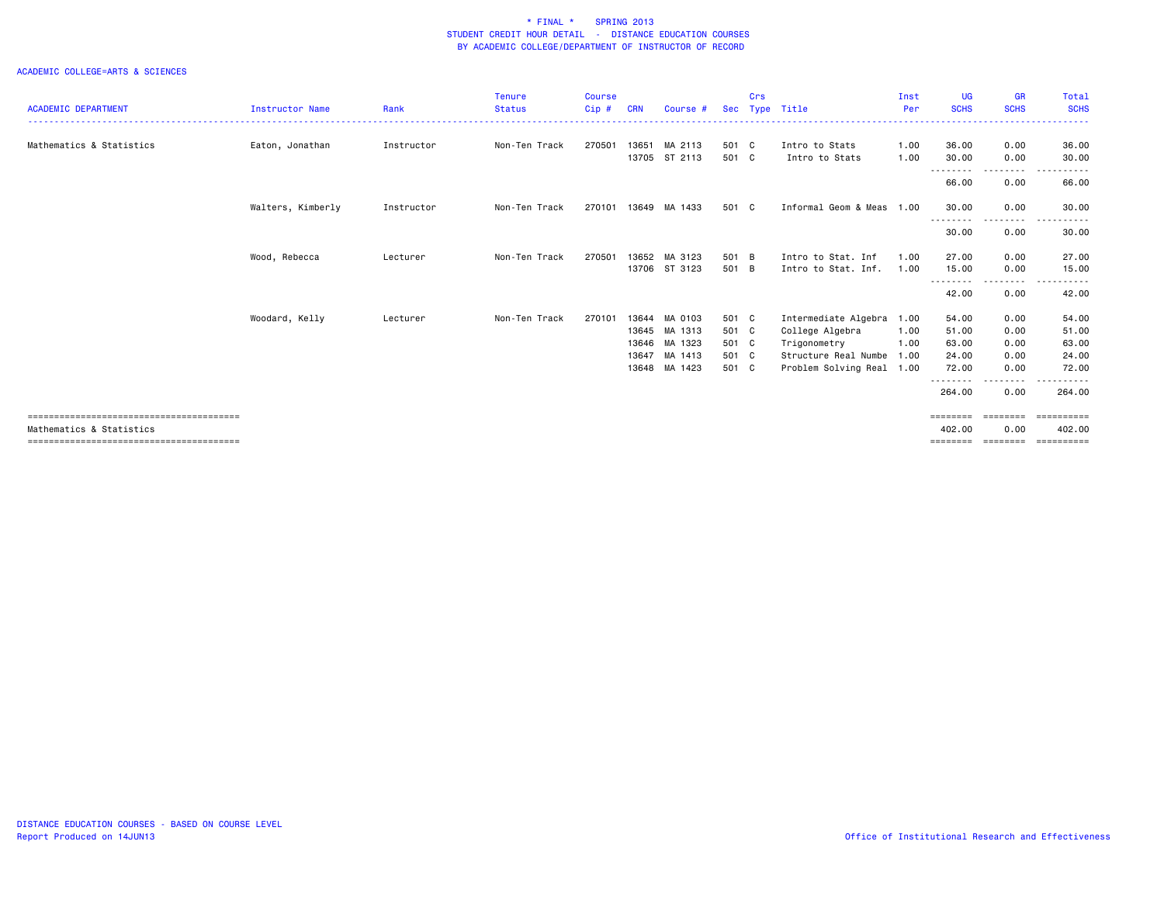| <b>ACADEMIC DEPARTMENT</b> | <b>Instructor Name</b> | Rank       | <b>Tenure</b><br><b>Status</b> | <b>Course</b><br>$Cip$ # | <b>CRN</b> | Course #      |       | Crs | Sec Type Title            | Inst<br>Per | <b>UG</b><br><b>SCHS</b>   | <b>GR</b><br><b>SCHS</b>                                                                                                          | Total<br><b>SCHS</b>                                                                                                     |
|----------------------------|------------------------|------------|--------------------------------|--------------------------|------------|---------------|-------|-----|---------------------------|-------------|----------------------------|-----------------------------------------------------------------------------------------------------------------------------------|--------------------------------------------------------------------------------------------------------------------------|
|                            |                        |            |                                |                          |            |               |       |     |                           |             |                            |                                                                                                                                   |                                                                                                                          |
| Mathematics & Statistics   | Eaton, Jonathan        | Instructor | Non-Ten Track                  | 270501                   | 13651      | MA 2113       | 501 C |     | Intro to Stats            | 1.00        | 36.00                      | 0.00                                                                                                                              | 36.00                                                                                                                    |
|                            |                        |            |                                |                          | 13705      | ST 2113       | 501 C |     | Intro to Stats            | 1.00        | 30.00                      | 0.00                                                                                                                              | 30.00                                                                                                                    |
|                            |                        |            |                                |                          |            |               |       |     |                           |             | 66.00                      | 0.00                                                                                                                              | 66.00                                                                                                                    |
|                            | Walters, Kimberly      | Instructor | Non-Ten Track                  | 270101                   |            | 13649 MA 1433 | 501 C |     | Informal Geom & Meas 1.00 |             | 30.00                      | 0.00                                                                                                                              | 30.00                                                                                                                    |
|                            |                        |            |                                |                          |            |               |       |     |                           |             | - - - - - - - - -<br>30.00 | ---------<br>0.00                                                                                                                 | $\begin{array}{cccccccccccccc} \bullet & \bullet & \bullet & \bullet & \bullet & \bullet & \bullet \end{array}$<br>30.00 |
|                            | Wood, Rebecca          | Lecturer   | Non-Ten Track                  | 270501                   | 13652      | MA 3123       | 501 B |     | Intro to Stat. Inf        | 1.00        | 27.00                      | 0.00                                                                                                                              | 27.00                                                                                                                    |
|                            |                        |            |                                |                          |            | 13706 ST 3123 | 501 B |     | Intro to Stat. Inf.       | 1.00        | 15.00<br>--------          | 0.00<br>.                                                                                                                         | 15.00                                                                                                                    |
|                            |                        |            |                                |                          |            |               |       |     |                           |             | 42.00                      | 0.00                                                                                                                              | 42.00                                                                                                                    |
|                            | Woodard, Kelly         | Lecturer   | Non-Ten Track                  | 270101                   | 13644      | MA 0103       | 501 C |     | Intermediate Algebra 1.00 |             | 54.00                      | 0.00                                                                                                                              | 54.00                                                                                                                    |
|                            |                        |            |                                |                          | 13645      | MA 1313       | 501 C |     | College Algebra           | 1.00        | 51.00                      | 0.00                                                                                                                              | 51.00                                                                                                                    |
|                            |                        |            |                                |                          | 13646      | MA 1323       | 501 C |     | Trigonometry              | 1.00        | 63.00                      | 0.00                                                                                                                              | 63.00                                                                                                                    |
|                            |                        |            |                                |                          | 13647      | MA 1413       | 501 C |     | Structure Real Numbe 1.00 |             | 24.00                      | 0.00                                                                                                                              | 24.00                                                                                                                    |
|                            |                        |            |                                |                          | 13648      | MA 1423       | 501 C |     | Problem Solving Real 1.00 |             | 72.00                      | 0.00                                                                                                                              | 72.00                                                                                                                    |
|                            |                        |            |                                |                          |            |               |       |     |                           |             | --------<br>264.00         | $\frac{1}{2} \left( \frac{1}{2} \right) \left( \frac{1}{2} \right) \left( \frac{1}{2} \right) \left( \frac{1}{2} \right)$<br>0.00 | .<br>264,00                                                                                                              |
|                            |                        |            |                                |                          |            |               |       |     |                           |             | ========                   | ========                                                                                                                          | ==========                                                                                                               |
| Mathematics & Statistics   |                        |            |                                |                          |            |               |       |     |                           |             | 402.00                     | 0.00                                                                                                                              | 402.00                                                                                                                   |
|                            |                        |            |                                |                          |            |               |       |     |                           |             |                            |                                                                                                                                   | $=$ = = = = = = = = =                                                                                                    |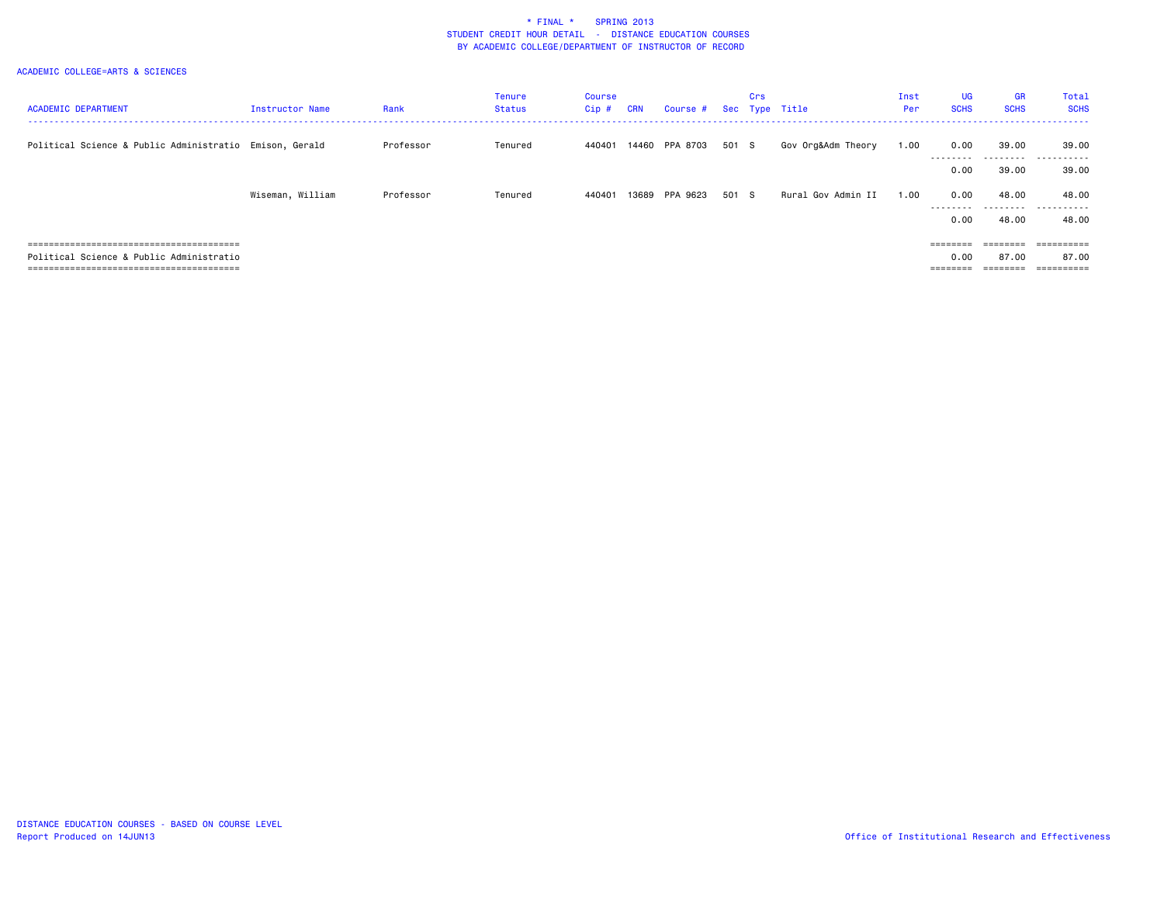| <b>ACADEMIC DEPARTMENT</b>                              | Instructor Name  | Rank      | Tenure<br><b>Status</b> | Course<br>$Cip \#$ | <b>CRN</b> | Course #       |       | Crs | Sec Type Title     | Inst<br>Per | <b>UG</b><br><b>SCHS</b> | <b>GR</b><br><b>SCHS</b> | Total<br><b>SCHS</b>           |
|---------------------------------------------------------|------------------|-----------|-------------------------|--------------------|------------|----------------|-------|-----|--------------------|-------------|--------------------------|--------------------------|--------------------------------|
| Political Science & Public Administratio Emison, Gerald |                  |           |                         |                    |            |                |       |     |                    |             |                          |                          |                                |
|                                                         |                  | Professor | Tenured                 | 440401             |            | 14460 PPA 8703 | 501 S |     | Gov Org&Adm Theory | 1.00        | 0.00                     | 39.00                    | 39.00<br>- - - - - - -<br>---- |
|                                                         |                  |           |                         |                    |            |                |       |     |                    |             | 0.00                     | 39.00                    | 39.00                          |
|                                                         | Wiseman, William | Professor | Tenured                 | 440401             |            | 13689 PPA 9623 | 501 S |     | Rural Gov Admin II | 1.00        | 0.00                     | 48.00                    | 48.00                          |
|                                                         |                  |           |                         |                    |            |                |       |     |                    |             | .<br>0.00                | 48.00                    | <br>48.00                      |
|                                                         |                  |           |                         |                    |            |                |       |     |                    |             |                          |                          |                                |
| ==============================                          |                  |           |                         |                    |            |                |       |     |                    |             | ========                 | ========                 | ==========                     |
| Political Science & Public Administratio                |                  |           |                         |                    |            |                |       |     |                    |             | 0.00                     | 87.00                    | 87.00                          |
|                                                         |                  |           |                         |                    |            |                |       |     |                    |             | --------                 | ========                 | ==========                     |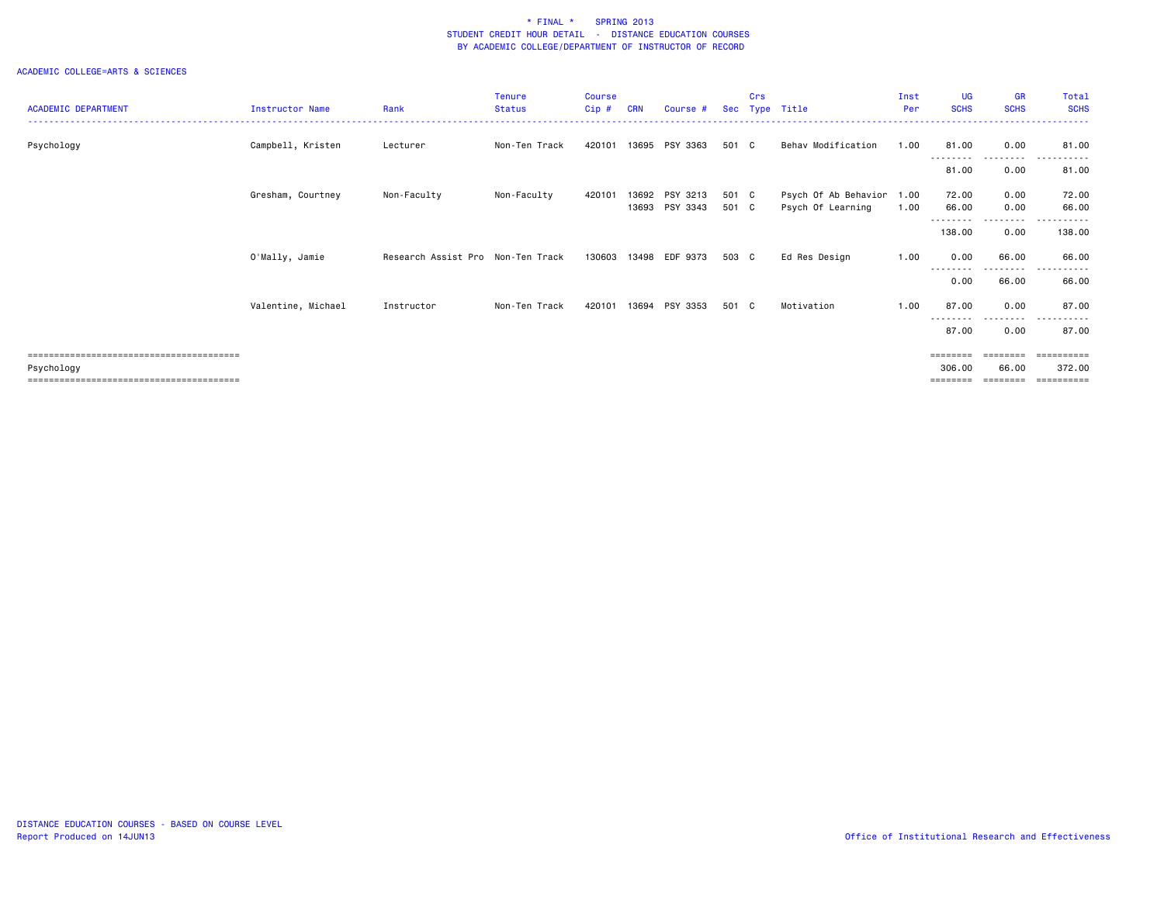| <b>ACADEMIC DEPARTMENT</b> | <b>Instructor Name</b> | Rank                              | <b>Tenure</b><br><b>Status</b> | <b>Course</b><br>Cip# | CRN   | Course #       | <b>Sec</b> | Crs | Type Title           | Inst<br>Per | <b>UG</b><br><b>SCHS</b> | <b>GR</b><br><b>SCHS</b> | Total<br><b>SCHS</b> |
|----------------------------|------------------------|-----------------------------------|--------------------------------|-----------------------|-------|----------------|------------|-----|----------------------|-------------|--------------------------|--------------------------|----------------------|
|                            |                        |                                   |                                |                       |       |                |            |     |                      |             |                          |                          |                      |
| Psychology                 | Campbell, Kristen      | Lecturer                          | Non-Ten Track                  | 420101                |       | 13695 PSY 3363 | 501 C      |     | Behav Modification   | 1.00        | 81.00                    | 0.00                     | 81.00                |
|                            |                        |                                   |                                |                       |       |                |            |     |                      |             | 81.00                    | 0.00                     | 81.00                |
|                            | Gresham, Courtney      | Non-Faculty                       | Non-Faculty                    | 420101                | 13692 | PSY 3213       | 501 C      |     | Psych Of Ab Behavior | 1.00        | 72.00                    | 0.00                     | 72.00                |
|                            |                        |                                   |                                |                       |       | 13693 PSY 3343 | 501 C      |     | Psych Of Learning    | 1.00        | 66.00                    | 0.00<br>. <b>.</b> .     | 66.00                |
|                            |                        |                                   |                                |                       |       |                |            |     |                      |             | 138.00                   | 0.00                     | 138.00               |
|                            | O'Mally, Jamie         | Research Assist Pro Non-Ten Track |                                | 130603                |       | 13498 EDF 9373 | 503 C      |     | Ed Res Design        | 1.00        | 0.00                     | 66.00                    | 66.00                |
|                            |                        |                                   |                                |                       |       |                |            |     |                      |             | 0.00                     | 66.00                    | 66.00                |
|                            | Valentine, Michael     | Instructor                        | Non-Ten Track                  | 420101                | 13694 | PSY 3353       | 501 C      |     | Motivation           | 1.00        | 87.00                    | 0.00                     | 87.00                |
|                            |                        |                                   |                                |                       |       |                |            |     |                      |             | 87.00                    | .<br>0.00                | 87.00                |
|                            |                        |                                   |                                |                       |       |                |            |     |                      |             | ========                 | ========                 | ==========           |
| Psychology                 |                        |                                   |                                |                       |       |                |            |     |                      |             | 306.00<br>========       | 66.00<br>========        | 372.00<br>========== |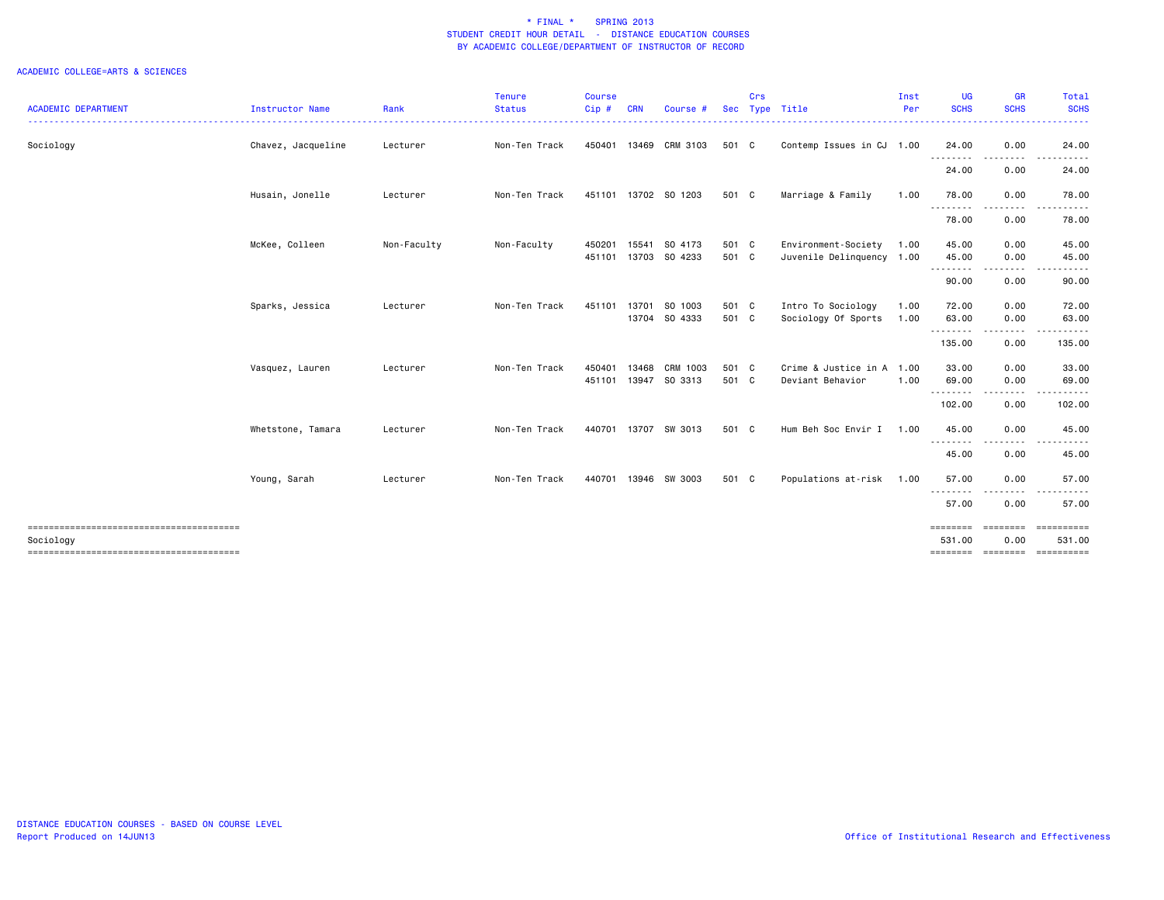|                            |                        |             | Tenure        | Course |            |                      |       | Crs |                           | Inst | <b>UG</b>         | GR                 | Total                        |
|----------------------------|------------------------|-------------|---------------|--------|------------|----------------------|-------|-----|---------------------------|------|-------------------|--------------------|------------------------------|
| <b>ACADEMIC DEPARTMENT</b> | <b>Instructor Name</b> | Rank        | <b>Status</b> | Cip#   | <b>CRN</b> | Course #             |       |     | Sec Type Title            | Per  | <b>SCHS</b>       | <b>SCHS</b>        | <b>SCHS</b>                  |
| Sociology                  | Chavez, Jacqueline     | Lecturer    | Non-Ten Track | 450401 |            | 13469 CRM 3103       | 501 C |     | Contemp Issues in CJ 1.00 |      | 24.00<br>.        | 0.00               | 24.00                        |
|                            |                        |             |               |        |            |                      |       |     |                           |      | 24.00             | 0.00               | 24.00                        |
|                            | Husain, Jonelle        | Lecturer    | Non-Ten Track |        |            | 451101 13702 SO 1203 | 501 C |     | Marriage & Family         | 1.00 | 78.00             | 0.00               | 78.00                        |
|                            |                        |             |               |        |            |                      |       |     |                           |      | <u>.</u><br>78.00 | 0.00               | 78.00                        |
|                            | McKee, Colleen         | Non-Faculty | Non-Faculty   | 450201 | 15541      | SO 4173              | 501 C |     | Environment-Society       | 1.00 | 45.00             | 0.00               | 45.00                        |
|                            |                        |             |               |        |            | 451101 13703 SO 4233 | 501 C |     | Juvenile Delinquency 1.00 |      | 45.00             | 0.00               | 45.00                        |
|                            |                        |             |               |        |            |                      |       |     |                           |      | --------<br>90.00 | 0.00               | 90.00                        |
|                            | Sparks, Jessica        | Lecturer    | Non-Ten Track | 451101 | 13701      | SO 1003              | 501 C |     | Intro To Sociology        | 1.00 | 72.00             | 0.00               | 72.00                        |
|                            |                        |             |               |        |            | 13704 SO 4333        | 501 C |     | Sociology Of Sports       | 1.00 | 63.00             | 0.00               | 63.00                        |
|                            |                        |             |               |        |            |                      |       |     |                           |      | .<br>135.00       | <u>.</u><br>0.00   | 135.00                       |
|                            | Vasquez, Lauren        | Lecturer    | Non-Ten Track | 450401 | 13468      | CRM 1003             | 501 C |     | Crime & Justice in A 1.00 |      | 33.00             | 0.00               | 33.00                        |
|                            |                        |             |               |        |            | 451101 13947 SO 3313 | 501 C |     | Deviant Behavior          | 1.00 | 69.00             | 0.00               | 69.00                        |
|                            |                        |             |               |        |            |                      |       |     |                           |      | .<br>102.00       | . <b>.</b><br>0.00 | 102.00                       |
|                            | Whetstone, Tamara      | Lecturer    | Non-Ten Track |        |            | 440701 13707 SW 3013 | 501 C |     | Hum Beh Soc Envir I       | 1.00 | 45.00             | 0.00               | 45.00                        |
|                            |                        |             |               |        |            |                      |       |     |                           |      | .<br>45.00        | 0.00               | 45.00                        |
|                            | Young, Sarah           | Lecturer    | Non-Ten Track | 440701 |            | 13946 SW 3003        | 501 C |     | Populations at-risk       | 1.00 | 57.00             | 0.00               | 57.00                        |
|                            |                        |             |               |        |            |                      |       |     |                           |      | 57.00             | 0.00               | 57.00                        |
|                            |                        |             |               |        |            |                      |       |     |                           |      | ========          | ========           | ==========                   |
| Sociology                  |                        |             |               |        |            |                      |       |     |                           |      | 531.00            | 0.00               | 531.00                       |
|                            |                        |             |               |        |            |                      |       |     |                           |      |                   |                    | ========= ======== ========= |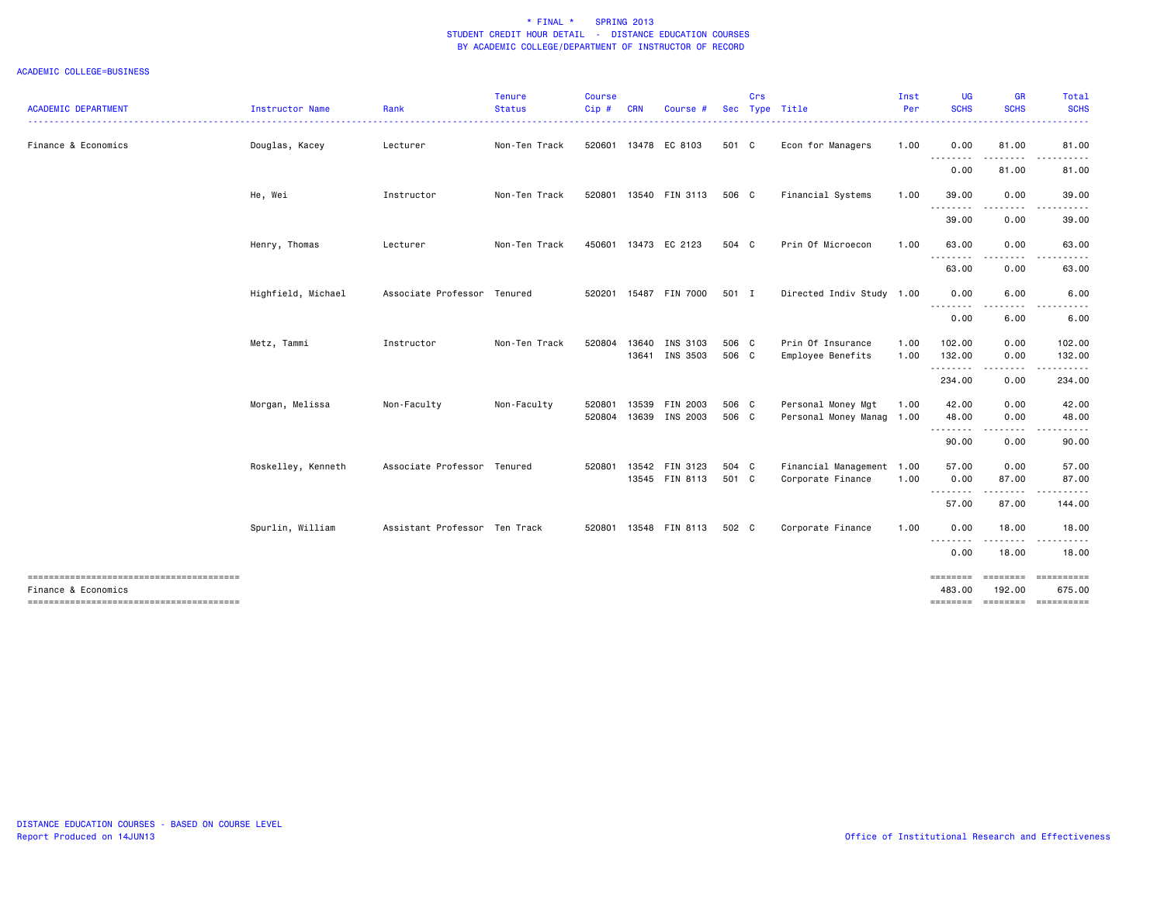|                            |                    |                               | <b>Tenure</b> | <b>Course</b> |            |                       |       | Crs |                           | Inst | <b>UG</b>                   | <b>GR</b>          | Total                |
|----------------------------|--------------------|-------------------------------|---------------|---------------|------------|-----------------------|-------|-----|---------------------------|------|-----------------------------|--------------------|----------------------|
| <b>ACADEMIC DEPARTMENT</b> | Instructor Name    | Rank                          | <b>Status</b> | Cip#          | <b>CRN</b> | Course #              |       |     | Sec Type Title            | Per  | <b>SCHS</b>                 | <b>SCHS</b>        | <b>SCHS</b>          |
| Finance & Economics        | Douglas, Kacey     | Lecturer                      | Non-Ten Track |               |            | 520601 13478 EC 8103  | 501 C |     | Econ for Managers         | 1.00 | 0.00                        | 81.00              | 81.00                |
|                            |                    |                               |               |               |            |                       |       |     |                           |      | 0.00                        | 81.00              | 81.00                |
|                            | He, Wei            | Instructor                    | Non-Ten Track | 520801        |            | 13540 FIN 3113        | 506 C |     | Financial Systems         | 1.00 | 39.00                       | 0.00               | 39.00                |
|                            |                    |                               |               |               |            |                       |       |     |                           |      | 39.00                       | 0.00               | 39.00                |
|                            | Henry, Thomas      | Lecturer                      | Non-Ten Track |               |            | 450601 13473 EC 2123  | 504 C |     | Prin Of Microecon         | 1.00 | 63.00<br>.                  | 0.00<br>.          | 63.00                |
|                            |                    |                               |               |               |            |                       |       |     |                           |      | 63.00                       | 0.00               | 63.00                |
|                            | Highfield, Michael | Associate Professor Tenured   |               |               |            | 520201 15487 FIN 7000 | 501 I |     | Directed Indiv Study 1.00 |      | 0.00<br>--------            | 6.00               | 6.00                 |
|                            |                    |                               |               |               |            |                       |       |     |                           |      | 0.00                        | 6.00               | 6.00                 |
|                            | Metz, Tammi        | Instructor                    | Non-Ten Track | 520804        |            | 13640 INS 3103        | 506 C |     | Prin Of Insurance         | 1.00 | 102.00                      | 0.00               | 102.00               |
|                            |                    |                               |               |               |            | 13641 INS 3503        | 506 C |     | Employee Benefits         | 1.00 | 132.00<br>.                 | 0.00<br>.          | 132.00<br>.          |
|                            |                    |                               |               |               |            |                       |       |     |                           |      | 234.00                      | 0.00               | 234.00               |
|                            | Morgan, Melissa    | Non-Faculty                   | Non-Faculty   | 520801        |            | 13539 FIN 2003        | 506 C |     | Personal Money Mgt        | 1.00 | 42.00                       | 0.00               | 42.00                |
|                            |                    |                               |               | 520804        |            | 13639 INS 2003        | 506 C |     | Personal Money Manag 1.00 |      | 48.00<br>.                  | 0.00<br>.          | 48.00                |
|                            |                    |                               |               |               |            |                       |       |     |                           |      | 90.00                       | 0.00               | 90.00                |
|                            | Roskelley, Kenneth | Associate Professor Tenured   |               | 520801        |            | 13542 FIN 3123        | 504 C |     | Financial Management 1.00 |      | 57.00                       | 0.00               | 57.00                |
|                            |                    |                               |               |               |            | 13545 FIN 8113        | 501 C |     | Corporate Finance         | 1.00 | 0.00                        | 87.00              | 87.00                |
|                            |                    |                               |               |               |            |                       |       |     |                           |      | --------<br>57.00           | .<br>87.00         | 144.00               |
|                            | Spurlin, William   | Assistant Professor Ten Track |               | 520801        |            | 13548 FIN 8113        | 502 C |     | Corporate Finance         | 1.00 | 0.00<br><u>--------</u>     | 18.00              | 18.00                |
|                            |                    |                               |               |               |            |                       |       |     |                           |      | 0.00                        | 18.00              | 18.00                |
| Finance & Economics        |                    |                               |               |               |            |                       |       |     |                           |      | $=$ = = = = = = =<br>483.00 | ========<br>192.00 | ==========<br>675.00 |
|                            |                    |                               |               |               |            |                       |       |     |                           |      | ========                    |                    | ===================  |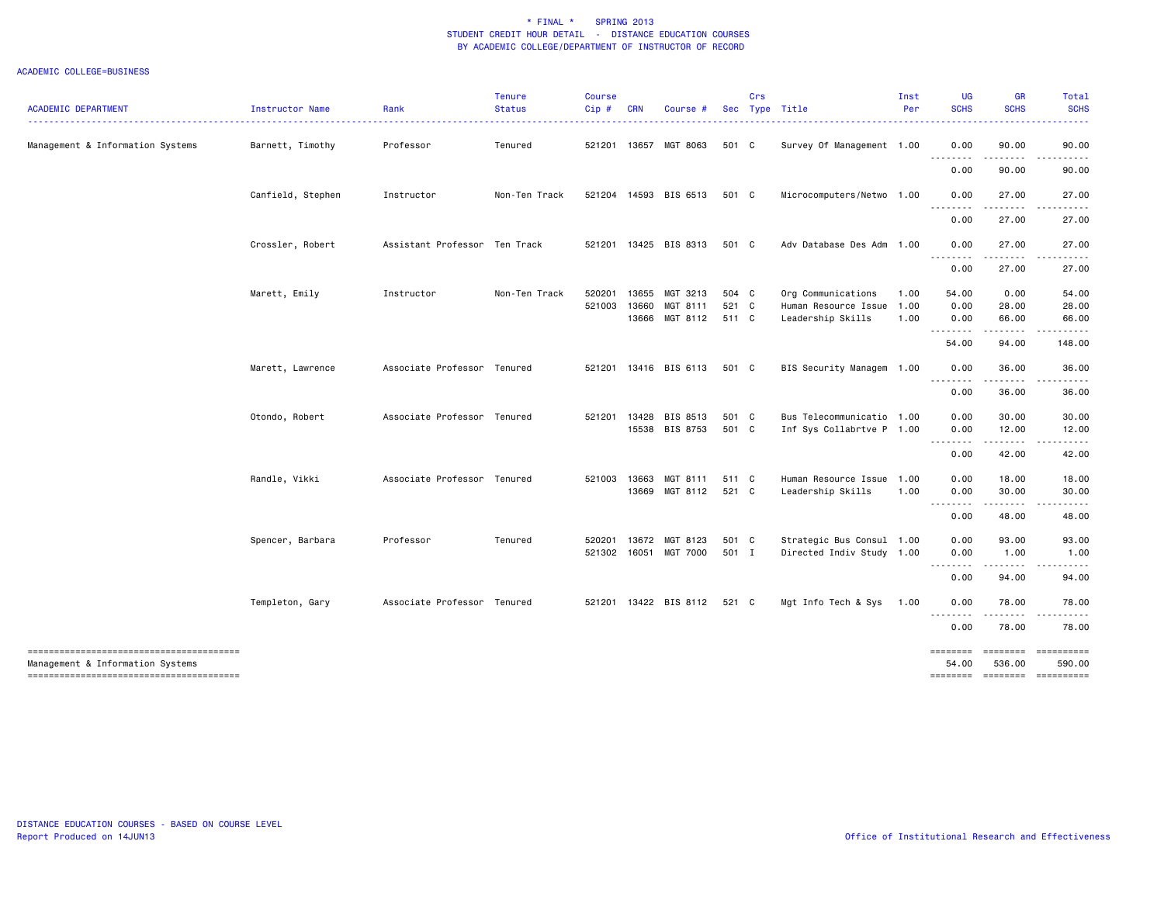|                                  |                   |                               | <b>Tenure</b> | <b>Course</b> |            |                       |       | Crs |                           | Inst | <b>UG</b>         | <b>GR</b>                                                                                                                                                     | Total                 |
|----------------------------------|-------------------|-------------------------------|---------------|---------------|------------|-----------------------|-------|-----|---------------------------|------|-------------------|---------------------------------------------------------------------------------------------------------------------------------------------------------------|-----------------------|
| <b>ACADEMIC DEPARTMENT</b>       | Instructor Name   | Rank                          | <b>Status</b> | Cip#          | <b>CRN</b> | Course #              |       |     | Sec Type Title            | Per  | <b>SCHS</b>       | <b>SCHS</b>                                                                                                                                                   | <b>SCHS</b>           |
| Management & Information Systems | Barnett, Timothy  | Professor                     | Tenured       |               |            | 521201 13657 MGT 8063 | 501 C |     | Survey Of Management 1.00 |      | 0.00<br>---       | 90.00<br>.                                                                                                                                                    | 90.00                 |
|                                  |                   |                               |               |               |            |                       |       |     |                           |      | 0.00              | 90.00                                                                                                                                                         | 90.00                 |
|                                  | Canfield, Stephen | Instructor                    | Non-Ten Track |               |            | 521204 14593 BIS 6513 | 501 C |     | Microcomputers/Netwo 1.00 |      | 0.00<br>.         | 27.00<br>$\frac{1}{2} \left( \frac{1}{2} \right) \left( \frac{1}{2} \right) \left( \frac{1}{2} \right) \left( \frac{1}{2} \right) \left( \frac{1}{2} \right)$ | 27.00<br>. <u>.</u> . |
|                                  |                   |                               |               |               |            |                       |       |     |                           |      | 0.00              | 27.00                                                                                                                                                         | 27.00                 |
|                                  | Crossler, Robert  | Assistant Professor Ten Track |               |               |            | 521201 13425 BIS 8313 | 501 C |     | Adv Database Des Adm 1.00 |      | 0.00              | 27.00                                                                                                                                                         | 27.00                 |
|                                  |                   |                               |               |               |            |                       |       |     |                           |      | 0.00              | 27.00                                                                                                                                                         | 27.00                 |
|                                  | Marett, Emily     | Instructor                    | Non-Ten Track | 520201        | 13655      | MGT 3213              | 504 C |     | Org Communications        | 1.00 | 54.00             | 0.00                                                                                                                                                          | 54.00                 |
|                                  |                   |                               |               | 521003        | 13660      | MGT 8111              | 521 C |     | Human Resource Issue      | 1.00 | 0.00              | 28.00                                                                                                                                                         | 28.00                 |
|                                  |                   |                               |               |               |            | 13666 MGT 8112        | 511 C |     | Leadership Skills         | 1.00 | 0.00<br>.         | 66.00<br>$- - - - -$                                                                                                                                          | 66.00<br>------       |
|                                  |                   |                               |               |               |            |                       |       |     |                           |      | 54.00             | 94.00                                                                                                                                                         | 148.00                |
|                                  | Marett, Lawrence  | Associate Professor Tenured   |               |               |            | 521201 13416 BIS 6113 | 501 C |     | BIS Security Managem 1.00 |      | 0.00<br>.         | 36.00<br>-----                                                                                                                                                | 36.00<br>.            |
|                                  |                   |                               |               |               |            |                       |       |     |                           |      | 0.00              | 36.00                                                                                                                                                         | 36.00                 |
|                                  | Otondo, Robert    | Associate Professor Tenured   |               | 521201        |            | 13428 BIS 8513        | 501 C |     | Bus Telecommunicatio 1.00 |      | 0.00              | 30.00                                                                                                                                                         | 30.00                 |
|                                  |                   |                               |               |               |            | 15538 BIS 8753        | 501 C |     | Inf Sys Collabrtve P 1.00 |      | 0.00              | 12.00<br>.                                                                                                                                                    | 12.00                 |
|                                  |                   |                               |               |               |            |                       |       |     |                           |      | 0.00              | 42.00                                                                                                                                                         | 42.00                 |
|                                  | Randle, Vikki     | Associate Professor Tenured   |               |               |            | 521003 13663 MGT 8111 | 511 C |     | Human Resource Issue 1.00 |      | 0.00              | 18.00                                                                                                                                                         | 18.00                 |
|                                  |                   |                               |               |               |            | 13669 MGT 8112        | 521 C |     | Leadership Skills         | 1.00 | 0.00<br>.         | 30.00<br>-----                                                                                                                                                | 30.00                 |
|                                  |                   |                               |               |               |            |                       |       |     |                           |      | 0.00              | 48.00                                                                                                                                                         | 48.00                 |
|                                  | Spencer, Barbara  | Professor                     | Tenured       | 520201        |            | 13672 MGT 8123        | 501 C |     | Strategic Bus Consul 1.00 |      | 0.00              | 93.00                                                                                                                                                         | 93.00                 |
|                                  |                   |                               |               |               |            | 521302 16051 MGT 7000 | 501 I |     | Directed Indiv Study 1.00 |      | 0.00<br>.         | 1.00                                                                                                                                                          | 1.00                  |
|                                  |                   |                               |               |               |            |                       |       |     |                           |      | 0.00              | 94.00                                                                                                                                                         | 94.00                 |
|                                  | Templeton, Gary   | Associate Professor Tenured   |               |               |            | 521201 13422 BIS 8112 | 521 C |     | Mgt Info Tech & Sys       | 1.00 | 0.00<br>.         | 78.00                                                                                                                                                         | 78.00                 |
|                                  |                   |                               |               |               |            |                       |       |     |                           |      | 0.00              | 78.00                                                                                                                                                         | 78.00                 |
| Management & Information Systems |                   |                               |               |               |            |                       |       |     |                           |      | ========<br>54.00 | 536.00                                                                                                                                                        | 590.00                |
|                                  |                   |                               |               |               |            |                       |       |     |                           |      |                   | -------- -------                                                                                                                                              | ==========            |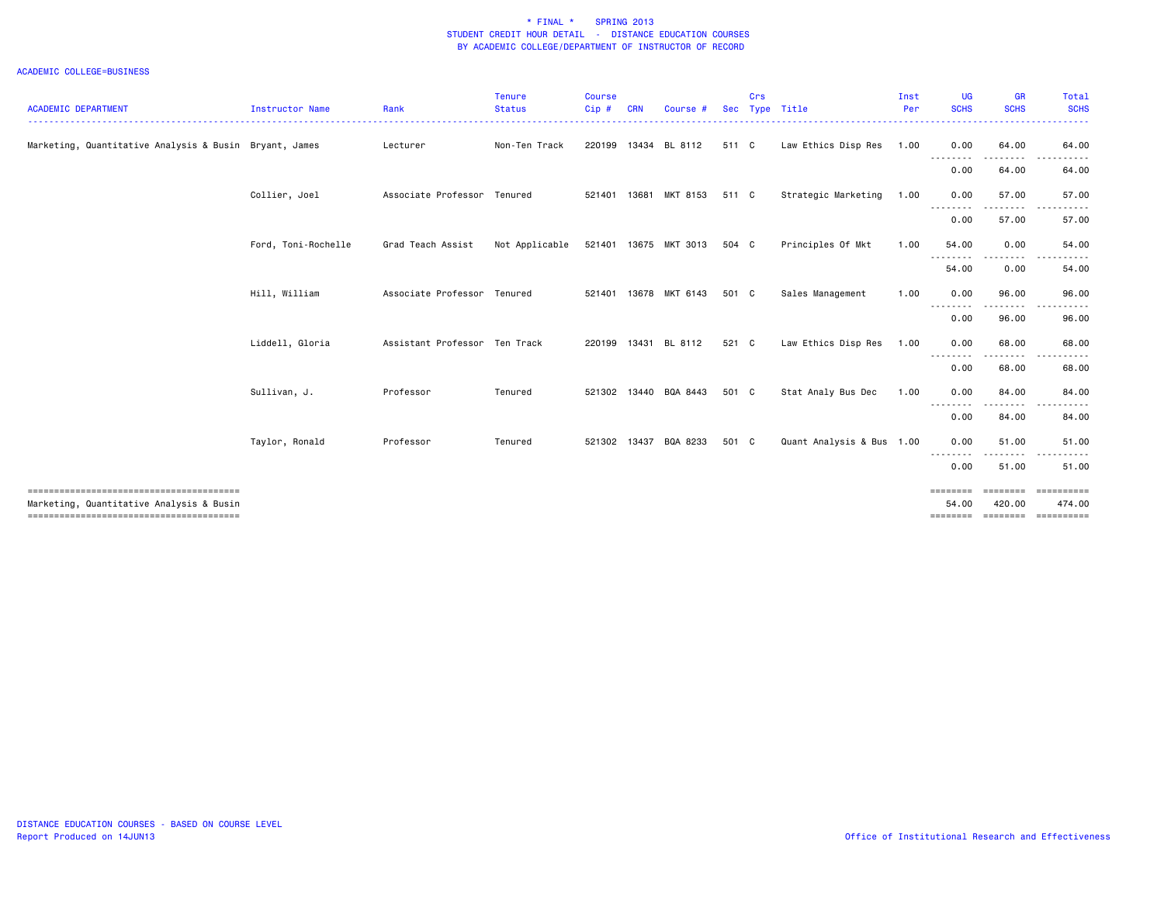| <b>ACADEMIC DEPARTMENT</b>                             | <b>Instructor Name</b> | Rank                          | <b>Tenure</b><br><b>Status</b> | <b>Course</b><br>Cip# | <b>CRN</b> | Course                |       | Crs | Sec Type Title            | Inst<br>Per | <b>UG</b><br><b>SCHS</b> | <b>GR</b><br><b>SCHS</b> | Total<br><b>SCHS</b>         |
|--------------------------------------------------------|------------------------|-------------------------------|--------------------------------|-----------------------|------------|-----------------------|-------|-----|---------------------------|-------------|--------------------------|--------------------------|------------------------------|
|                                                        |                        |                               |                                |                       |            |                       |       |     |                           |             |                          |                          |                              |
| Marketing, Quantitative Analysis & Busin Bryant, James |                        | Lecturer                      | Non-Ten Track                  |                       |            | 220199 13434 BL 8112  | 511 C |     | Law Ethics Disp Res       | 1.00        | 0.00                     | 64.00                    | 64.00                        |
|                                                        |                        |                               |                                |                       |            |                       |       |     |                           |             | 0.00                     | 64.00                    | 64.00                        |
|                                                        | Collier, Joel          | Associate Professor Tenured   |                                | 521401                |            | 13681 MKT 8153        | 511 C |     | Strategic Marketing       | 1.00        | 0.00                     | 57.00<br>. <b>.</b>      | 57.00<br>$\frac{1}{2}$       |
|                                                        |                        |                               |                                |                       |            |                       |       |     |                           |             | 0.00                     | 57.00                    | 57.00                        |
|                                                        | Ford, Toni-Rochelle    | Grad Teach Assist             | Not Applicable                 | 521401                |            | 13675 MKT 3013        | 504 C |     | Principles Of Mkt         | 1.00        | 54.00                    | 0.00                     | 54.00                        |
|                                                        |                        |                               |                                |                       |            |                       |       |     |                           |             | 54.00                    | 0.00                     | 54.00                        |
|                                                        | Hill, William          | Associate Professor Tenured   |                                | 521401                |            | 13678 MKT 6143        | 501 C |     | Sales Management          | 1.00        | 0.00                     | 96.00                    | 96.00                        |
|                                                        |                        |                               |                                |                       |            |                       |       |     |                           |             | 0.00                     | 96.00                    | 96.00                        |
|                                                        | Liddell, Gloria        | Assistant Professor Ten Track |                                | 220199                |            | 13431 BL 8112         | 521 C |     | Law Ethics Disp Res       | 1.00        | 0.00                     | 68.00                    | 68.00                        |
|                                                        |                        |                               |                                |                       |            |                       |       |     |                           |             | 0.00                     | 68.00                    | 68.00                        |
|                                                        | Sullivan, J.           | Professor                     | Tenured                        |                       |            | 521302 13440 BQA 8443 | 501 C |     | Stat Analy Bus Dec        | 1.00        | 0.00                     | 84.00                    | 84.00                        |
|                                                        |                        |                               |                                |                       |            |                       |       |     |                           |             | 0.00                     | 84.00                    | 84.00                        |
|                                                        | Taylor, Ronald         | Professor                     | Tenured                        |                       |            | 521302 13437 BQA 8233 | 501 C |     | Quant Analysis & Bus 1.00 |             | 0.00                     | 51.00                    | 51.00                        |
|                                                        |                        |                               |                                |                       |            |                       |       |     |                           |             | --------<br>0.00         | 51.00                    | 51.00                        |
|                                                        |                        |                               |                                |                       |            |                       |       |     |                           |             | <b>SEREEBER</b>          | ========                 | ==========                   |
| Marketing, Quantitative Analysis & Busin               |                        |                               |                                |                       |            |                       |       |     |                           |             | 54.00<br>========        | 420,00                   | 474.00<br>================== |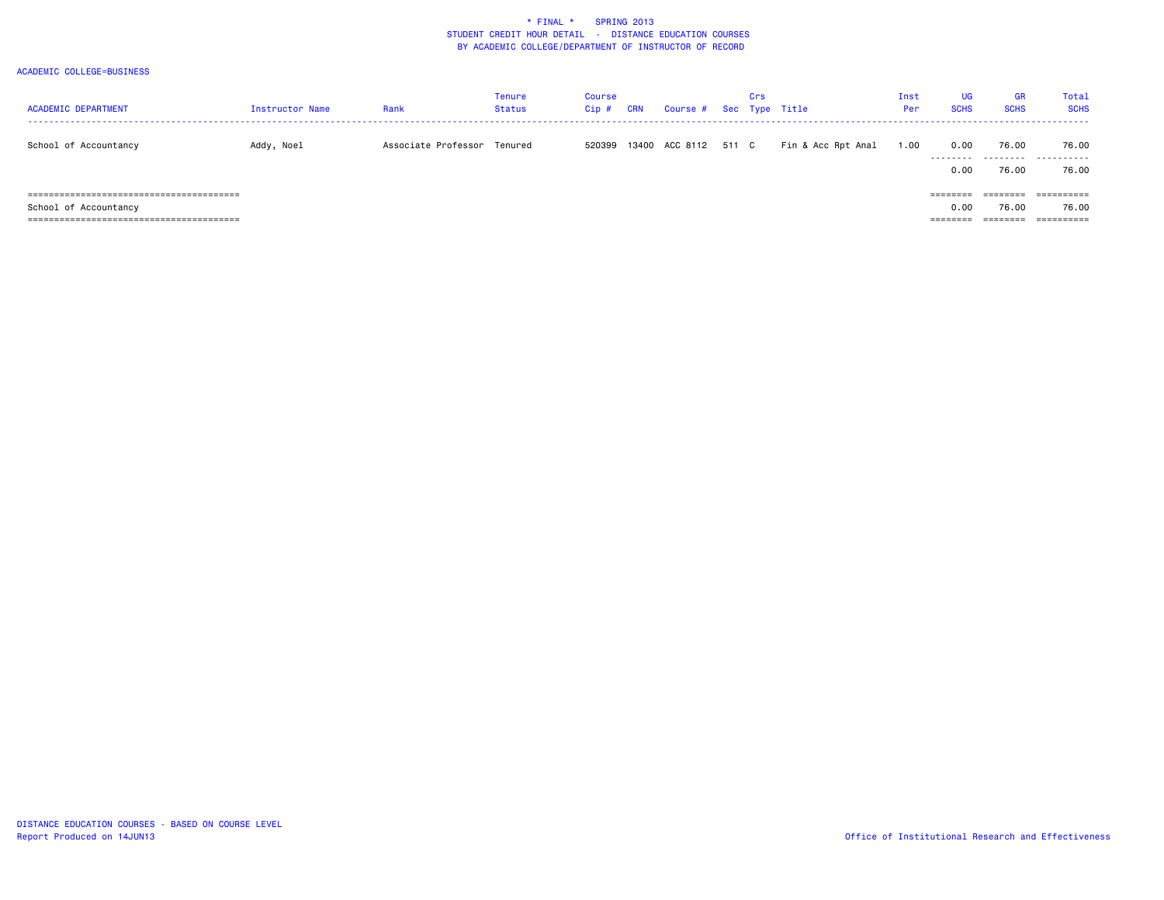| <b>ACADEMIC DEPARTMENT</b> | <b>Instructor Name</b> | Rank                        | <b>Tenure</b><br><b>Status</b> | Course<br>$Cip$ # | CRN | Course # Sec Type Title | Crs |                    | Inst<br>Per | <b>UG</b><br><b>SCHS</b>     | GR<br><b>SCHS</b>             | Total<br><b>SCHS</b>              |
|----------------------------|------------------------|-----------------------------|--------------------------------|-------------------|-----|-------------------------|-----|--------------------|-------------|------------------------------|-------------------------------|-----------------------------------|
| School of Accountancy      | Addy, Noel             | Associate Professor Tenured |                                | 520399            |     | 13400 ACC 8112 511 C    |     | Fin & Acc Rpt Anal | 1.00        | 0.00<br>---------<br>0.00    | 76.00<br>76.00                | 76.00<br><br>76.00                |
| School of Accountancy      |                        |                             |                                |                   |     |                         |     |                    |             | ========<br>0.00<br>======== | --------<br>76.00<br>======== | ==========<br>76.00<br>========== |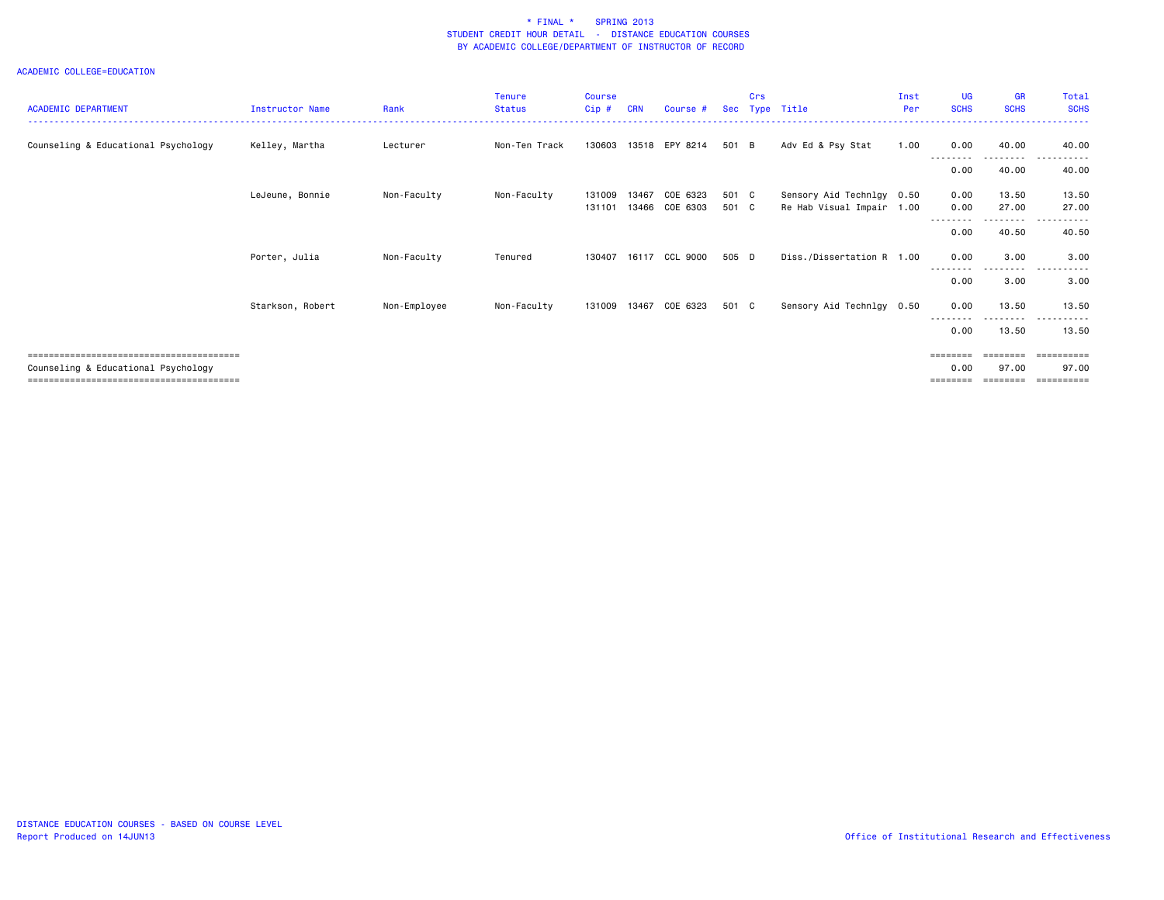| <b>ACADEMIC DEPARTMENT</b>          | <b>Instructor Name</b> | Rank         | <b>Tenure</b><br><b>Status</b> | <b>Course</b><br>$Cip$ # | <b>CRN</b> | Course #       | <b>Sec</b> | Crs | Type Title                | Inst<br>Per | <b>UG</b><br><b>SCHS</b> | <b>GR</b><br><b>SCHS</b> | <b>Total</b><br><b>SCHS</b> |
|-------------------------------------|------------------------|--------------|--------------------------------|--------------------------|------------|----------------|------------|-----|---------------------------|-------------|--------------------------|--------------------------|-----------------------------|
|                                     |                        |              |                                |                          |            |                |            |     |                           |             |                          |                          |                             |
| Counseling & Educational Psychology | Kelley, Martha         | Lecturer     | Non-Ten Track                  | 130603                   |            | 13518 EPY 8214 | 501 B      |     | Adv Ed & Psy Stat         | 1.00        | 0.00                     | 40.00                    | 40.00                       |
|                                     |                        |              |                                |                          |            |                |            |     |                           |             | 0.00                     | 40.00                    | 40.00                       |
|                                     | LeJeune, Bonnie        | Non-Faculty  | Non-Faculty                    | 131009                   | 13467      | COE 6323       | 501 C      |     | Sensory Aid Technlgy 0.50 |             | 0.00                     | 13.50                    | 13.50                       |
|                                     |                        |              |                                | 131101                   |            | 13466 COE 6303 | 501 C      |     | Re Hab Visual Impair 1.00 |             | 0.00                     | 27.00                    | 27.00                       |
|                                     |                        |              |                                |                          |            |                |            |     |                           |             | 0.00                     | 40.50                    | 40.50                       |
|                                     | Porter, Julia          | Non-Faculty  | Tenured                        | 130407                   |            | 16117 CCL 9000 | 505 D      |     | Diss./Dissertation R 1.00 |             | 0.00                     | 3.00                     | 3.00                        |
|                                     |                        |              |                                |                          |            |                |            |     |                           |             | 0.00                     | 3.00                     | 3.00                        |
|                                     | Starkson, Robert       | Non-Employee | Non-Faculty                    | 131009                   | 13467      | COE 6323       | 501 C      |     | Sensory Aid Technlgy 0.50 |             | 0.00                     | 13.50                    | 13.50                       |
|                                     |                        |              |                                |                          |            |                |            |     |                           |             | 0.00                     | -----<br>13.50           | 13.50                       |
|                                     |                        |              |                                |                          |            |                |            |     |                           |             | $=$ = = = = = = =        |                          | ======                      |
| Counseling & Educational Psychology |                        |              |                                |                          |            |                |            |     |                           |             | 0.00                     | 97.00                    | 97.00                       |
|                                     |                        |              |                                |                          |            |                |            |     |                           |             | ========                 | ========                 |                             |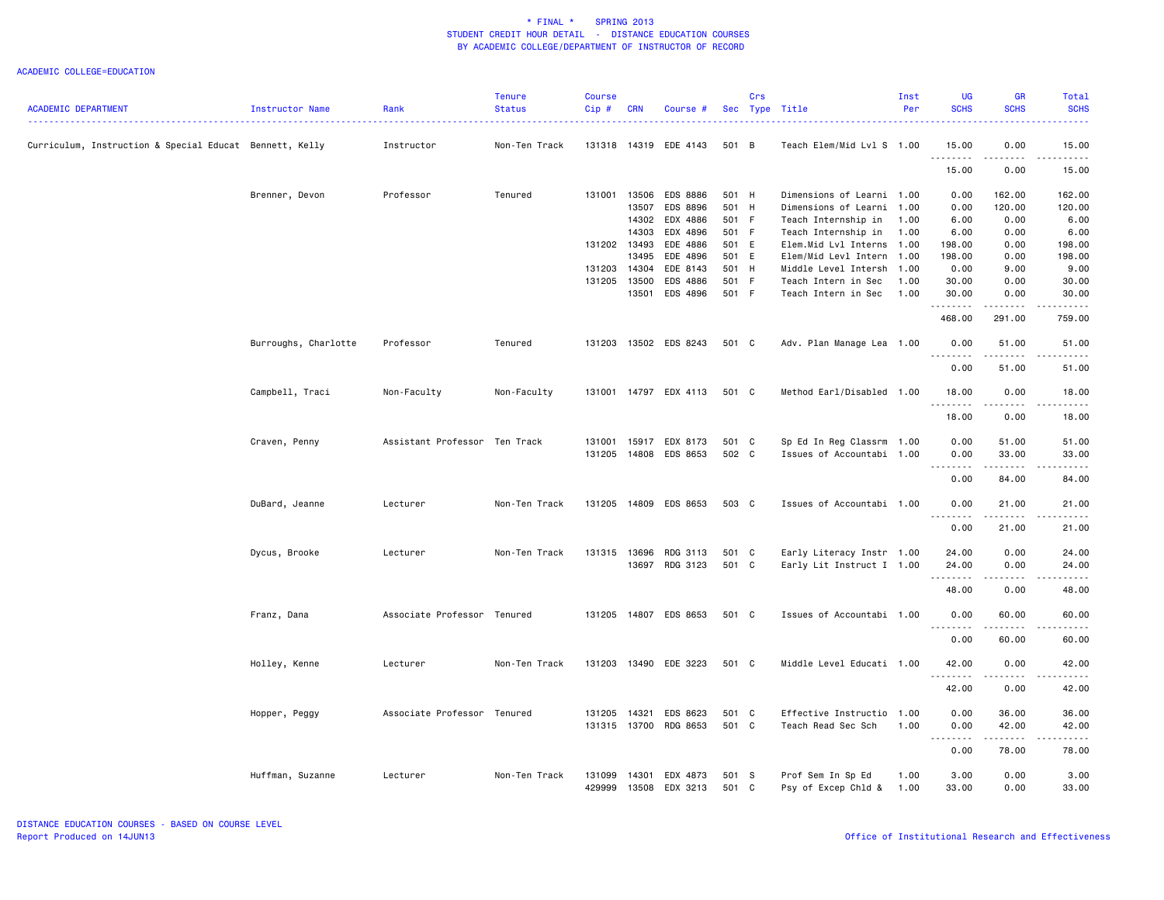| <b>ACADEMIC DEPARTMENT</b><br><b>Status</b><br>Cip#<br>Per<br>Rank<br>Sec Type Title<br>Instructor Name<br><b>CRN</b><br>Course #<br>Curriculum, Instruction & Special Educat Bennett, Kelly<br>Instructor<br>Non-Ten Track<br>131318 14319 EDE 4143<br>501 B<br>Teach Elem/Mid Lvl S 1.00<br>Brenner, Devon<br>Professor<br>Tenured<br>131001<br>13506<br><b>EDS 8886</b><br>501 H<br>Dimensions of Learni 1.00<br>13507<br>EDS 8896<br>501 H<br>Dimensions of Learni 1.00<br>14302<br>EDX 4886<br>501 F<br>Teach Internship in<br>1.00<br>14303<br>EDX 4896<br>501 F<br>Teach Internship in<br>1.00<br>131202 13493<br>EDE 4886<br>501 E<br>Elem.Mid Lvl Interns 1.00<br>EDE 4896<br>13495<br>501 E<br>Elem/Mid Levl Intern 1.00<br>14304<br>EDE 8143<br>501 H<br>131203<br>Middle Level Intersh 1.00 | <b>SCHS</b><br>15.00<br>.<br>15.00<br>0.00<br>0.00<br>6.00<br>6.00<br>198.00<br>198.00                                                                                               | <b>SCHS</b><br>0.00<br>0.00<br>162.00<br>120.00<br>0.00<br>0.00 | <b>SCHS</b><br>$\sim$ $\sim$ $\sim$ $\sim$<br>15.00<br>.<br>15.00<br>162.00 |
|---------------------------------------------------------------------------------------------------------------------------------------------------------------------------------------------------------------------------------------------------------------------------------------------------------------------------------------------------------------------------------------------------------------------------------------------------------------------------------------------------------------------------------------------------------------------------------------------------------------------------------------------------------------------------------------------------------------------------------------------------------------------------------------------------------|--------------------------------------------------------------------------------------------------------------------------------------------------------------------------------------|-----------------------------------------------------------------|-----------------------------------------------------------------------------|
|                                                                                                                                                                                                                                                                                                                                                                                                                                                                                                                                                                                                                                                                                                                                                                                                         |                                                                                                                                                                                      |                                                                 |                                                                             |
|                                                                                                                                                                                                                                                                                                                                                                                                                                                                                                                                                                                                                                                                                                                                                                                                         |                                                                                                                                                                                      |                                                                 | 120.00                                                                      |
|                                                                                                                                                                                                                                                                                                                                                                                                                                                                                                                                                                                                                                                                                                                                                                                                         |                                                                                                                                                                                      |                                                                 |                                                                             |
|                                                                                                                                                                                                                                                                                                                                                                                                                                                                                                                                                                                                                                                                                                                                                                                                         |                                                                                                                                                                                      |                                                                 |                                                                             |
|                                                                                                                                                                                                                                                                                                                                                                                                                                                                                                                                                                                                                                                                                                                                                                                                         |                                                                                                                                                                                      |                                                                 |                                                                             |
|                                                                                                                                                                                                                                                                                                                                                                                                                                                                                                                                                                                                                                                                                                                                                                                                         |                                                                                                                                                                                      |                                                                 | 6.00                                                                        |
|                                                                                                                                                                                                                                                                                                                                                                                                                                                                                                                                                                                                                                                                                                                                                                                                         |                                                                                                                                                                                      |                                                                 | 6.00                                                                        |
|                                                                                                                                                                                                                                                                                                                                                                                                                                                                                                                                                                                                                                                                                                                                                                                                         |                                                                                                                                                                                      | 0.00                                                            | 198.00                                                                      |
|                                                                                                                                                                                                                                                                                                                                                                                                                                                                                                                                                                                                                                                                                                                                                                                                         |                                                                                                                                                                                      | 0.00                                                            | 198.00                                                                      |
|                                                                                                                                                                                                                                                                                                                                                                                                                                                                                                                                                                                                                                                                                                                                                                                                         | 0.00                                                                                                                                                                                 | 9.00                                                            | 9.00                                                                        |
| 131205<br>13500<br>EDS 4886<br>501 F<br>Teach Intern in Sec<br>1.00                                                                                                                                                                                                                                                                                                                                                                                                                                                                                                                                                                                                                                                                                                                                     | 30.00                                                                                                                                                                                | 0.00                                                            | 30.00                                                                       |
| 13501<br>EDS 4896<br>501 F<br>Teach Intern in Sec<br>1.00                                                                                                                                                                                                                                                                                                                                                                                                                                                                                                                                                                                                                                                                                                                                               | 30.00<br>. <b>.</b>                                                                                                                                                                  | 0.00<br>.                                                       | 30.00<br>.                                                                  |
|                                                                                                                                                                                                                                                                                                                                                                                                                                                                                                                                                                                                                                                                                                                                                                                                         | 468.00                                                                                                                                                                               | 291.00                                                          | 759.00                                                                      |
| 13502 EDS 8243<br>Burroughs, Charlotte<br>Professor<br>Tenured<br>131203<br>501 C<br>Adv. Plan Manage Lea 1.00                                                                                                                                                                                                                                                                                                                                                                                                                                                                                                                                                                                                                                                                                          | 0.00<br><u>.</u>                                                                                                                                                                     | 51.00                                                           | 51.00<br>.                                                                  |
|                                                                                                                                                                                                                                                                                                                                                                                                                                                                                                                                                                                                                                                                                                                                                                                                         | 0.00                                                                                                                                                                                 | 51.00                                                           | 51.00                                                                       |
| Campbell, Traci<br>Non-Faculty<br>Non-Faculty<br>131001 14797 EDX 4113<br>501 C<br>Method Earl/Disabled 1.00                                                                                                                                                                                                                                                                                                                                                                                                                                                                                                                                                                                                                                                                                            | 18,00<br><u>.</u>                                                                                                                                                                    | 0.00<br>.                                                       | 18.00<br>.                                                                  |
|                                                                                                                                                                                                                                                                                                                                                                                                                                                                                                                                                                                                                                                                                                                                                                                                         | 18.00                                                                                                                                                                                | 0.00                                                            | 18.00                                                                       |
| Craven, Penny<br>Assistant Professor Ten Track<br>131001 15917 EDX 8173<br>501 C<br>Sp Ed In Reg Classrm 1.00                                                                                                                                                                                                                                                                                                                                                                                                                                                                                                                                                                                                                                                                                           | 0.00                                                                                                                                                                                 | 51.00                                                           | 51.00                                                                       |
| 131205 14808 EDS 8653<br>502 C<br>Issues of Accountabi 1.00                                                                                                                                                                                                                                                                                                                                                                                                                                                                                                                                                                                                                                                                                                                                             | 0.00                                                                                                                                                                                 | 33.00                                                           | 33.00                                                                       |
|                                                                                                                                                                                                                                                                                                                                                                                                                                                                                                                                                                                                                                                                                                                                                                                                         |                                                                                                                                                                                      | .                                                               | .                                                                           |
|                                                                                                                                                                                                                                                                                                                                                                                                                                                                                                                                                                                                                                                                                                                                                                                                         | 0.00                                                                                                                                                                                 | 84.00                                                           | 84.00                                                                       |
| DuBard, Jeanne<br>Non-Ten Track<br>131205 14809 EDS 8653<br>503 C<br>Issues of Accountabi 1.00<br>Lecturer                                                                                                                                                                                                                                                                                                                                                                                                                                                                                                                                                                                                                                                                                              | 0.00                                                                                                                                                                                 | 21.00                                                           | 21.00                                                                       |
|                                                                                                                                                                                                                                                                                                                                                                                                                                                                                                                                                                                                                                                                                                                                                                                                         | 0.00                                                                                                                                                                                 | 21.00                                                           | 21.00                                                                       |
| 131315 13696 RDG 3113<br>Early Literacy Instr 1.00<br>Dycus, Brooke<br>Lecturer<br>Non-Ten Track<br>501 C                                                                                                                                                                                                                                                                                                                                                                                                                                                                                                                                                                                                                                                                                               | 24.00                                                                                                                                                                                | 0.00                                                            | 24.00                                                                       |
| 13697 RDG 3123<br>501 C<br>Early Lit Instruct I 1.00                                                                                                                                                                                                                                                                                                                                                                                                                                                                                                                                                                                                                                                                                                                                                    | 24.00                                                                                                                                                                                | 0.00                                                            | 24.00                                                                       |
|                                                                                                                                                                                                                                                                                                                                                                                                                                                                                                                                                                                                                                                                                                                                                                                                         | .<br>48.00                                                                                                                                                                           | .<br>0.00                                                       | .<br>48.00                                                                  |
| Associate Professor Tenured<br>131205 14807 EDS 8653<br>501 C<br>Issues of Accountabi 1.00<br>Franz, Dana                                                                                                                                                                                                                                                                                                                                                                                                                                                                                                                                                                                                                                                                                               | 0.00                                                                                                                                                                                 | 60.00                                                           | 60.00                                                                       |
|                                                                                                                                                                                                                                                                                                                                                                                                                                                                                                                                                                                                                                                                                                                                                                                                         | 0.00                                                                                                                                                                                 | 60.00                                                           | 60.00                                                                       |
| 131203<br>Non-Ten Track<br>13490 EDE 3223<br>501 C<br>Middle Level Educati 1.00<br>Holley, Kenne<br>Lecturer                                                                                                                                                                                                                                                                                                                                                                                                                                                                                                                                                                                                                                                                                            | 42.00                                                                                                                                                                                | 0.00                                                            | 42.00                                                                       |
|                                                                                                                                                                                                                                                                                                                                                                                                                                                                                                                                                                                                                                                                                                                                                                                                         | .                                                                                                                                                                                    | -----                                                           | .                                                                           |
|                                                                                                                                                                                                                                                                                                                                                                                                                                                                                                                                                                                                                                                                                                                                                                                                         | 42.00                                                                                                                                                                                | 0.00                                                            | 42.00                                                                       |
| Associate Professor Tenured<br>14321<br>501 C<br>Effective Instructio<br>1.00<br>Hopper, Peggy<br>131205<br>EDS 8623                                                                                                                                                                                                                                                                                                                                                                                                                                                                                                                                                                                                                                                                                    | 0.00                                                                                                                                                                                 | 36.00                                                           | 36.00                                                                       |
| 501 C<br>131315 13700 RDG 8653<br>Teach Read Sec Sch<br>1.00                                                                                                                                                                                                                                                                                                                                                                                                                                                                                                                                                                                                                                                                                                                                            | 0.00<br>$\frac{1}{2} \left( \frac{1}{2} \right) \left( \frac{1}{2} \right) \left( \frac{1}{2} \right) \left( \frac{1}{2} \right) \left( \frac{1}{2} \right)$<br>$\sim$ $\sim$ $\sim$ | 42.00<br>.                                                      | 42.00<br>د د د د د                                                          |
|                                                                                                                                                                                                                                                                                                                                                                                                                                                                                                                                                                                                                                                                                                                                                                                                         | 0.00                                                                                                                                                                                 | 78.00                                                           | 78.00                                                                       |
| Huffman, Suzanne<br>Non-Ten Track<br>131099<br>14301<br>EDX 4873<br>501 S<br>Prof Sem In Sp Ed<br>1.00<br>Lecturer<br>429999<br>13508<br>EDX 3213<br>501 C<br>Psy of Excep Chld &<br>1.00                                                                                                                                                                                                                                                                                                                                                                                                                                                                                                                                                                                                               | 3.00<br>33,00                                                                                                                                                                        | 0.00<br>0.00                                                    | 3.00<br>33.00                                                               |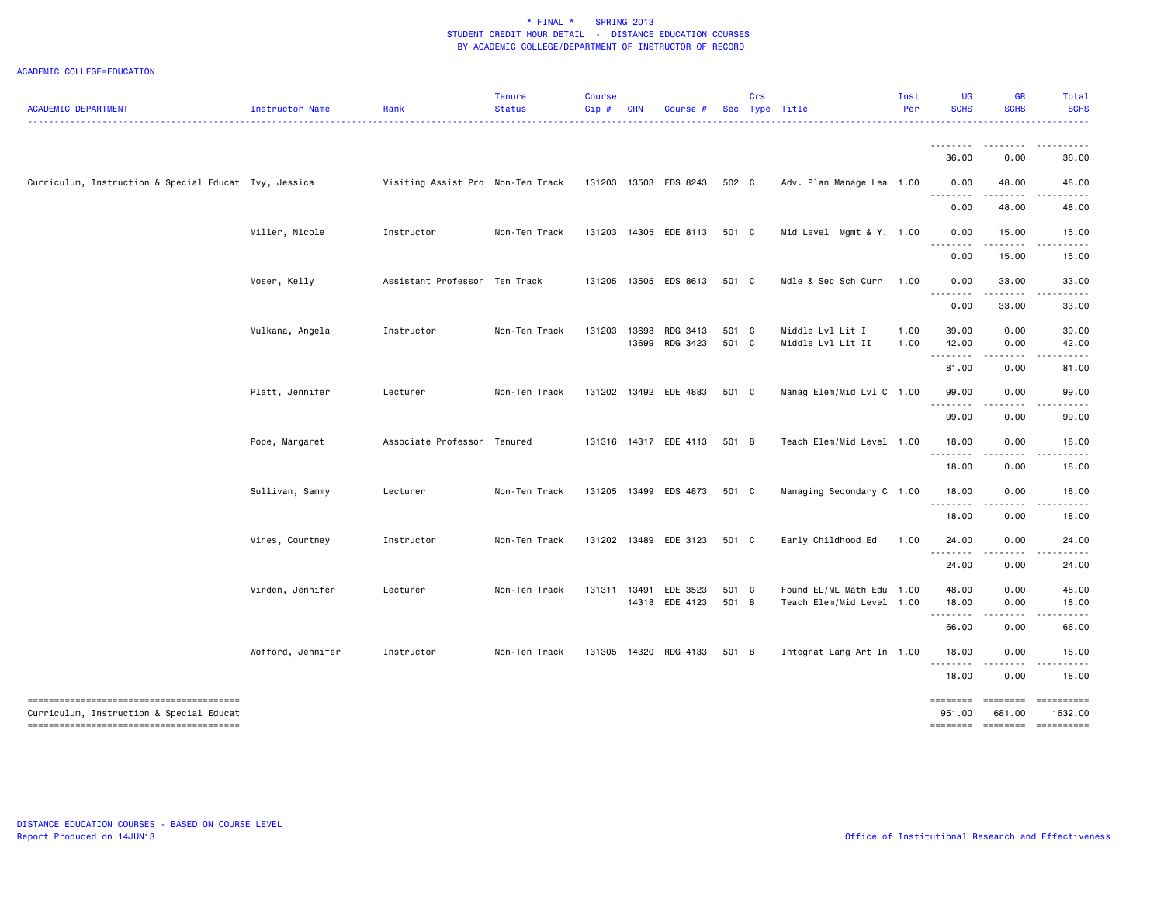| <b>ACADEMIC DEPARTMENT</b>                            | Instructor Name   | Rank                              | <b>Tenure</b><br><b>Status</b> | <b>Course</b><br>Cip# | <b>CRN</b> | Course #                         |                | Crs | Sec Type Title                                         | Inst<br>Per  | <b>UG</b><br><b>SCHS</b> | <b>GR</b><br><b>SCHS</b> | Total<br><b>SCHS</b>  |
|-------------------------------------------------------|-------------------|-----------------------------------|--------------------------------|-----------------------|------------|----------------------------------|----------------|-----|--------------------------------------------------------|--------------|--------------------------|--------------------------|-----------------------|
|                                                       |                   |                                   |                                |                       |            |                                  |                |     |                                                        |              |                          |                          |                       |
| Curriculum, Instruction & Special Educat Ivy, Jessica |                   | Visiting Assist Pro Non-Ten Track |                                |                       |            | 131203 13503 EDS 8243            | 502 C          |     | Adv. Plan Manage Lea 1.00                              |              | 36.00<br>0.00            | 0.00<br>48.00            | 36.00<br>48.00        |
|                                                       |                   |                                   |                                |                       |            |                                  |                |     |                                                        |              | .<br>0.00                | 48.00                    | 48.00                 |
|                                                       | Miller, Nicole    | Instructor                        | Non-Ten Track                  | 131203                |            | 14305 EDE 8113                   | 501 C          |     | Mid Level Mgmt & Y. 1.00                               |              | 0.00                     | 15.00                    | 15.00                 |
|                                                       |                   |                                   |                                |                       |            |                                  |                |     |                                                        |              | 0.00                     | 15.00                    | 15.00                 |
|                                                       | Moser, Kelly      | Assistant Professor Ten Track     |                                | 131205                |            | 13505 EDS 8613                   | 501 C          |     | Mdle & Sec Sch Curr                                    | 1.00         | 0.00                     | 33.00                    | 33.00                 |
|                                                       |                   |                                   |                                |                       |            |                                  |                |     |                                                        |              | 0.00                     | 33.00                    | 33.00                 |
|                                                       | Mulkana, Angela   | Instructor                        | Non-Ten Track                  | 131203                | 13698      | RDG 3413<br>13699 RDG 3423       | 501 C<br>501 C |     | Middle Lvl Lit I<br>Middle Lvl Lit II                  | 1.00<br>1.00 | 39.00<br>42.00           | 0.00<br>0.00             | 39.00<br>42.00        |
|                                                       |                   |                                   |                                |                       |            |                                  |                |     |                                                        |              | 81.00                    | 0.00                     | 81.00                 |
|                                                       | Platt, Jennifer   | Lecturer                          | Non-Ten Track                  |                       |            | 131202 13492 EDE 4883            | 501 C          |     | Manag Elem/Mid Lvl C 1.00                              |              | 99.00<br>$- - - - -$     | 0.00                     | 99.00                 |
|                                                       |                   |                                   |                                |                       |            |                                  |                |     |                                                        |              | 99.00                    | 0.00                     | 99.00                 |
|                                                       | Pope, Margaret    | Associate Professor Tenured       |                                |                       |            | 131316 14317 EDE 4113            | 501 B          |     | Teach Elem/Mid Level 1.00                              |              | 18.00                    | 0.00<br>.                | 18.00                 |
|                                                       |                   |                                   |                                |                       |            |                                  |                |     |                                                        |              | 18.00                    | 0.00                     | 18.00                 |
|                                                       | Sullivan, Sammy   | Lecturer                          | Non-Ten Track                  |                       |            | 131205 13499 EDS 4873            | 501 C          |     | Managing Secondary C 1.00                              |              | 18.00                    | 0.00                     | 18.00                 |
|                                                       |                   |                                   |                                |                       |            |                                  |                |     |                                                        |              | 18.00                    | 0.00                     | 18.00                 |
|                                                       | Vines, Courtney   | Instructor                        | Non-Ten Track                  |                       |            | 131202 13489 EDE 3123            | 501 C          |     | Early Childhood Ed                                     | 1.00         | 24.00<br>.               | 0.00                     | 24.00                 |
|                                                       |                   |                                   |                                |                       |            |                                  |                |     |                                                        |              | 24.00                    | 0.00                     | 24.00                 |
|                                                       | Virden, Jennifer  | Lecturer                          | Non-Ten Track                  | 131311                |            | 13491 EDE 3523<br>14318 EDE 4123 | 501 C<br>501 B |     | Found EL/ML Math Edu 1.00<br>Teach Elem/Mid Level 1.00 |              | 48.00<br>18.00           | 0.00<br>0.00             | 48.00<br>18.00        |
|                                                       |                   |                                   |                                |                       |            |                                  |                |     |                                                        |              | .<br>66.00               | 0.00                     | 66.00                 |
|                                                       | Wofford, Jennifer | Instructor                        | Non-Ten Track                  |                       |            | 131305 14320 RDG 4133            | 501 B          |     | Integrat Lang Art In 1.00                              |              | 18.00                    | 0.00                     | 18.00                 |
|                                                       |                   |                                   |                                |                       |            |                                  |                |     |                                                        |              | .<br>18.00               | 0.00                     | 18.00                 |
| Curriculum, Instruction & Special Educat              |                   |                                   |                                |                       |            |                                  |                |     |                                                        |              | ========<br>951.00       | --------<br>681.00       | ==========<br>1632.00 |
| --------------------------------------                |                   |                                   |                                |                       |            |                                  |                |     |                                                        |              |                          |                          | ==========            |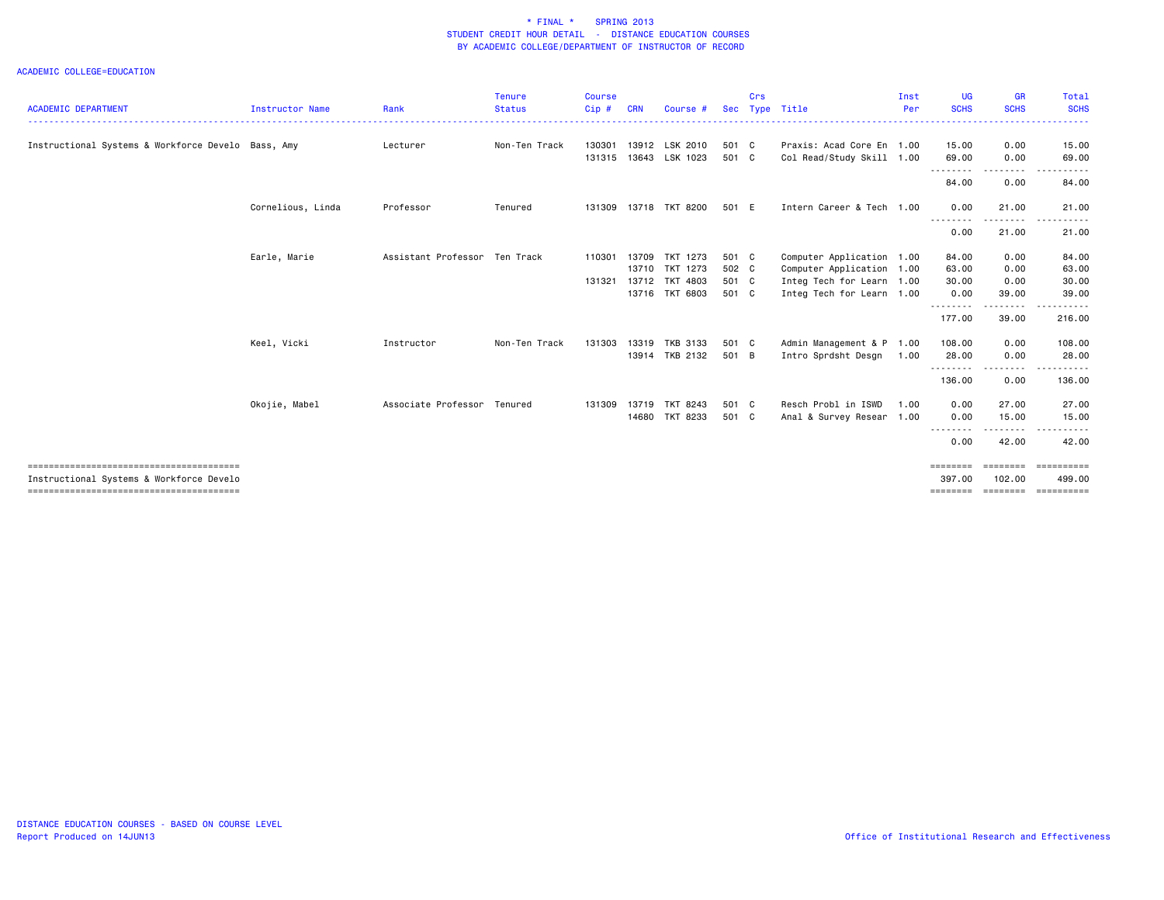|                                                    |                        |                               | <b>Tenure</b> | <b>Course</b> |            |                       |            | Crs |                           | Inst | <b>UG</b>             | <b>GR</b>         | Total                   |
|----------------------------------------------------|------------------------|-------------------------------|---------------|---------------|------------|-----------------------|------------|-----|---------------------------|------|-----------------------|-------------------|-------------------------|
| <b>ACADEMIC DEPARTMENT</b>                         | <b>Instructor Name</b> | Rank                          | <b>Status</b> | Cip#          | <b>CRN</b> | Course #              | <b>Sec</b> |     | Type Title                | Per  | <b>SCHS</b>           | <b>SCHS</b>       | <b>SCHS</b>             |
| Instructional Systems & Workforce Develo Bass, Amy |                        | Lecturer                      | Non-Ten Track | 130301        |            | 13912 LSK 2010        | 501 C      |     | Praxis: Acad Core En 1.00 |      | 15.00                 | 0.00              | 15.00                   |
|                                                    |                        |                               |               |               |            | 131315 13643 LSK 1023 | 501 C      |     | Col Read/Study Skill 1.00 |      | 69.00                 | 0.00              | 69.00                   |
|                                                    |                        |                               |               |               |            |                       |            |     |                           |      | . <u>.</u> .<br>84.00 | 0.00              | 84.00                   |
|                                                    | Cornelious, Linda      | Professor                     | Tenured       | 131309        |            | 13718 TKT 8200        | 501 E      |     | Intern Career & Tech 1.00 |      | 0.00                  | 21.00             | 21.00                   |
|                                                    |                        |                               |               |               |            |                       |            |     |                           |      | 0.00                  | 21.00             | 21.00                   |
|                                                    | Earle, Marie           | Assistant Professor Ten Track |               | 110301        | 13709      | TKT 1273              | 501 C      |     | Computer Application 1.00 |      | 84.00                 | 0.00              | 84.00                   |
|                                                    |                        |                               |               |               |            | 13710 TKT 1273        | 502 C      |     | Computer Application 1.00 |      | 63.00                 | 0.00              | 63.00                   |
|                                                    |                        |                               |               | 131321        |            | 13712 TKT 4803        | 501 C      |     | Integ Tech for Learn 1.00 |      | 30.00                 | 0.00              | 30.00                   |
|                                                    |                        |                               |               |               |            | 13716 TKT 6803        | 501 C      |     | Integ Tech for Learn 1.00 |      | 0.00                  | 39.00             | 39.00                   |
|                                                    |                        |                               |               |               |            |                       |            |     |                           |      | 177.00                | .<br>39.00        | 216.00                  |
|                                                    | Keel, Vicki            | Instructor                    | Non-Ten Track | 131303        |            | 13319 TKB 3133        | 501 C      |     | Admin Management & P 1.00 |      | 108.00                | 0.00              | 108.00                  |
|                                                    |                        |                               |               |               |            | 13914 TKB 2132        | 501 B      |     | Intro Sprdsht Desgn       | 1.00 | 28.00                 | 0.00              | 28.00                   |
|                                                    |                        |                               |               |               |            |                       |            |     |                           |      | .<br>136.00           | ---------<br>0.00 | .<br>136.00             |
|                                                    | Okojie, Mabel          | Associate Professor Tenured   |               | 131309        |            | 13719 TKT 8243        | 501 C      |     | Resch Probl in ISWD       | 1.00 | 0.00                  | 27.00             | 27.00                   |
|                                                    |                        |                               |               |               |            | 14680 TKT 8233        | 501 C      |     | Anal & Survey Resear 1.00 |      | 0.00                  | 15.00             | 15.00                   |
|                                                    |                        |                               |               |               |            |                       |            |     |                           |      | --------<br>0.00      | .<br>42.00        | 42.00                   |
|                                                    |                        |                               |               |               |            |                       |            |     |                           |      | $=$ = = = = = = =     | ---------         | ==========              |
| Instructional Systems & Workforce Develo           |                        |                               |               |               |            |                       |            |     |                           |      | 397.00                | 102.00            | 499.00                  |
|                                                    |                        |                               |               |               |            |                       |            |     |                           |      | ========              | ========          | $=$ = = = = = = = = = = |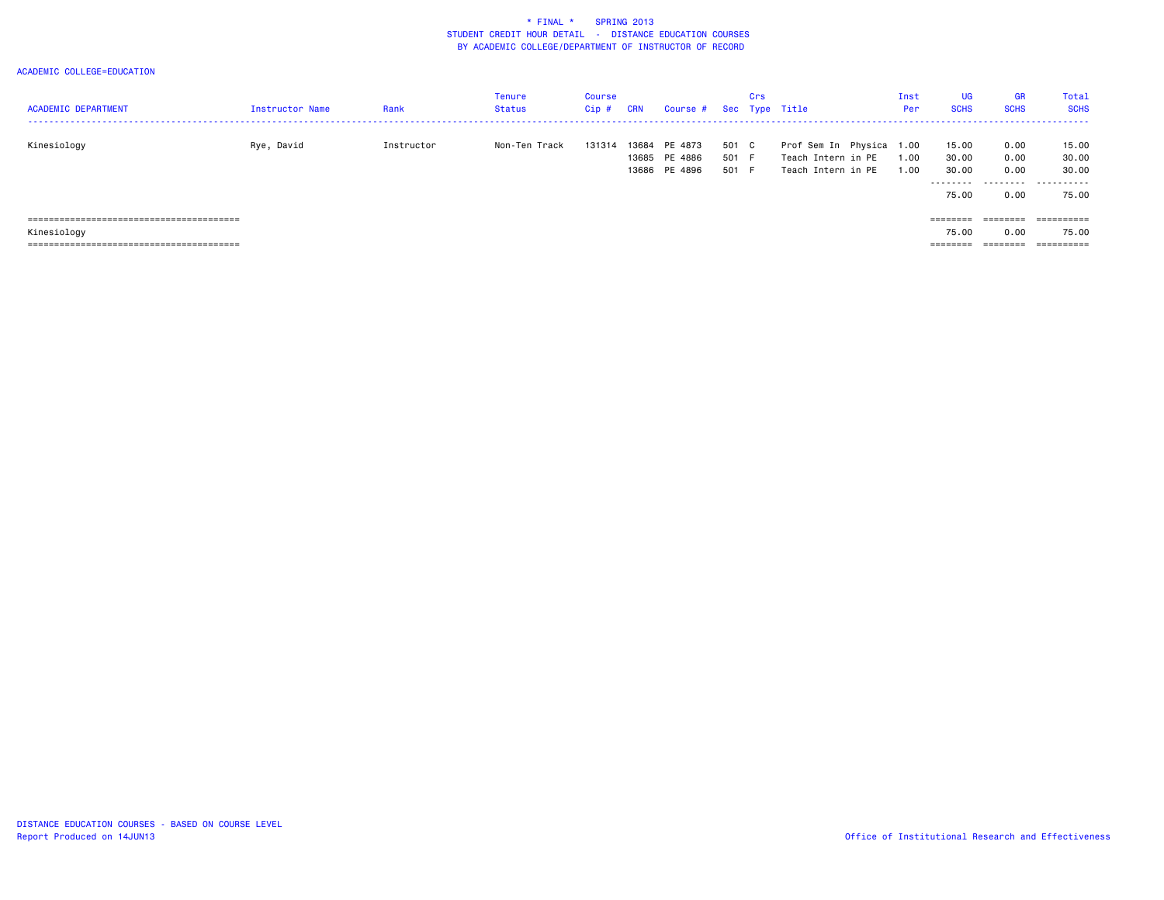| <b>ACADEMIC DEPARTMENT</b>     | <b>Instructor Name</b> | Rank       | <b>Tenure</b><br><b>Status</b> | Course<br>Cip# | <b>CRN</b> | Course #      |       | Crs | Sec Type Title           | Inst<br>Per | <b>UG</b><br><b>SCHS</b> | <b>GR</b><br><b>SCHS</b> | Total<br><b>SCHS</b> |
|--------------------------------|------------------------|------------|--------------------------------|----------------|------------|---------------|-------|-----|--------------------------|-------------|--------------------------|--------------------------|----------------------|
|                                |                        |            |                                |                |            |               |       |     |                          |             |                          |                          |                      |
| Kinesiology                    | Rye, David             | Instructor | Non-Ten Track                  | 131314         | 13684      | PE 4873       | 501   | C   | Prof Sem In Physica 1.00 |             | 15.00                    | 0.00                     | 15.00                |
|                                |                        |            |                                |                |            | 13685 PE 4886 | 501 F |     | Teach Intern in PE       | 1.00        | 30.00                    | 0.00                     | 30.00                |
|                                |                        |            |                                |                |            | 13686 PE 4896 | 501   | - F | Teach Intern in PE       | 1.00        | 30.00                    | 0.00                     | 30.00                |
|                                |                        |            |                                |                |            |               |       |     |                          |             | .<br>75.00               | 0.00                     | <br>75.00            |
| ,,,,,,,,,,,,,,,,,,,,,,,,,,,,,, |                        |            |                                |                |            |               |       |     |                          |             | ========                 | ========                 | ==========           |
| Kinesiology                    |                        |            |                                |                |            |               |       |     |                          |             | 75.00                    | 0.00                     | 75.00                |
|                                |                        |            |                                |                |            |               |       |     |                          |             | --------                 | --------                 | ==========           |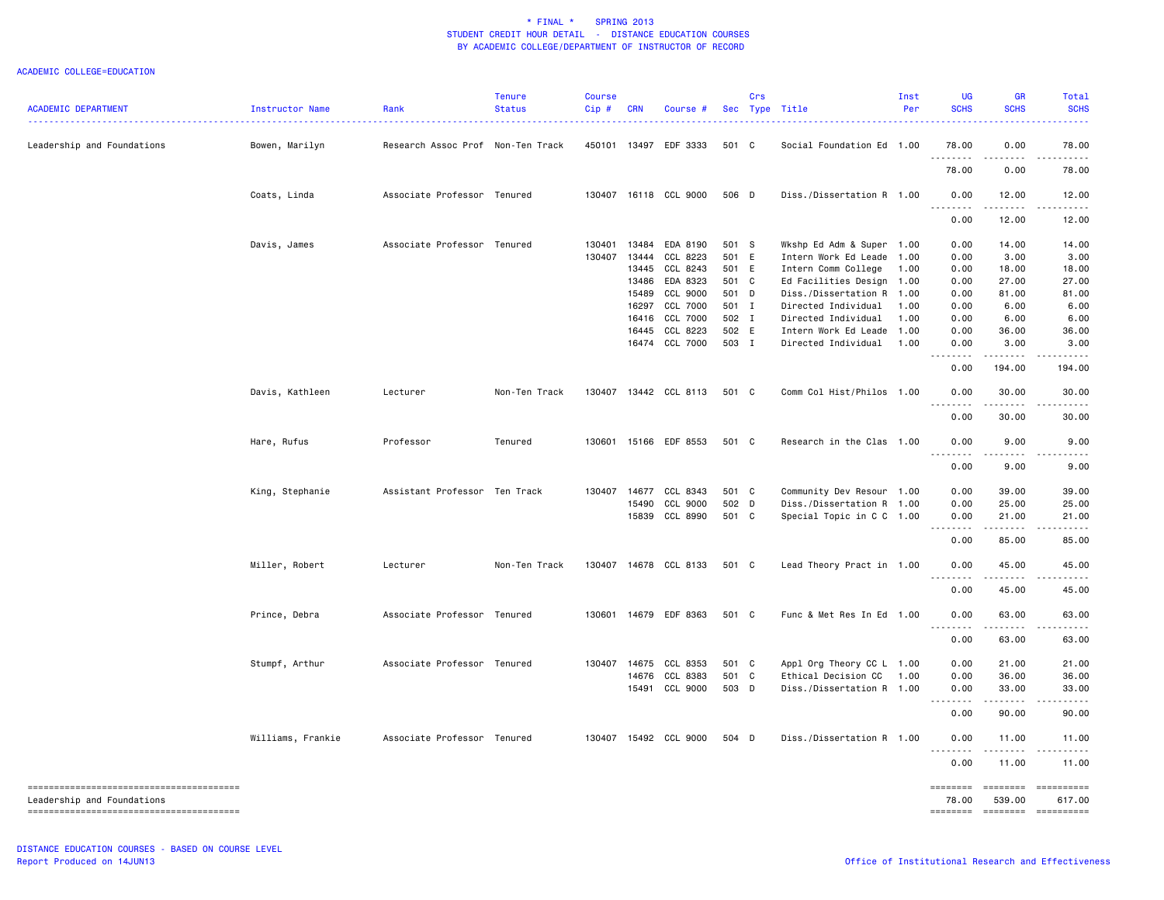| <b>ACADEMIC DEPARTMENT</b> | Instructor Name   | Rank                              | <b>Tenure</b><br><b>Status</b> | <b>Course</b><br>Cip# | <b>CRN</b> | Course #              |       | Crs | Sec Type Title            | Inst<br>Per | UG<br><b>SCHS</b> | <b>GR</b><br><b>SCHS</b>             | Total<br><b>SCHS</b> |
|----------------------------|-------------------|-----------------------------------|--------------------------------|-----------------------|------------|-----------------------|-------|-----|---------------------------|-------------|-------------------|--------------------------------------|----------------------|
| Leadership and Foundations | Bowen, Marilyn    | Research Assoc Prof Non-Ten Track |                                |                       |            | 450101 13497 EDF 3333 | 501 C |     | Social Foundation Ed 1.00 |             | 78.00             | 0.00                                 | 78.00                |
|                            |                   |                                   |                                |                       |            |                       |       |     |                           |             | 78.00             | 0.00                                 | 78.00                |
|                            | Coats, Linda      | Associate Professor Tenured       |                                |                       |            | 130407 16118 CCL 9000 | 506 D |     | Diss./Dissertation R 1.00 |             | 0.00<br><u>.</u>  | 12.00                                | 12.00                |
|                            |                   |                                   |                                |                       |            |                       |       |     |                           |             | 0.00              | 12.00                                | 12.00                |
|                            | Davis, James      | Associate Professor Tenured       |                                | 130401                |            | 13484 EDA 8190        | 501 S |     | Wkshp Ed Adm & Super 1.00 |             | 0.00              | 14.00                                | 14.00                |
|                            |                   |                                   |                                | 130407                | 13444      | CCL 8223              | 501 E |     | Intern Work Ed Leade 1.00 |             | 0.00              | 3.00                                 | 3.00                 |
|                            |                   |                                   |                                |                       |            | 13445 CCL 8243        | 501 E |     | Intern Comm College       | 1.00        | 0.00              | 18.00                                | 18.00                |
|                            |                   |                                   |                                |                       | 13486      | EDA 8323              | 501   | C   | Ed Facilities Design      | 1.00        | 0.00              | 27.00                                | 27.00                |
|                            |                   |                                   |                                |                       | 15489      | CCL 9000              | 501 D |     | Diss./Dissertation R 1.00 |             | 0.00              | 81.00                                | 81.00                |
|                            |                   |                                   |                                |                       |            | 16297 CCL 7000        | 501 I |     | Directed Individual       | 1.00        | 0.00              | 6.00                                 | 6.00                 |
|                            |                   |                                   |                                |                       |            | 16416 CCL 7000        | 502 I |     | Directed Individual       | 1.00        | 0.00              | 6.00                                 | 6.00                 |
|                            |                   |                                   |                                |                       |            | 16445 CCL 8223        | 502 E |     | Intern Work Ed Leade 1.00 |             | 0.00              | 36.00                                | 36.00                |
|                            |                   |                                   |                                |                       |            | 16474 CCL 7000        | 503 I |     | Directed Individual       | 1.00        | 0.00<br>.         | 3.00<br>.                            | 3.00                 |
|                            |                   |                                   |                                |                       |            |                       |       |     |                           |             | 0.00              | 194.00                               | 194.00               |
|                            | Davis, Kathleen   | Lecturer                          | Non-Ten Track                  |                       |            | 130407 13442 CCL 8113 | 501 C |     | Comm Col Hist/Philos 1.00 |             | 0.00              | 30.00                                | 30.00                |
|                            |                   |                                   |                                |                       |            |                       |       |     |                           |             | <u>.</u><br>0.00  | .<br>30.00                           | 30.00                |
|                            | Hare, Rufus       | Professor                         | Tenured                        | 130601                |            | 15166 EDF 8553        | 501 C |     | Research in the Clas 1.00 |             | 0.00              | 9.00                                 | 9.00                 |
|                            |                   |                                   |                                |                       |            |                       |       |     |                           |             | 0.00              | 9.00                                 | 9.00                 |
|                            | King, Stephanie   | Assistant Professor Ten Track     |                                |                       |            | 130407 14677 CCL 8343 | 501 C |     | Community Dev Resour 1.00 |             | 0.00              | 39.00                                | 39.00                |
|                            |                   |                                   |                                |                       | 15490      | CCL 9000              | 502 D |     | Diss./Dissertation R 1.00 |             | 0.00              | 25.00                                | 25.00                |
|                            |                   |                                   |                                |                       | 15839      | CCL 8990              | 501 C |     | Special Topic in C C 1.00 |             | 0.00<br>.         | 21.00                                | 21.00                |
|                            |                   |                                   |                                |                       |            |                       |       |     |                           |             | 0.00              | 85.00                                | 85.00                |
|                            | Miller, Robert    | Lecturer                          | Non-Ten Track                  |                       |            | 130407 14678 CCL 8133 | 501 C |     | Lead Theory Pract in 1.00 |             | 0.00              | 45.00                                | 45.00                |
|                            |                   |                                   |                                |                       |            |                       |       |     |                           |             | 0.00              | 45.00                                | 45.00                |
|                            | Prince, Debra     | Associate Professor Tenured       |                                |                       |            | 130601 14679 EDF 8363 | 501 C |     | Func & Met Res In Ed 1.00 |             | 0.00<br>.         | 63.00                                | 63.00                |
|                            |                   |                                   |                                |                       |            |                       |       |     |                           |             | 0.00              | 63.00                                | 63.00                |
|                            | Stumpf, Arthur    | Associate Professor Tenured       |                                |                       |            | 130407 14675 CCL 8353 | 501 C |     | Appl Org Theory CC L 1.00 |             | 0.00              | 21.00                                | 21.00                |
|                            |                   |                                   |                                |                       | 14676      | CCL 8383              | 501 C |     | Ethical Decision CC       | 1.00        | 0.00              | 36.00                                | 36.00                |
|                            |                   |                                   |                                |                       | 15491      | CCL 9000              | 503 D |     | Diss./Dissertation R 1.00 |             | 0.00<br>.         | 33.00<br>$\sim$ $\sim$ $\sim$ $\sim$ | 33.00<br>.           |
|                            |                   |                                   |                                |                       |            |                       |       |     |                           |             | 0.00              | 90.00                                | 90.00                |
|                            | Williams, Frankie | Associate Professor Tenured       |                                |                       |            | 130407 15492 CCL 9000 | 504 D |     | Diss./Dissertation R 1.00 |             | 0.00<br><u>.</u>  | 11.00<br>.                           | 11.00<br><u>.</u>    |
|                            |                   |                                   |                                |                       |            |                       |       |     |                           |             | 0.00              | 11.00                                | 11.00                |
| Leadership and Foundations |                   |                                   |                                |                       |            |                       |       |     |                           |             | ========<br>78.00 | 539.00                               | 617.00               |
|                            |                   |                                   |                                |                       |            |                       |       |     |                           |             | ========          | ========                             | ==========           |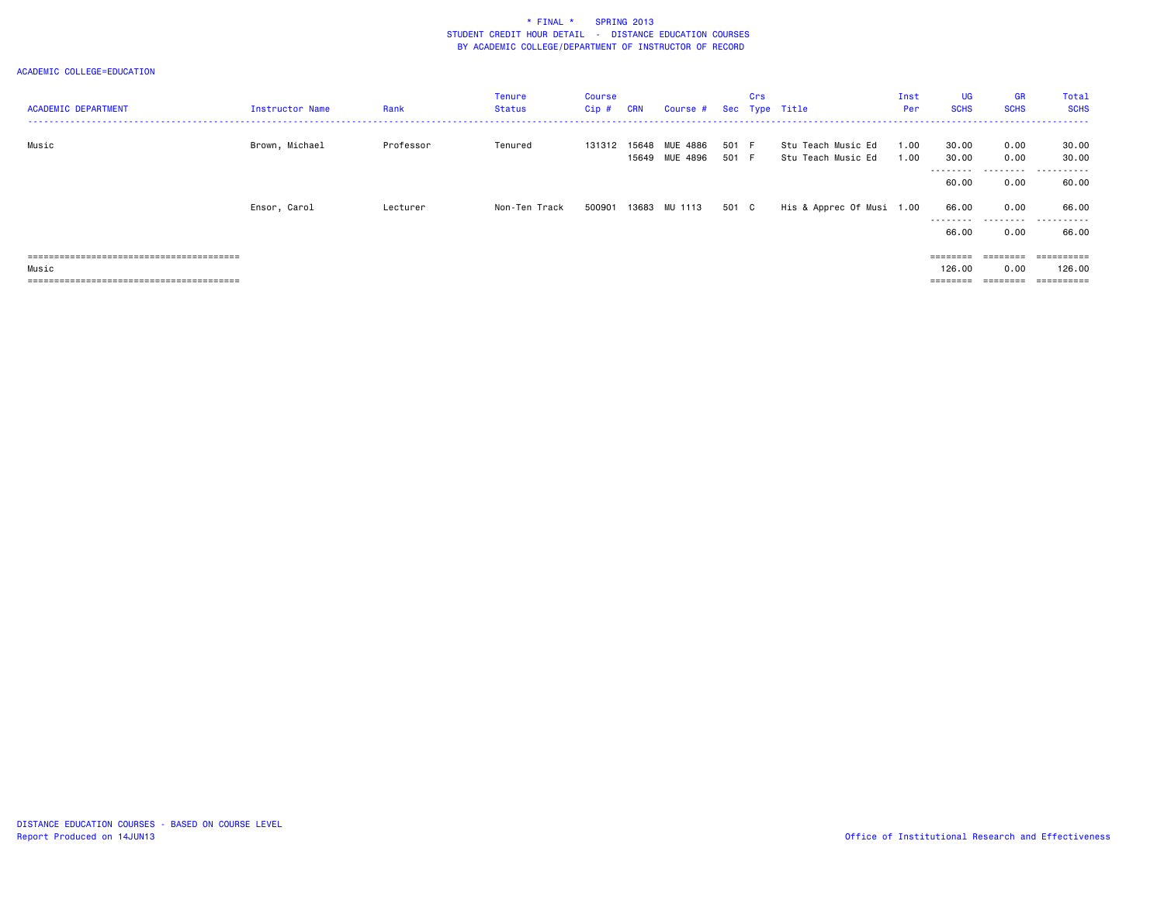| <b>ACADEMIC DEPARTMENT</b> | Instructor Name | Rank      | Tenure<br>Status | Course<br>$Cip$ # | <b>CRN</b> | Course #                   |                | Crs | Sec Type Title                           | Inst<br>Per  | <b>UG</b><br><b>SCHS</b> | GR<br><b>SCHS</b> | Total<br><b>SCHS</b> |
|----------------------------|-----------------|-----------|------------------|-------------------|------------|----------------------------|----------------|-----|------------------------------------------|--------------|--------------------------|-------------------|----------------------|
| Music                      | Brown, Michael  | Professor | Tenured          | 131312 15648      |            | MUE 4886<br>15649 MUE 4896 | 501 F<br>501 F |     | Stu Teach Music Ed<br>Stu Teach Music Ed | 1.00<br>1.00 | 30.00<br>30.00           | 0.00<br>0.00      | 30.00<br>30.00       |
|                            |                 |           |                  |                   |            |                            |                |     |                                          |              | --------<br>60.00        | ---------<br>0.00 | .<br>60.00           |
|                            | Ensor, Carol    | Lecturer  | Non-Ten Track    | 500901            |            | 13683 MU 1113              | 501 C          |     | His & Apprec Of Musi 1.00                |              | 66.00<br>--------        | 0.00<br>.         | 66.00<br>.           |
|                            |                 |           |                  |                   |            |                            |                |     |                                          |              | 66.00                    | 0.00              | 66.00                |
|                            |                 |           |                  |                   |            |                            |                |     |                                          |              | ========                 | ---------         | ==========           |
| Music                      |                 |           |                  |                   |            |                            |                |     |                                          |              | 126.00                   | 0.00              | 126.00               |
|                            |                 |           |                  |                   |            |                            |                |     |                                          |              | ========                 | ========          | ==========           |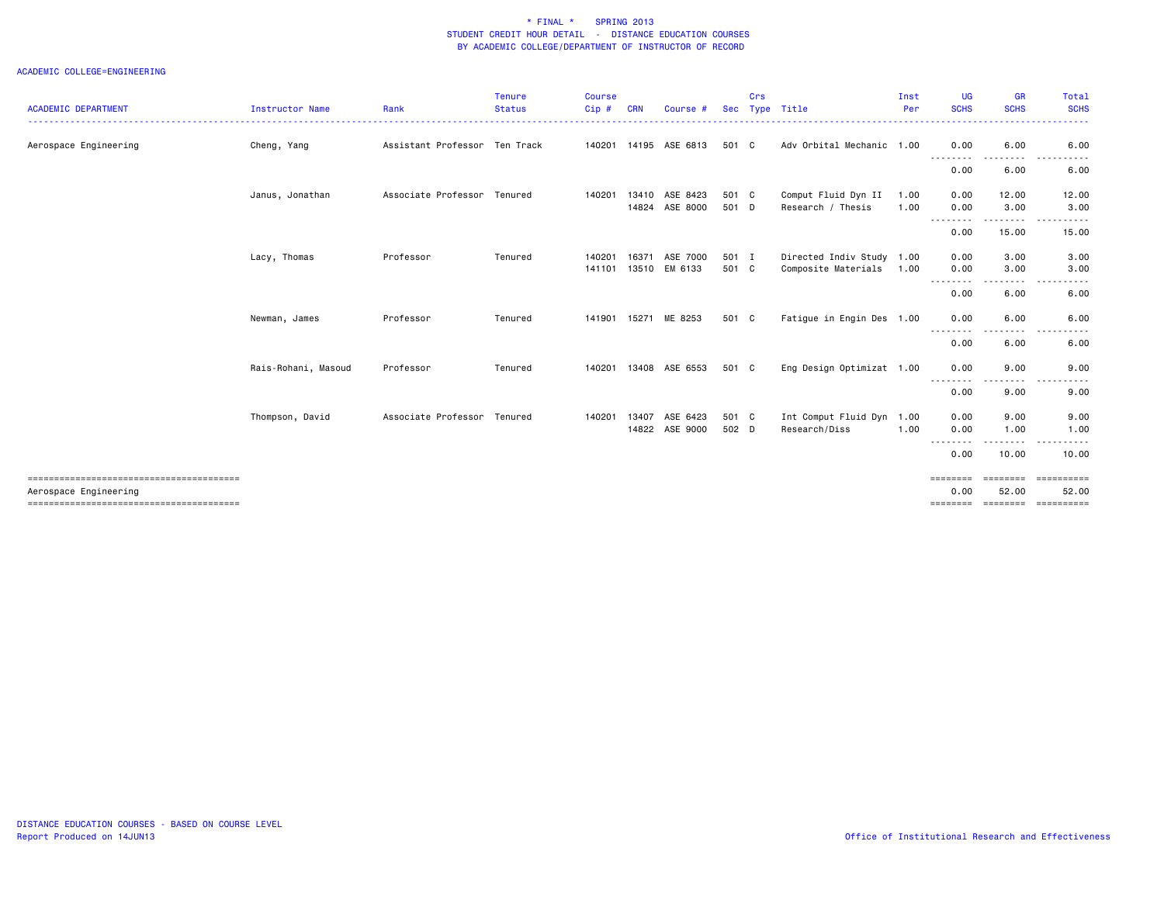| <b>ACADEMIC DEPARTMENT</b> | Instructor Name     | Rank                          | <b>Tenure</b><br><b>Status</b> | <b>Course</b><br>Cip# | <b>CRN</b> | Course #                         |                | Crs | Sec Type Title                                        | Inst<br>Per  | UG<br><b>SCHS</b> | GR<br><b>SCHS</b>     | <b>Total</b><br><b>SCHS</b>                          |
|----------------------------|---------------------|-------------------------------|--------------------------------|-----------------------|------------|----------------------------------|----------------|-----|-------------------------------------------------------|--------------|-------------------|-----------------------|------------------------------------------------------|
| Aerospace Engineering      | Cheng, Yang         | Assistant Professor Ten Track |                                |                       |            | 140201  14195  ASE  6813         | 501 C          |     | Adv Orbital Mechanic 1.00                             |              | 0.00              | 6.00                  | 6.00                                                 |
|                            |                     |                               |                                |                       |            |                                  |                |     |                                                       |              | ---------<br>0.00 | 6.00                  | 6.00                                                 |
|                            | Janus, Jonathan     | Associate Professor Tenured   |                                | 140201                |            | 13410 ASE 8423<br>14824 ASE 8000 | 501 C<br>501 D |     | Comput Fluid Dyn II<br>Research / Thesis              | 1.00<br>1.00 | 0.00<br>0.00      | 12.00<br>3.00         | 12.00<br>3.00                                        |
|                            |                     |                               |                                |                       |            |                                  |                |     |                                                       |              | 0.00              | 15.00                 | 15.00                                                |
|                            | Lacy, Thomas        | Professor                     | Tenured                        | 140201<br>141101      | 16371      | ASE 7000<br>13510 EM 6133        | 501 I<br>501 C |     | Directed Indiv Study 1.00<br>Composite Materials 1.00 |              | 0.00<br>0.00      | 3.00<br>3.00          | 3.00<br>3.00                                         |
|                            |                     |                               |                                |                       |            |                                  |                |     |                                                       |              | --------<br>0.00  | 6.00                  | 6.00                                                 |
|                            | Newman, James       | Professor                     | Tenured                        |                       |            | 141901 15271 ME 8253             | 501 C          |     | Fatigue in Engin Des 1.00                             |              | 0.00<br>.         | 6.00<br>$\frac{1}{2}$ | 6.00                                                 |
|                            |                     |                               |                                |                       |            |                                  |                |     |                                                       |              | 0.00              | 6.00                  | 6.00                                                 |
|                            | Rais-Rohani, Masoud | Professor                     | Tenured                        | 140201                |            | 13408 ASE 6553                   | 501 C          |     | Eng Design Optimizat 1.00                             |              | 0.00<br>--------  | 9.00                  | 9.00                                                 |
|                            |                     |                               |                                |                       |            |                                  |                |     |                                                       |              | 0.00              | 9.00                  | 9.00                                                 |
|                            | Thompson, David     | Associate Professor Tenured   |                                | 140201                | 13407      | ASE 6423<br>14822 ASE 9000       | 501 C<br>502 D |     | Int Comput Fluid Dyn 1.00<br>Research/Diss            | 1.00         | 0.00<br>0.00      | 9.00<br>1.00          | 9.00<br>1.00                                         |
|                            |                     |                               |                                |                       |            |                                  |                |     |                                                       |              | .<br>0.00         | ------<br>10.00       | .<br>10.00                                           |
| Aerospace Engineering      |                     |                               |                                |                       |            |                                  |                |     |                                                       |              | ========<br>0.00  | ========<br>52.00     | ==========<br>52.00<br>============================= |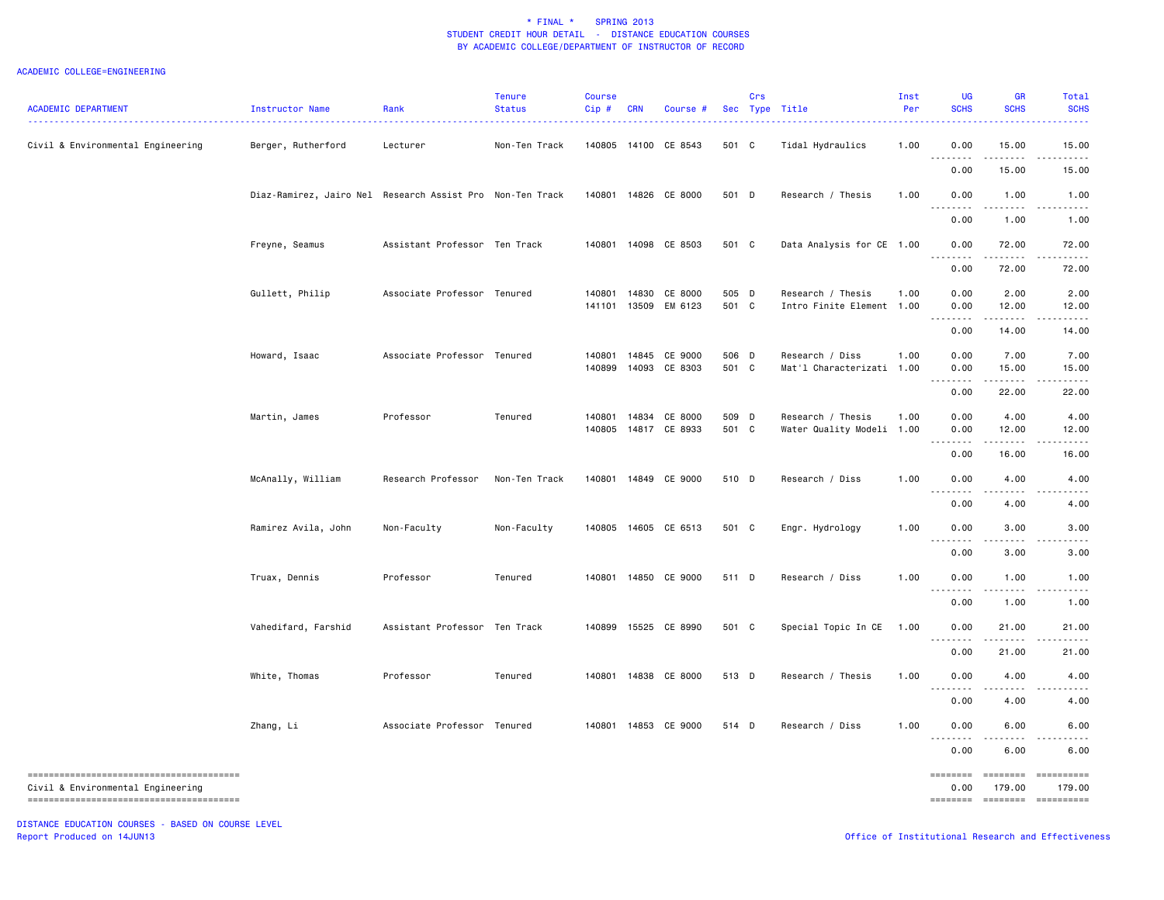#### ACADEMIC COLLEGE=ENGINEERING

| <b>ACADEMIC DEPARTMENT</b>        | Instructor Name                                           | Rank                          | <b>Tenure</b><br><b>Status</b> | <b>Course</b><br>Cip# | <b>CRN</b> | Course #                              |                | Crs | Sec Type Title                                 | Inst<br>Per | <b>UG</b><br><b>SCHS</b>  | <b>GR</b><br><b>SCHS</b>    | Total<br><b>SCHS</b> |
|-----------------------------------|-----------------------------------------------------------|-------------------------------|--------------------------------|-----------------------|------------|---------------------------------------|----------------|-----|------------------------------------------------|-------------|---------------------------|-----------------------------|----------------------|
| Civil & Environmental Engineering | Berger, Rutherford                                        | Lecturer                      | Non-Ten Track                  |                       |            | 140805 14100 CE 8543                  | 501 C          |     | Tidal Hydraulics                               | 1.00        | 0.00                      | 15.00                       | 15.00                |
|                                   |                                                           |                               |                                |                       |            |                                       |                |     |                                                |             | 0.00                      | 15.00                       | 15.00                |
|                                   | Diaz-Ramirez, Jairo Nel Research Assist Pro Non-Ten Track |                               |                                |                       |            | 140801 14826 CE 8000                  | 501 D          |     | Research / Thesis                              | 1.00        | 0.00                      | 1.00                        | 1.00                 |
|                                   |                                                           |                               |                                |                       |            |                                       |                |     |                                                |             | 0.00                      | 1.00                        | 1.00                 |
|                                   | Freyne, Seamus                                            | Assistant Professor Ten Track |                                |                       |            | 140801 14098 CE 8503                  | 501 C          |     | Data Analysis for CE 1.00                      |             | 0.00                      | 72.00                       | 72.00                |
|                                   |                                                           |                               |                                |                       |            |                                       |                |     |                                                |             | 0.00                      | 72.00                       | 72.00                |
|                                   | Gullett, Philip                                           | Associate Professor Tenured   |                                | 140801<br>141101      |            | 14830 CE 8000<br>13509 EM 6123        | 505 D<br>501 C |     | Research / Thesis<br>Intro Finite Element 1.00 | 1.00        | 0.00<br>0.00              | 2.00<br>12.00               | 2.00<br>12.00        |
|                                   |                                                           |                               |                                |                       |            |                                       |                |     |                                                |             | 0.00                      | .<br>14.00                  | 14.00                |
|                                   | Howard, Isaac                                             | Associate Professor Tenured   |                                | 140801                |            | 14845 CE 9000                         | 506 D          |     | Research / Diss                                | 1.00        | 0.00                      | 7.00                        | 7.00                 |
|                                   |                                                           |                               |                                | 140899                | 14093      | CE 8303                               | 501 C          |     | Mat'l Characterizati 1.00                      |             | 0.00                      | 15.00<br>.                  | 15.00<br>.           |
|                                   |                                                           |                               |                                |                       |            |                                       |                |     |                                                |             | 0.00                      | 22.00                       | 22.00                |
|                                   | Martin, James                                             | Professor                     | Tenured                        | 140801                |            | 14834 CE 8000<br>140805 14817 CE 8933 | 509 D<br>501 C |     | Research / Thesis<br>Water Quality Modeli 1.00 | 1.00        | 0.00<br>0.00              | 4.00<br>12.00               | 4.00<br>12.00        |
|                                   |                                                           |                               |                                |                       |            |                                       |                |     |                                                |             | .<br>0.00                 | 16.00                       | 16.00                |
|                                   | McAnally, William                                         | Research Professor            | Non-Ten Track                  | 140801                |            | 14849 CE 9000                         | 510 D          |     | Research / Diss                                | 1.00        | 0.00<br>.                 | 4.00                        | 4.00                 |
|                                   |                                                           |                               |                                |                       |            |                                       |                |     |                                                |             | 0.00                      | 4.00                        | 4.00                 |
|                                   | Ramirez Avila, John                                       | Non-Faculty                   | Non-Faculty                    |                       |            | 140805 14605 CE 6513                  | 501 C          |     | Engr. Hydrology                                | 1.00        | 0.00<br>$- - - - -$       | 3.00                        | 3.00                 |
|                                   |                                                           |                               |                                |                       |            |                                       |                |     |                                                |             | 0.00                      | 3.00                        | 3.00                 |
|                                   | Truax, Dennis                                             | Professor                     | Tenured                        | 140801                |            | 14850 CE 9000                         | 511 D          |     | Research / Diss                                | 1.00        | 0.00<br>.                 | 1.00                        | 1.00                 |
|                                   |                                                           |                               |                                |                       |            |                                       |                |     |                                                |             | 0.00                      | 1.00                        | 1.00                 |
|                                   | Vahedifard, Farshid                                       | Assistant Professor Ten Track |                                | 140899                |            | 15525 CE 8990                         | 501 C          |     | Special Topic In CE                            | 1.00        | 0.00                      | 21.00                       | 21.00                |
|                                   |                                                           |                               |                                |                       |            |                                       |                |     |                                                |             | 0.00                      | 21.00                       | 21.00                |
|                                   | White, Thomas                                             | Professor                     | Tenured                        |                       |            | 140801 14838 CE 8000                  | 513 D          |     | Research / Thesis                              | 1.00        | 0.00<br>.                 | 4.00<br>.                   | 4.00                 |
|                                   |                                                           |                               |                                |                       |            |                                       |                |     |                                                |             | 0.00                      | 4.00                        | 4.00                 |
|                                   | Zhang, Li                                                 | Associate Professor Tenured   |                                |                       |            | 140801 14853 CE 9000                  | 514 D          |     | Research / Diss                                | 1.00        | 0.00<br><u>.</u>          | 6.00<br>.                   | 6.00                 |
|                                   |                                                           |                               |                                |                       |            |                                       |                |     |                                                |             | 0.00                      | 6.00                        | 6.00                 |
| Civil & Environmental Engineering |                                                           |                               |                                |                       |            |                                       |                |     |                                                |             | $= = = = = = = =$<br>0.00 | ========<br>179.00          | ==========<br>179.00 |
|                                   |                                                           |                               |                                |                       |            |                                       |                |     |                                                |             |                           | ======== ======== ========= |                      |

DISTANCE EDUCATION COURSES - BASED ON COURSE LEVEL Report Produced on 14JUN13 Office of Institutional Research and Effectiveness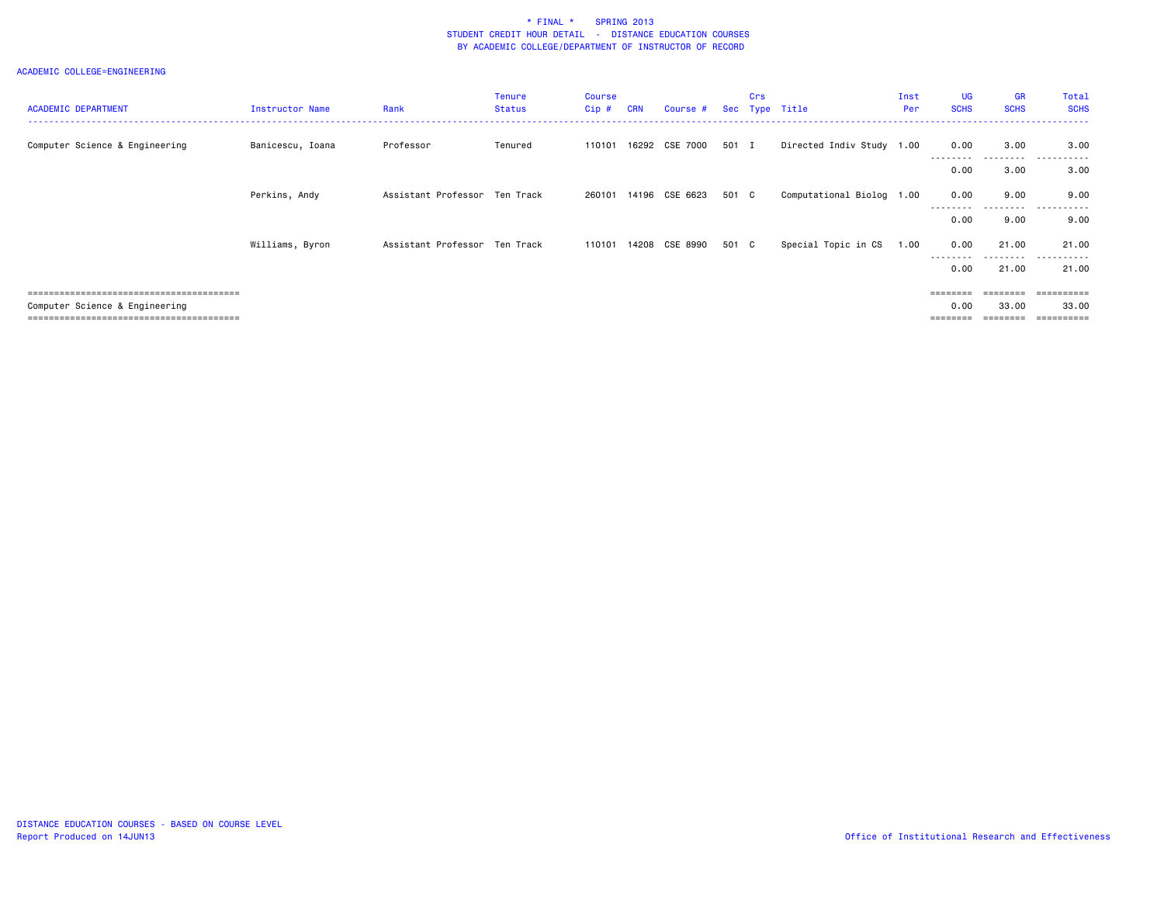| <b>ACADEMIC DEPARTMENT</b>                                             | <b>Instructor Name</b> | Rank                          | <b>Tenure</b><br><b>Status</b> | Course<br>Cip# | <b>CRN</b> | Course #       |       | Crs | Sec Type Title            | Inst<br>Per | <b>UG</b><br><b>SCHS</b> | <b>GR</b><br><b>SCHS</b> | Total<br><b>SCHS</b> |
|------------------------------------------------------------------------|------------------------|-------------------------------|--------------------------------|----------------|------------|----------------|-------|-----|---------------------------|-------------|--------------------------|--------------------------|----------------------|
| Computer Science & Engineering                                         | Banicescu, Ioana       | Professor                     | Tenured                        | 110101         |            | 16292 CSE 7000 | 501 I |     | Directed Indiv Study 1.00 |             | 0.00                     | 3.00                     | 3.00                 |
|                                                                        |                        |                               |                                |                |            |                |       |     |                           |             | 0.00                     | ----<br>3.00             | 3.00                 |
|                                                                        | Perkins, Andy          | Assistant Professor Ten Track |                                | 260101         |            | 14196 CSE 6623 | 501 C |     | Computational Biolog 1.00 |             | 0.00                     | 9.00<br>. <b>.</b> .     | 9.00                 |
|                                                                        |                        |                               |                                |                |            |                |       |     |                           |             | 0.00                     | 9.00                     | 9.00                 |
|                                                                        | Williams, Byron        | Assistant Professor Ten Track |                                | 110101         |            | 14208 CSE 8990 | 501 C |     | Special Topic in CS       | 1.00        | 0.00                     | 21.00                    | 21.00                |
|                                                                        |                        |                               |                                |                |            |                |       |     |                           |             | 0.00                     | . <b>.</b> .<br>21.00    | .<br>21.00           |
|                                                                        |                        |                               |                                |                |            |                |       |     |                           |             | ========                 | $=$ = = = = = = =        | ==========           |
| Computer Science & Engineering<br>;=================================== |                        |                               |                                |                |            |                |       |     |                           |             | 0.00                     | 33.00                    | 33.00<br>:======     |
|                                                                        |                        |                               |                                |                |            |                |       |     |                           |             |                          |                          |                      |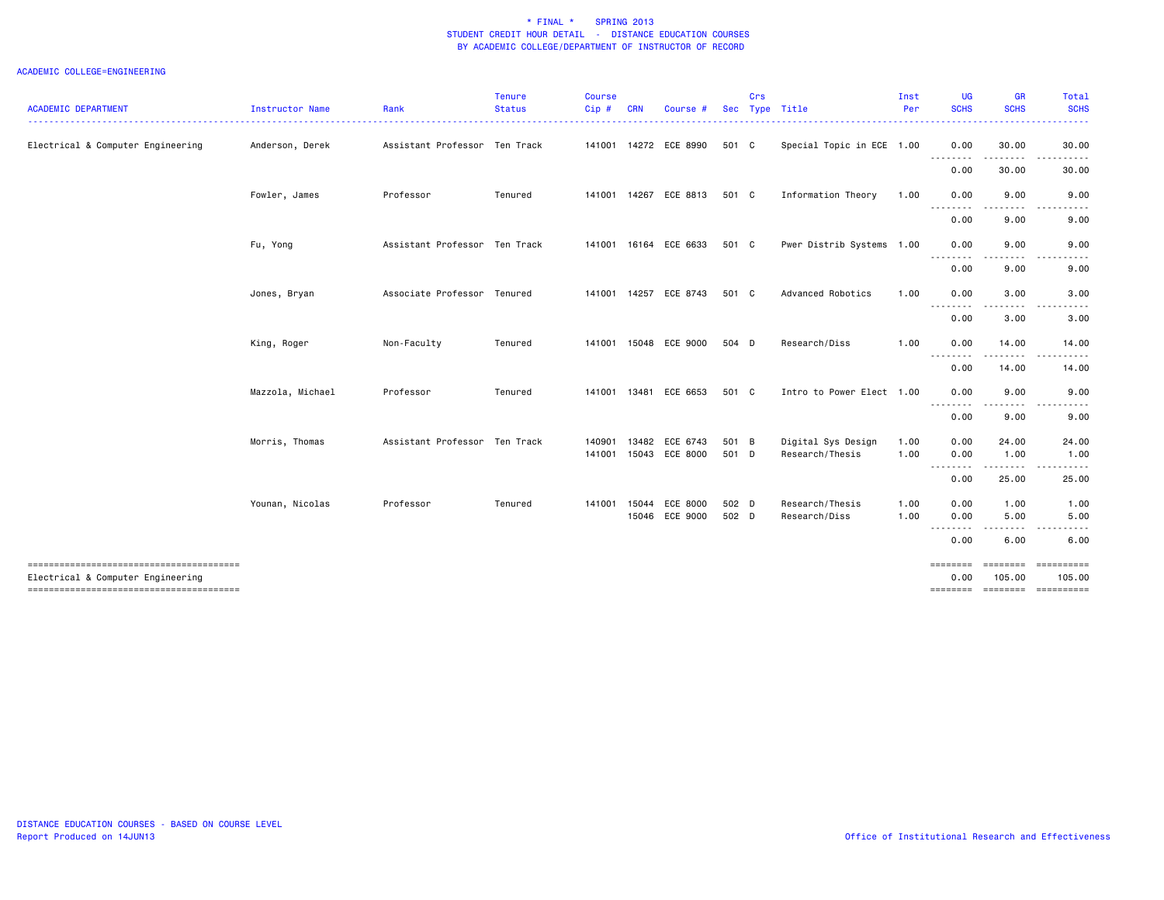|                                        |                        |                               | <b>Tenure</b> | <b>Course</b> |            |                            |                | Crs |                                  | Inst         | <b>UG</b>                       | <b>GR</b>                    | Total        |
|----------------------------------------|------------------------|-------------------------------|---------------|---------------|------------|----------------------------|----------------|-----|----------------------------------|--------------|---------------------------------|------------------------------|--------------|
| <b>ACADEMIC DEPARTMENT</b>             | <b>Instructor Name</b> | Rank                          | <b>Status</b> | $Cip$ #       | <b>CRN</b> | Course #                   |                |     | Sec Type Title<br>.              | Per          | <b>SCHS</b>                     | <b>SCHS</b>                  | <b>SCHS</b>  |
| Electrical & Computer Engineering      | Anderson, Derek        | Assistant Professor Ten Track |               |               |            | 141001 14272 ECE 8990      | 501 C          |     | Special Topic in ECE 1.00        |              | 0.00                            | 30.00                        | 30.00        |
|                                        |                        |                               |               |               |            |                            |                |     |                                  |              | 0.00                            | 30.00                        | 30.00        |
|                                        | Fowler, James          | Professor                     | Tenured       |               |            | 141001 14267 ECE 8813      | 501 C          |     | Information Theory               | 1.00         | 0.00                            | 9.00                         | 9.00         |
|                                        |                        |                               |               |               |            |                            |                |     |                                  |              | <u> - - - - - - - -</u><br>0.00 | 9.00                         | 9.00         |
|                                        | Fu, Yong               | Assistant Professor Ten Track |               |               |            | 141001 16164 ECE 6633      | 501 C          |     | Pwer Distrib Systems 1.00        |              | 0.00                            | 9.00                         | 9.00         |
|                                        |                        |                               |               |               |            |                            |                |     |                                  |              | --------<br>0.00                | .<br>9.00                    | 9.00         |
|                                        | Jones, Bryan           | Associate Professor Tenured   |               |               |            | 141001 14257 ECE 8743      | 501 C          |     | Advanced Robotics                | 1.00         | 0.00                            | 3.00                         | 3.00         |
|                                        |                        |                               |               |               |            |                            |                |     |                                  |              | --------<br>0.00                | 3.00                         | 3.00         |
|                                        | King, Roger            | Non-Faculty                   | Tenured       |               |            | 141001 15048 ECE 9000      | 504 D          |     | Research/Diss                    | 1.00         | 0.00                            | 14.00                        | 14.00        |
|                                        |                        |                               |               |               |            |                            |                |     |                                  |              | <u>.</u><br>0.00                | 14.00                        | 14.00        |
|                                        | Mazzola, Michael       | Professor                     | Tenured       |               |            | 141001 13481 ECE 6653      | 501 C          |     | Intro to Power Elect 1.00        |              | 0.00                            | 9.00                         | 9.00         |
|                                        |                        |                               |               |               |            |                            |                |     |                                  |              | --------<br>0.00                | 9.00                         | 9.00         |
|                                        | Morris, Thomas         | Assistant Professor Ten Track |               | 140901        | 13482      | ECE 6743                   | 501 B          |     | Digital Sys Design               | 1.00         | 0.00                            | 24.00                        | 24.00        |
|                                        |                        |                               |               | 141001        |            | 15043 ECE 8000             | 501 D          |     | Research/Thesis                  | 1.00         | 0.00<br>--------                | 1.00<br>.                    | 1.00         |
|                                        |                        |                               |               |               |            |                            |                |     |                                  |              | 0.00                            | 25.00                        | 25.00        |
|                                        | Younan, Nicolas        | Professor                     | Tenured       | 141001        | 15044      | ECE 8000<br>15046 ECE 9000 | 502 D<br>502 D |     | Research/Thesis<br>Research/Diss | 1.00<br>1.00 | 0.00<br>0.00                    | 1.00<br>5.00                 | 1.00<br>5.00 |
|                                        |                        |                               |               |               |            |                            |                |     |                                  |              | $\frac{1}{2}$<br>0.00           | 6.00                         | 6.00         |
| -------------------------------------- |                        |                               |               |               |            |                            |                |     |                                  |              | ========                        | ========                     | ==========   |
| Electrical & Computer Engineering      |                        |                               |               |               |            |                            |                |     |                                  |              | 0.00<br>========                | 105.00<br>======== ========= | 105.00       |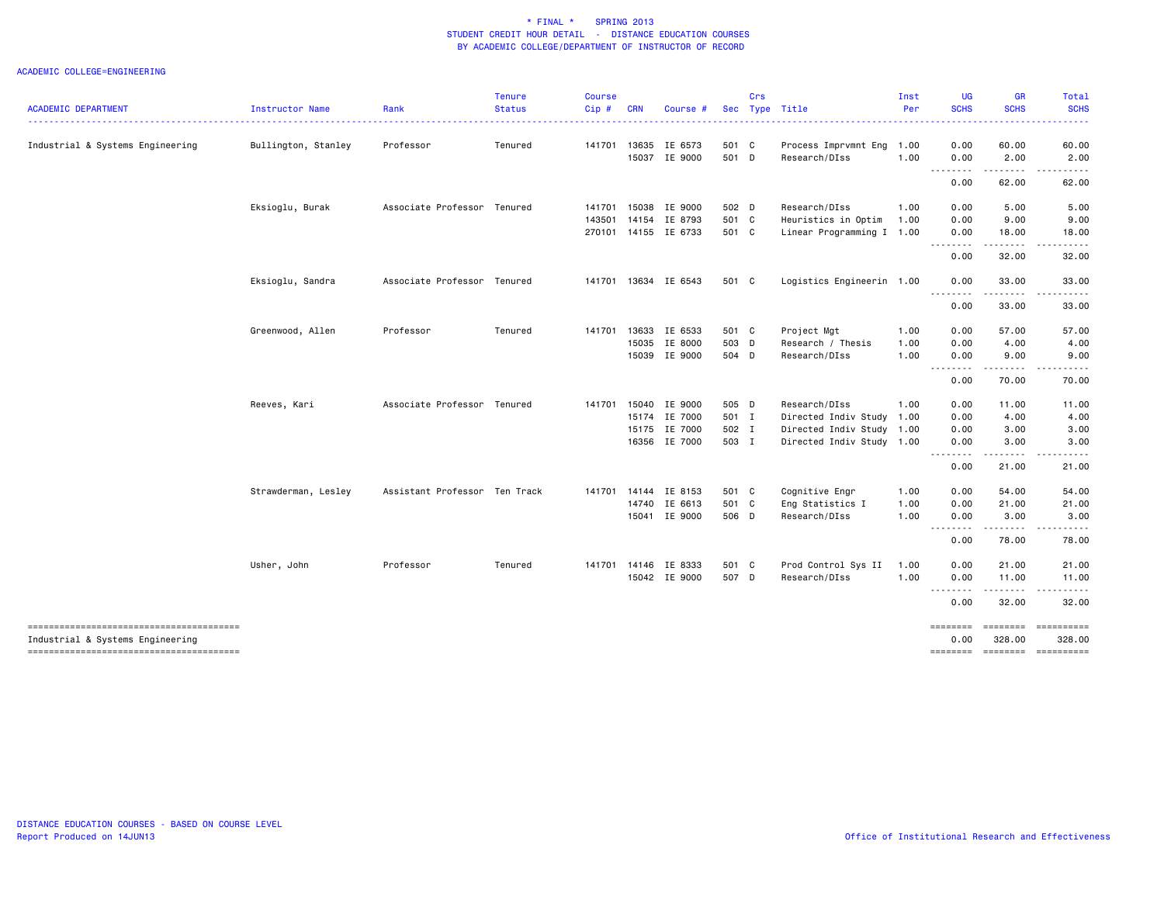|                                  |                     |                               | <b>Tenure</b> | <b>Course</b> |            |                      |       | Crs |                           | Inst | UG               | <b>GR</b>                                                                                                                                                     | Total                                                                                                               |
|----------------------------------|---------------------|-------------------------------|---------------|---------------|------------|----------------------|-------|-----|---------------------------|------|------------------|---------------------------------------------------------------------------------------------------------------------------------------------------------------|---------------------------------------------------------------------------------------------------------------------|
| <b>ACADEMIC DEPARTMENT</b>       | Instructor Name     | Rank                          | <b>Status</b> | Cip#          | <b>CRN</b> | Course #             |       |     | Sec Type Title            | Per  | <b>SCHS</b>      | <b>SCHS</b>                                                                                                                                                   | <b>SCHS</b>                                                                                                         |
| Industrial & Systems Engineering | Bullington, Stanley | Professor                     | Tenured       | 141701        |            | 13635 IE 6573        | 501 C |     | Process Imprvmnt Eng 1.00 |      | 0.00             | 60.00                                                                                                                                                         | 60.00                                                                                                               |
|                                  |                     |                               |               |               |            | 15037 IE 9000        | 501 D |     | Research/DIss             | 1.00 | 0.00             | 2.00                                                                                                                                                          | 2.00                                                                                                                |
|                                  |                     |                               |               |               |            |                      |       |     |                           |      | .<br>0.00        | $\frac{1}{2} \left( \frac{1}{2} \right) \left( \frac{1}{2} \right) \left( \frac{1}{2} \right) \left( \frac{1}{2} \right) \left( \frac{1}{2} \right)$<br>62.00 | .<br>62.00                                                                                                          |
|                                  | Eksioglu, Burak     | Associate Professor Tenured   |               | 141701        | 15038      | IE 9000              | 502 D |     | Research/DIss             | 1.00 | 0.00             | 5.00                                                                                                                                                          | 5.00                                                                                                                |
|                                  |                     |                               |               | 143501        |            | 14154 IE 8793        | 501 C |     | Heuristics in Optim       | 1.00 | 0.00             | 9.00                                                                                                                                                          | 9.00                                                                                                                |
|                                  |                     |                               |               |               |            | 270101 14155 IE 6733 | 501 C |     | Linear Programming I 1.00 |      | 0.00             | 18.00                                                                                                                                                         | 18.00                                                                                                               |
|                                  |                     |                               |               |               |            |                      |       |     |                           |      | 0.00             | 32.00                                                                                                                                                         | 32.00                                                                                                               |
|                                  | Eksioglu, Sandra    | Associate Professor Tenured   |               |               |            | 141701 13634 IE 6543 | 501 C |     | Logistics Engineerin 1.00 |      | 0.00             | 33.00                                                                                                                                                         | 33.00                                                                                                               |
|                                  |                     |                               |               |               |            |                      |       |     |                           |      | <u>.</u><br>0.00 | 33.00                                                                                                                                                         | 33.00                                                                                                               |
|                                  | Greenwood, Allen    | Professor                     | Tenured       | 141701        | 13633      | IE 6533              | 501 C |     | Project Mgt               | 1.00 | 0.00             | 57.00                                                                                                                                                         | 57.00                                                                                                               |
|                                  |                     |                               |               |               |            | 15035 IE 8000        | 503 D |     | Research / Thesis         | 1.00 | 0.00             | 4.00                                                                                                                                                          | 4.00                                                                                                                |
|                                  |                     |                               |               |               |            | 15039 IE 9000        | 504 D |     | Research/DIss             | 1.00 | 0.00             | 9.00                                                                                                                                                          | 9.00                                                                                                                |
|                                  |                     |                               |               |               |            |                      |       |     |                           |      | .<br>0.00        | 70.00                                                                                                                                                         | . <b>.</b> .<br>70.00                                                                                               |
|                                  | Reeves, Kari        | Associate Professor Tenured   |               | 141701        |            | 15040 IE 9000        | 505 D |     | Research/DIss             | 1.00 | 0.00             | 11.00                                                                                                                                                         | 11.00                                                                                                               |
|                                  |                     |                               |               |               |            | 15174 IE 7000        | 501 I |     | Directed Indiv Study      | 1.00 | 0.00             | 4.00                                                                                                                                                          | 4.00                                                                                                                |
|                                  |                     |                               |               |               |            | 15175 IE 7000        | 502 I |     | Directed Indiv Study 1.00 |      | 0.00             | 3.00                                                                                                                                                          | 3.00                                                                                                                |
|                                  |                     |                               |               |               |            | 16356 IE 7000        | 503 I |     | Directed Indiv Study 1.00 |      | 0.00             | 3.00                                                                                                                                                          | 3.00                                                                                                                |
|                                  |                     |                               |               |               |            |                      |       |     |                           |      | <u>.</u><br>0.00 | 21.00                                                                                                                                                         | 21.00                                                                                                               |
|                                  | Strawderman, Lesley | Assistant Professor Ten Track |               |               |            | 141701 14144 IE 8153 | 501 C |     | Cognitive Engr            | 1.00 | 0.00             | 54.00                                                                                                                                                         | 54.00                                                                                                               |
|                                  |                     |                               |               |               | 14740      | IE 6613              | 501 C |     | Eng Statistics I          | 1.00 | 0.00             | 21.00                                                                                                                                                         | 21.00                                                                                                               |
|                                  |                     |                               |               |               |            | 15041 IE 9000        | 506 D |     | Research/DIss             | 1.00 | 0.00             | 3.00                                                                                                                                                          | 3.00                                                                                                                |
|                                  |                     |                               |               |               |            |                      |       |     |                           |      | 0.00             | .<br>78.00                                                                                                                                                    | 78.00                                                                                                               |
|                                  | Usher, John         | Professor                     | Tenured       | 141701        |            | 14146 IE 8333        | 501 C |     | Prod Control Sys II       | 1.00 | 0.00             | 21.00                                                                                                                                                         | 21.00                                                                                                               |
|                                  |                     |                               |               |               |            | 15042 IE 9000        | 507 D |     | Research/DIss             | 1.00 | 0.00             | 11.00                                                                                                                                                         | 11.00                                                                                                               |
|                                  |                     |                               |               |               |            |                      |       |     |                           |      | <u>.</u><br>0.00 | .<br>32.00                                                                                                                                                    | 32.00                                                                                                               |
| Industrial & Systems Engineering |                     |                               |               |               |            |                      |       |     |                           |      | ========<br>0.00 | 328.00                                                                                                                                                        | 328.00                                                                                                              |
|                                  |                     |                               |               |               |            |                      |       |     |                           |      | ========         | <b>EEEEEEEE</b>                                                                                                                                               | $\begin{minipage}{0.9\linewidth} \hspace*{-0.2cm} \textbf{m} = \textbf{m} = \textbf{m} = \textbf{m} \end{minipage}$ |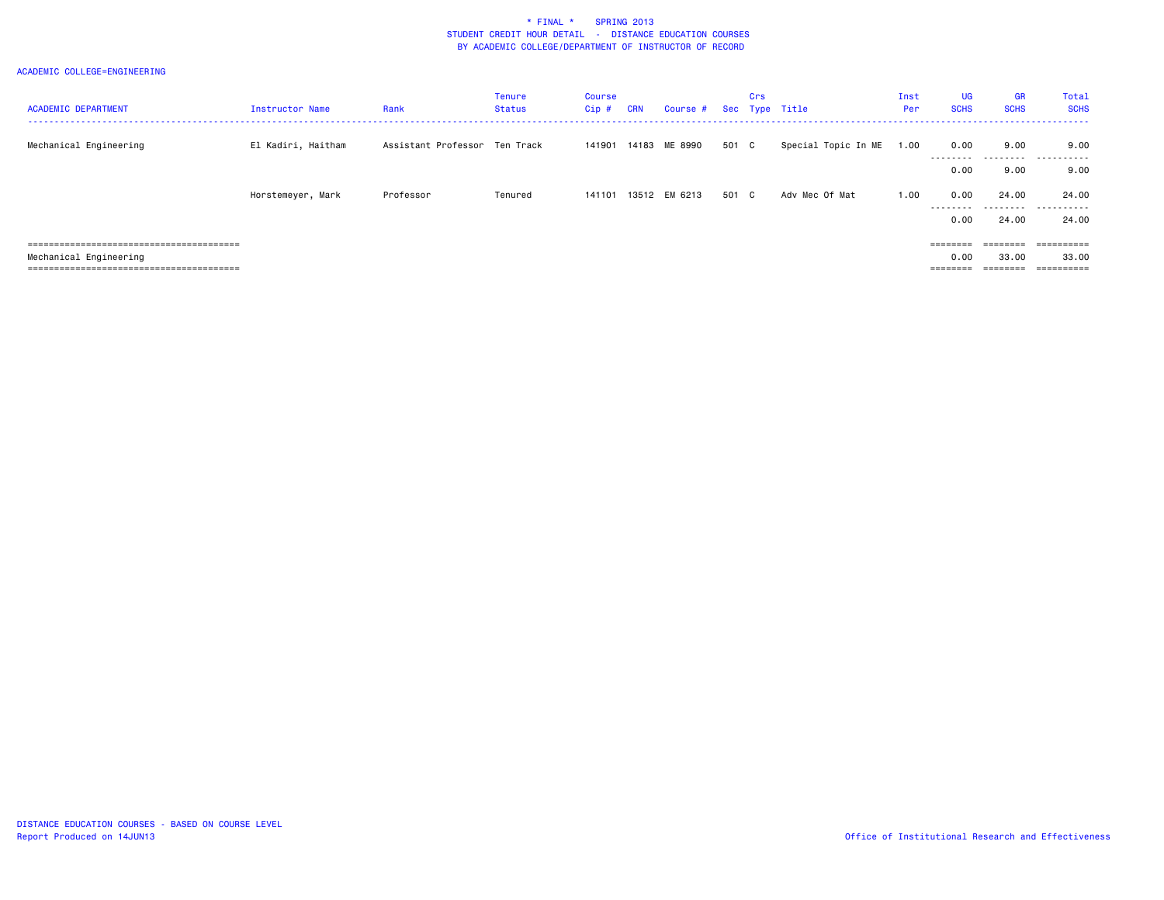| <b>ACADEMIC DEPARTMENT</b> | <b>Instructor Name</b> | Rank                          | <b>Tenure</b><br><b>Status</b> | Course<br>Cip# | <b>CRN</b> | Course # Sec Type Title |       | Crs |                     | Inst<br>Per | <b>UG</b><br><b>SCHS</b> | <b>GR</b><br><b>SCHS</b> | Total<br><b>SCHS</b> |
|----------------------------|------------------------|-------------------------------|--------------------------------|----------------|------------|-------------------------|-------|-----|---------------------|-------------|--------------------------|--------------------------|----------------------|
| Mechanical Engineering     | El Kadiri, Haitham     | Assistant Professor Ten Track |                                | 141901         |            | 14183 ME 8990           | 501 C |     | Special Topic In ME | 1.00        | 0.00                     | 9.00                     | 9.00                 |
|                            |                        |                               |                                |                |            |                         |       |     |                     |             | ---------<br>0.00        | 9.00                     | <br>9.00             |
|                            | Horstemeyer, Mark      | Professor                     | Tenured                        | 141101         |            | 13512 EM 6213           | 501 C |     | Adv Mec Of Mat      | 1.00        | 0.00                     | 24.00                    | 24.00                |
|                            |                        |                               |                                |                |            |                         |       |     |                     |             | ---------<br>0.00        | ---------<br>24.00       | .<br>24.00           |
|                            |                        |                               |                                |                |            |                         |       |     |                     |             | ========                 |                          | ==========           |
| Mechanical Engineering     |                        |                               |                                |                |            |                         |       |     |                     |             | 0.00                     | 33.00                    | 33.00                |
|                            |                        |                               |                                |                |            |                         |       |     |                     |             | ========                 | $=$ = = = = = = =        | ==========           |